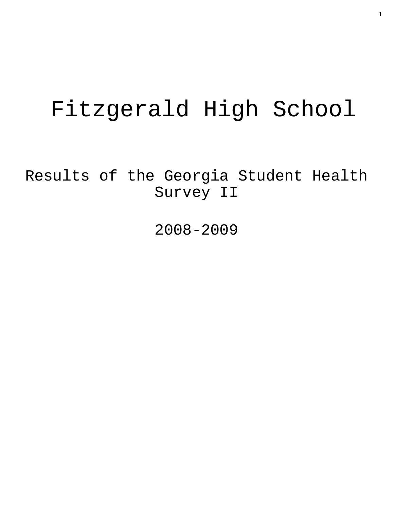# Fitzgerald High School

Results of the Georgia Student Health Survey II

2008-2009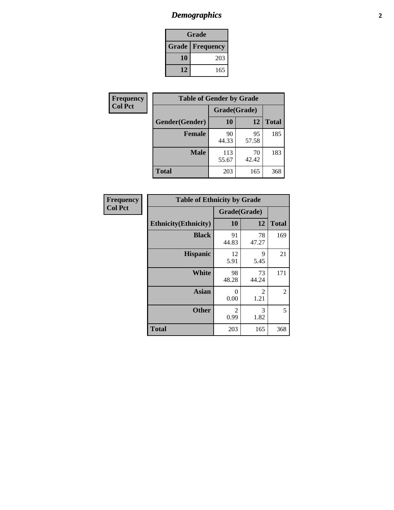# *Demographics* **2**

| Grade                    |     |  |  |
|--------------------------|-----|--|--|
| <b>Grade   Frequency</b> |     |  |  |
| 10                       | 203 |  |  |
| 12                       | 165 |  |  |

| <b>Frequency</b> | <b>Table of Gender by Grade</b> |              |             |              |
|------------------|---------------------------------|--------------|-------------|--------------|
| <b>Col Pct</b>   |                                 | Grade(Grade) |             |              |
|                  | Gender(Gender)                  | 10           | 12          | <b>Total</b> |
|                  | <b>Female</b>                   | 90<br>44.33  | 95<br>57.58 | 185          |
|                  | <b>Male</b>                     | 113<br>55.67 | 70<br>42.42 | 183          |
|                  | <b>Total</b>                    | 203          | 165         | 368          |

| <b>Frequency</b> |
|------------------|
| <b>Col Pct</b>   |

| <b>Table of Ethnicity by Grade</b> |              |             |              |  |  |  |
|------------------------------------|--------------|-------------|--------------|--|--|--|
|                                    | Grade(Grade) |             |              |  |  |  |
| <b>Ethnicity</b> (Ethnicity)       | 10           | 12          | <b>Total</b> |  |  |  |
| <b>Black</b>                       | 91<br>44.83  | 78<br>47.27 | 169          |  |  |  |
| <b>Hispanic</b>                    | 12<br>5.91   | 9<br>5.45   | 21           |  |  |  |
| White                              | 98<br>48.28  | 73<br>44.24 | 171          |  |  |  |
| <b>Asian</b>                       | 0<br>0.00    | 2<br>1.21   | 2            |  |  |  |
| <b>Other</b>                       | 2<br>0.99    | 3<br>1.82   | 5            |  |  |  |
| <b>Total</b>                       | 203          | 165         | 368          |  |  |  |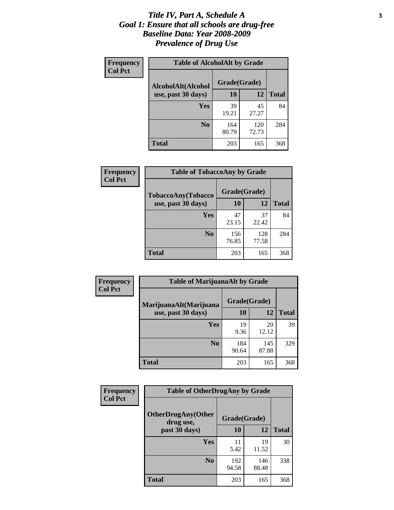### *Title IV, Part A, Schedule A* **3** *Goal 1: Ensure that all schools are drug-free Baseline Data: Year 2008-2009 Prevalence of Drug Use*

| Frequency<br><b>Col Pct</b> | <b>Table of AlcoholAlt by Grade</b> |              |              |              |  |
|-----------------------------|-------------------------------------|--------------|--------------|--------------|--|
|                             | AlcoholAlt(Alcohol                  | Grade(Grade) |              |              |  |
|                             | use, past 30 days)                  | 10           | 12           | <b>Total</b> |  |
|                             | Yes                                 | 39<br>19.21  | 45<br>27.27  | 84           |  |
|                             | N <sub>0</sub>                      | 164<br>80.79 | 120<br>72.73 | 284          |  |
|                             | <b>Total</b>                        | 203          | 165          | 368          |  |

| Frequency<br><b>Col Pct</b> | <b>Table of TobaccoAny by Grade</b> |              |              |              |  |  |
|-----------------------------|-------------------------------------|--------------|--------------|--------------|--|--|
|                             | <b>TobaccoAny(Tobacco</b>           | Grade(Grade) |              |              |  |  |
|                             | use, past 30 days)                  | 10           | 12           | <b>Total</b> |  |  |
|                             | Yes                                 | 47<br>23.15  | 37<br>22.42  | 84           |  |  |
|                             | N <sub>0</sub>                      | 156<br>76.85 | 128<br>77.58 | 284          |  |  |
|                             | <b>Total</b>                        | 203          | 165          | 368          |  |  |

| Frequency<br><b>Col Pct</b>                  | <b>Table of MarijuanaAlt by Grade</b> |              |              |     |  |
|----------------------------------------------|---------------------------------------|--------------|--------------|-----|--|
| MarijuanaAlt(Marijuana<br>use, past 30 days) |                                       | Grade(Grade) |              |     |  |
|                                              | <b>10</b>                             | 12           | <b>Total</b> |     |  |
|                                              | <b>Yes</b>                            | 19<br>9.36   | 20<br>12.12  | 39  |  |
|                                              | N <sub>0</sub>                        | 184<br>90.64 | 145<br>87.88 | 329 |  |
|                                              | <b>Total</b>                          | 203          | 165          | 368 |  |

| <b>Frequency</b> | <b>Table of OtherDrugAny by Grade</b>  |              |              |              |  |  |
|------------------|----------------------------------------|--------------|--------------|--------------|--|--|
| <b>Col Pct</b>   | <b>OtherDrugAny(Other</b><br>drug use, | Grade(Grade) |              |              |  |  |
|                  | past 30 days)                          | 10           | 12           | <b>Total</b> |  |  |
|                  | Yes                                    | 11<br>5.42   | 19<br>11.52  | 30           |  |  |
|                  | N <sub>0</sub>                         | 192<br>94.58 | 146<br>88.48 | 338          |  |  |
|                  | <b>Total</b>                           | 203          | 165          | 368          |  |  |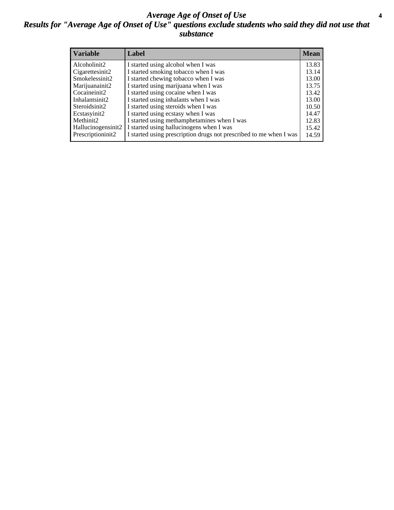### *Average Age of Onset of Use* **4** *Results for "Average Age of Onset of Use" questions exclude students who said they did not use that substance*

| <b>Variable</b>    | Label                                                              | <b>Mean</b> |
|--------------------|--------------------------------------------------------------------|-------------|
| Alcoholinit2       | I started using alcohol when I was                                 | 13.83       |
| Cigarettesinit2    | I started smoking tobacco when I was                               | 13.14       |
| Smokelessinit2     | I started chewing tobacco when I was                               | 13.00       |
| Marijuanainit2     | I started using marijuana when I was                               | 13.75       |
| Cocaineinit2       | I started using cocaine when I was                                 | 13.42       |
| Inhalantsinit2     | I started using inhalants when I was                               | 13.00       |
| Steroidsinit2      | I started using steroids when I was                                | 10.50       |
| Ecstasyinit2       | I started using ecstasy when I was                                 | 14.47       |
| Methinit2          | I started using methamphetamines when I was                        | 12.83       |
| Hallucinogensinit2 | I started using hallucinogens when I was                           | 15.42       |
| Prescriptioninit2  | I started using prescription drugs not prescribed to me when I was | 14.59       |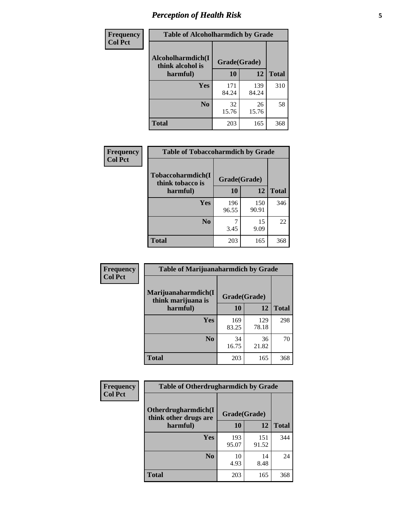# *Perception of Health Risk* **5**

| Frequency      | <b>Table of Alcoholharmdich by Grade</b> |              |              |              |  |
|----------------|------------------------------------------|--------------|--------------|--------------|--|
| <b>Col Pct</b> | Alcoholharmdich(I<br>think alcohol is    | Grade(Grade) |              |              |  |
|                | harmful)                                 | 10           | 12           | <b>Total</b> |  |
|                | <b>Yes</b>                               | 171<br>84.24 | 139<br>84.24 | 310          |  |
|                | N <sub>0</sub>                           | 32<br>15.76  | 26<br>15.76  | 58           |  |
|                | <b>Total</b>                             | 203          | 165          | 368          |  |

| <b>Frequency</b> | <b>Table of Tobaccoharmdich by Grade</b> |              |              |              |  |
|------------------|------------------------------------------|--------------|--------------|--------------|--|
| <b>Col Pct</b>   | Tobaccoharmdich(I<br>think tobacco is    | Grade(Grade) |              |              |  |
|                  | harmful)                                 | 10           | 12           | <b>Total</b> |  |
|                  | <b>Yes</b>                               | 196<br>96.55 | 150<br>90.91 | 346          |  |
|                  | N <sub>0</sub>                           | 3.45         | 15<br>9.09   | 22           |  |
|                  | <b>Total</b>                             | 203          | 165          | 368          |  |

| <b>Frequency</b> | <b>Table of Marijuanaharmdich by Grade</b> |              |              |              |  |  |
|------------------|--------------------------------------------|--------------|--------------|--------------|--|--|
| <b>Col Pct</b>   | Marijuanaharmdich(I<br>think marijuana is  | Grade(Grade) |              |              |  |  |
|                  | harmful)                                   | 10           | 12           | <b>Total</b> |  |  |
|                  | Yes                                        | 169<br>83.25 | 129<br>78.18 | 298          |  |  |
|                  | N <sub>0</sub>                             | 34<br>16.75  | 36<br>21.82  | 70           |  |  |
|                  | <b>Total</b>                               | 203          | 165          | 368          |  |  |

| <b>Frequency</b> | <b>Table of Otherdrugharmdich by Grade</b>   |              |              |              |  |  |  |
|------------------|----------------------------------------------|--------------|--------------|--------------|--|--|--|
| <b>Col Pct</b>   | Otherdrugharmdich(I<br>think other drugs are | Grade(Grade) |              |              |  |  |  |
|                  | harmful)                                     | 10           | 12           | <b>Total</b> |  |  |  |
|                  | <b>Yes</b>                                   | 193<br>95.07 | 151<br>91.52 | 344          |  |  |  |
|                  | N <sub>0</sub>                               | 10<br>4.93   | 14<br>8.48   | 24           |  |  |  |
|                  | <b>Total</b>                                 | 203          | 165          | 368          |  |  |  |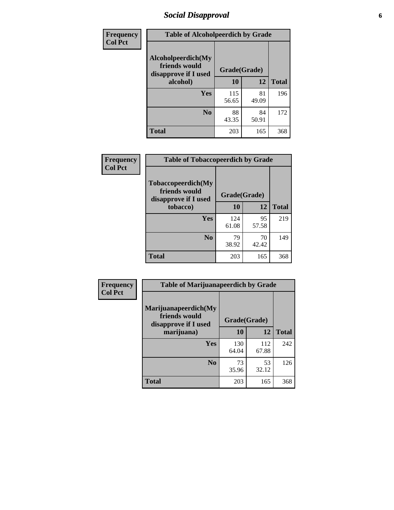# *Social Disapproval* **6**

| Frequency      | <b>Table of Alcoholpeerdich by Grade</b>                    |              |             |              |
|----------------|-------------------------------------------------------------|--------------|-------------|--------------|
| <b>Col Pct</b> | Alcoholpeerdich(My<br>friends would<br>disapprove if I used | Grade(Grade) |             |              |
|                | alcohol)                                                    | 10           | 12          | <b>Total</b> |
|                | <b>Yes</b>                                                  | 115<br>56.65 | 81<br>49.09 | 196          |
|                | N <sub>0</sub>                                              | 88<br>43.35  | 84<br>50.91 | 172          |
|                | <b>Total</b>                                                | 203          | 165         | 368          |

| <b>Frequency</b> |
|------------------|
| <b>Col Pct</b>   |

| <b>Table of Tobaccopeerdich by Grade</b>                    |              |             |              |  |  |  |  |
|-------------------------------------------------------------|--------------|-------------|--------------|--|--|--|--|
| Tobaccopeerdich(My<br>friends would<br>disapprove if I used | Grade(Grade) |             |              |  |  |  |  |
| tobacco)                                                    | 10           | 12          | <b>Total</b> |  |  |  |  |
| Yes                                                         | 124<br>61.08 | 95<br>57.58 | 219          |  |  |  |  |
| N <sub>0</sub>                                              | 79<br>38.92  | 70<br>42.42 | 149          |  |  |  |  |
| <b>Total</b>                                                | 203          | 165         | 368          |  |  |  |  |

| Frequency      | <b>Table of Marijuanapeerdich by Grade</b>                    |              |              |              |  |  |  |  |
|----------------|---------------------------------------------------------------|--------------|--------------|--------------|--|--|--|--|
| <b>Col Pct</b> | Marijuanapeerdich(My<br>friends would<br>disapprove if I used | Grade(Grade) |              |              |  |  |  |  |
|                | marijuana)                                                    | 10           | 12           | <b>Total</b> |  |  |  |  |
|                | <b>Yes</b>                                                    | 130<br>64.04 | 112<br>67.88 | 242          |  |  |  |  |
|                | N <sub>0</sub>                                                | 73<br>35.96  | 53<br>32.12  | 126          |  |  |  |  |
|                | <b>Total</b>                                                  | 203          | 165          | 368          |  |  |  |  |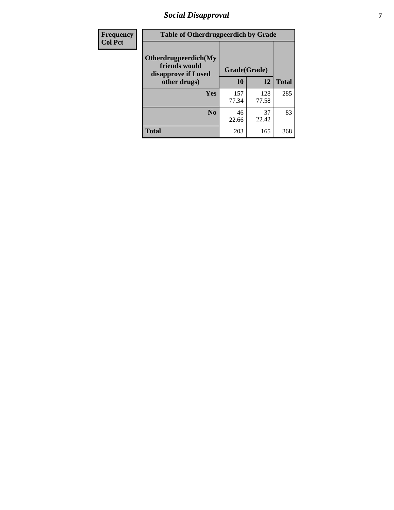# *Social Disapproval* **7**

| Frequency      | <b>Table of Otherdrugpeerdich by Grade</b>                    |              |              |              |  |  |  |  |
|----------------|---------------------------------------------------------------|--------------|--------------|--------------|--|--|--|--|
| <b>Col Pct</b> | Otherdrugpeerdich(My<br>friends would<br>disapprove if I used | Grade(Grade) |              |              |  |  |  |  |
|                | other drugs)                                                  | 10           | 12           | <b>Total</b> |  |  |  |  |
|                | Yes                                                           | 157<br>77.34 | 128<br>77.58 | 285          |  |  |  |  |
|                | N <sub>0</sub>                                                | 46<br>22.66  | 37<br>22.42  | 83           |  |  |  |  |
|                | <b>Total</b>                                                  | 203          | 165          | 368          |  |  |  |  |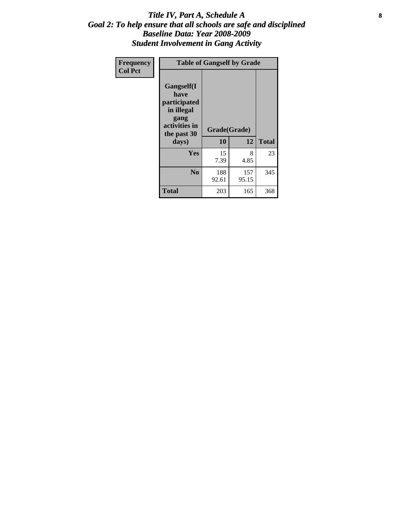### Title IV, Part A, Schedule A **8** *Goal 2: To help ensure that all schools are safe and disciplined Baseline Data: Year 2008-2009 Student Involvement in Gang Activity*

| Frequency      | <b>Table of Gangself by Grade</b>                                                                 |                    |              |              |
|----------------|---------------------------------------------------------------------------------------------------|--------------------|--------------|--------------|
| <b>Col Pct</b> | Gangself(I<br>have<br>participated<br>in illegal<br>gang<br>activities in<br>the past 30<br>days) | Grade(Grade)<br>10 | 12           | <b>Total</b> |
|                | Yes                                                                                               | 15<br>7.39         | 8<br>4.85    | 23           |
|                | N <sub>0</sub>                                                                                    | 188<br>92.61       | 157<br>95.15 | 345          |
|                | <b>Total</b>                                                                                      | 203                | 165          | 368          |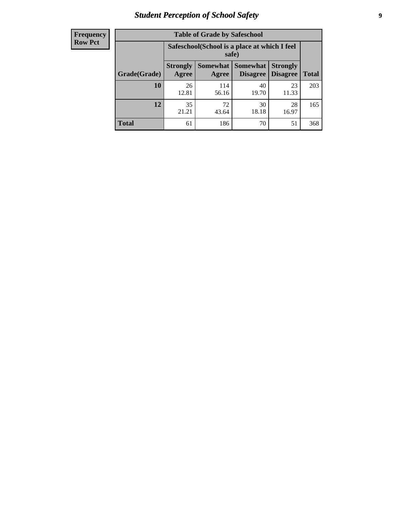# *Student Perception of School Safety* **9**

| <b>Frequency</b><br>Row Pct |
|-----------------------------|
|                             |

| <b>Table of Grade by Safeschool</b> |                          |                                                        |                             |                                    |              |  |  |  |
|-------------------------------------|--------------------------|--------------------------------------------------------|-----------------------------|------------------------------------|--------------|--|--|--|
|                                     |                          | Safeschool (School is a place at which I feel<br>safe) |                             |                                    |              |  |  |  |
| Grade(Grade)                        | <b>Strongly</b><br>Agree | <b>Somewhat</b><br>Agree                               | <b>Somewhat</b><br>Disagree | <b>Strongly</b><br><b>Disagree</b> | <b>Total</b> |  |  |  |
| 10                                  | 26<br>12.81              | 114<br>56.16                                           | 40<br>19.70                 | 23<br>11.33                        | 203          |  |  |  |
| 12                                  | 35<br>21.21              | 72<br>43.64                                            | 30<br>18.18                 | 28<br>16.97                        | 165          |  |  |  |
| <b>Total</b>                        | 61                       | 186                                                    | 70                          | 51                                 | 368          |  |  |  |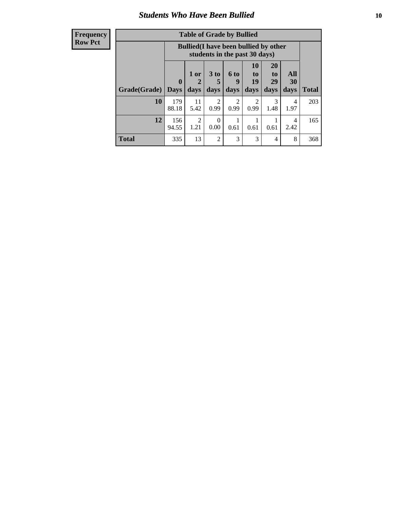### *Students Who Have Been Bullied* **10**

| <b>Frequency</b> |
|------------------|
| Row Pct          |

| <b>Table of Grade by Bullied</b> |                            |                                                                               |                     |                          |                        |                        |                                 |              |
|----------------------------------|----------------------------|-------------------------------------------------------------------------------|---------------------|--------------------------|------------------------|------------------------|---------------------------------|--------------|
|                                  |                            | <b>Bullied</b> (I have been bullied by other<br>students in the past 30 days) |                     |                          |                        |                        |                                 |              |
| Grade(Grade)                     | $\mathbf 0$<br><b>Days</b> | 1 or<br>2<br>days                                                             | $3$ to<br>5<br>days | <b>6 to</b><br>9<br>days | 10<br>to<br>19<br>days | 20<br>to<br>29<br>days | <b>All</b><br><b>30</b><br>days | <b>Total</b> |
| 10                               | 179<br>88.18               | 11<br>5.42                                                                    | 2<br>0.99           | $\overline{2}$<br>0.99   | $\overline{2}$<br>0.99 | 3<br>1.48              | 4<br>1.97                       | 203          |
| 12                               | 156<br>94.55               | $\overline{2}$<br>1.21                                                        | 0<br>0.00           | 0.61                     | 0.61                   | 0.61                   | 4<br>2.42                       | 165          |
| <b>Total</b>                     | 335                        | 13                                                                            | 2                   | 3                        | 3                      | $\overline{4}$         | 8                               | 368          |

 $\blacksquare$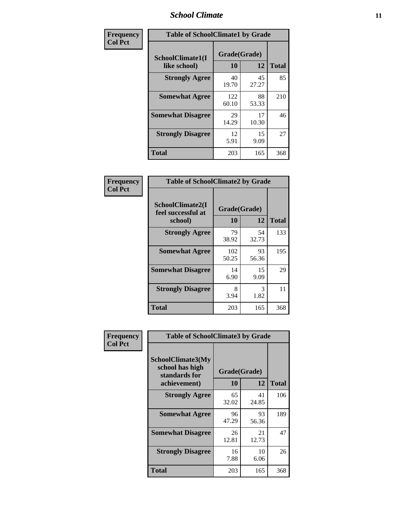### *School Climate* **11**

| <b>Frequency</b> | <b>Table of SchoolClimate1 by Grade</b> |                    |             |              |  |  |
|------------------|-----------------------------------------|--------------------|-------------|--------------|--|--|
| <b>Col Pct</b>   | SchoolClimate1(I<br>like school)        | Grade(Grade)<br>10 | 12          | <b>Total</b> |  |  |
|                  | <b>Strongly Agree</b>                   | 40<br>19.70        | 45<br>27.27 | 85           |  |  |
|                  | <b>Somewhat Agree</b>                   | 122<br>60.10       | 88<br>53.33 | 210          |  |  |
|                  | <b>Somewhat Disagree</b>                | 29<br>14.29        | 17<br>10.30 | 46           |  |  |
|                  | <b>Strongly Disagree</b>                | 12<br>5.91         | 15<br>9.09  | 27           |  |  |
|                  | <b>Total</b>                            | 203                | 165         | 368          |  |  |

| <b>Frequency</b> |
|------------------|
| <b>Col Pct</b>   |

| <b>Table of SchoolClimate2 by Grade</b>           |                    |             |              |  |  |
|---------------------------------------------------|--------------------|-------------|--------------|--|--|
| SchoolClimate2(I<br>feel successful at<br>school) | Grade(Grade)<br>10 | 12          | <b>Total</b> |  |  |
| <b>Strongly Agree</b>                             | 79<br>38.92        | 54<br>32.73 | 133          |  |  |
| <b>Somewhat Agree</b>                             | 102<br>50.25       | 93<br>56.36 | 195          |  |  |
| <b>Somewhat Disagree</b>                          | 14<br>6.90         | 15<br>9.09  | 29           |  |  |
| <b>Strongly Disagree</b>                          | 8<br>3.94          | 3<br>1.82   | 11           |  |  |
| <b>Total</b>                                      | 203                | 165         | 368          |  |  |

| Frequency      | <b>Table of SchoolClimate3 by Grade</b>                      |              |             |              |  |
|----------------|--------------------------------------------------------------|--------------|-------------|--------------|--|
| <b>Col Pct</b> | <b>SchoolClimate3(My</b><br>school has high<br>standards for | Grade(Grade) |             |              |  |
|                | achievement)                                                 | 10           | 12          | <b>Total</b> |  |
|                | <b>Strongly Agree</b>                                        | 65<br>32.02  | 41<br>24.85 | 106          |  |
|                | <b>Somewhat Agree</b>                                        | 96<br>47.29  | 93<br>56.36 | 189          |  |
|                | <b>Somewhat Disagree</b>                                     | 26<br>12.81  | 21<br>12.73 | 47           |  |
|                | <b>Strongly Disagree</b>                                     | 16<br>7.88   | 10<br>6.06  | 26           |  |
|                | Total                                                        | 203          | 165         | 368          |  |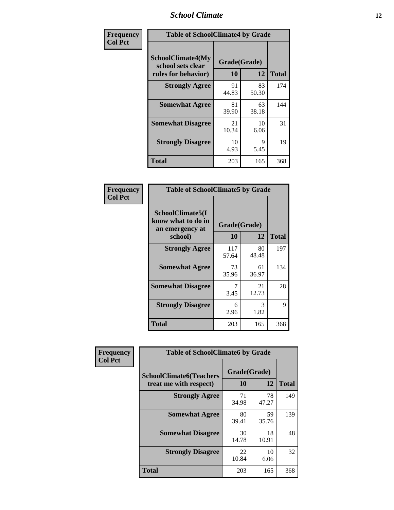### *School Climate* **12**

| Frequency      | <b>Table of SchoolClimate4 by Grade</b>                              |                    |             |              |  |
|----------------|----------------------------------------------------------------------|--------------------|-------------|--------------|--|
| <b>Col Pct</b> | <b>SchoolClimate4(My</b><br>school sets clear<br>rules for behavior) | Grade(Grade)<br>10 | 12          | <b>Total</b> |  |
|                | <b>Strongly Agree</b>                                                | 91<br>44.83        | 83<br>50.30 | 174          |  |
|                | <b>Somewhat Agree</b>                                                | 81<br>39.90        | 63<br>38.18 | 144          |  |
|                | <b>Somewhat Disagree</b>                                             | 21<br>10.34        | 10<br>6.06  | 31           |  |
|                | <b>Strongly Disagree</b>                                             | 10<br>4.93         | 9<br>5.45   | 19           |  |
|                | <b>Total</b>                                                         | 203                | 165         | 368          |  |

| <b>Table of SchoolClimate5 by Grade</b>                              |                    |             |              |  |
|----------------------------------------------------------------------|--------------------|-------------|--------------|--|
| SchoolClimate5(I<br>know what to do in<br>an emergency at<br>school) | Grade(Grade)<br>10 | 12          | <b>Total</b> |  |
| <b>Strongly Agree</b>                                                | 117<br>57.64       | 80<br>48.48 | 197          |  |
| <b>Somewhat Agree</b>                                                | 73<br>35.96        | 61<br>36.97 | 134          |  |
| <b>Somewhat Disagree</b>                                             | 7<br>3.45          | 21<br>12.73 | 28           |  |
| <b>Strongly Disagree</b>                                             | 6<br>2.96          | 3<br>1.82   | 9            |  |
| Total                                                                | 203                | 165         | 368          |  |

| Frequency      | <b>Table of SchoolClimate6 by Grade</b>                  |                    |             |              |  |  |
|----------------|----------------------------------------------------------|--------------------|-------------|--------------|--|--|
| <b>Col Pct</b> | <b>SchoolClimate6(Teachers</b><br>treat me with respect) | Grade(Grade)<br>10 | 12          | <b>Total</b> |  |  |
|                | <b>Strongly Agree</b>                                    | 71<br>34.98        | 78<br>47.27 | 149          |  |  |
|                | <b>Somewhat Agree</b>                                    | 80<br>39.41        | 59<br>35.76 | 139          |  |  |
|                | <b>Somewhat Disagree</b>                                 | 30<br>14.78        | 18<br>10.91 | 48           |  |  |
|                | <b>Strongly Disagree</b>                                 | 22<br>10.84        | 10<br>6.06  | 32           |  |  |
|                | <b>Total</b>                                             | 203                | 165         | 368          |  |  |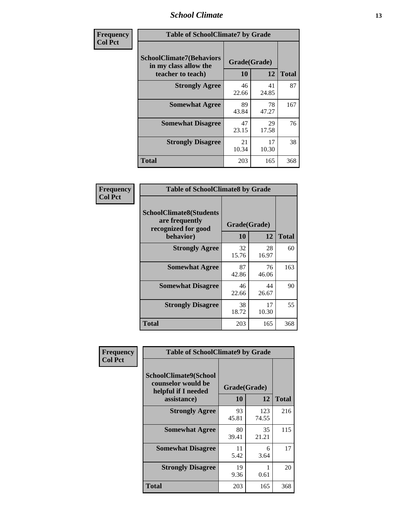### *School Climate* **13**

| Frequency      | <b>Table of SchoolClimate7 by Grade</b>                                       |                           |             |              |  |
|----------------|-------------------------------------------------------------------------------|---------------------------|-------------|--------------|--|
| <b>Col Pct</b> | <b>SchoolClimate7(Behaviors</b><br>in my class allow the<br>teacher to teach) | Grade(Grade)<br><b>10</b> | 12          | <b>Total</b> |  |
|                | <b>Strongly Agree</b>                                                         | 46<br>22.66               | 41<br>24.85 | 87           |  |
|                | <b>Somewhat Agree</b>                                                         | 89<br>43.84               | 78<br>47.27 | 167          |  |
|                | <b>Somewhat Disagree</b>                                                      | 47<br>23.15               | 29<br>17.58 | 76           |  |
|                | <b>Strongly Disagree</b>                                                      | 21<br>10.34               | 17<br>10.30 | 38           |  |
|                | <b>Total</b>                                                                  | 203                       | 165         | 368          |  |

| Frequency      | <b>Table of SchoolClimate8 by Grade</b>                                 |              |             |              |  |
|----------------|-------------------------------------------------------------------------|--------------|-------------|--------------|--|
| <b>Col Pct</b> | <b>SchoolClimate8(Students</b><br>are frequently<br>recognized for good | Grade(Grade) |             |              |  |
|                | behavior)                                                               | 10           | 12          | <b>Total</b> |  |
|                | <b>Strongly Agree</b>                                                   | 32<br>15.76  | 28<br>16.97 | 60           |  |
|                | <b>Somewhat Agree</b>                                                   | 87<br>42.86  | 76<br>46.06 | 163          |  |
|                | <b>Somewhat Disagree</b>                                                | 46<br>22.66  | 44<br>26.67 | 90           |  |
|                | <b>Strongly Disagree</b>                                                | 38<br>18.72  | 17<br>10.30 | 55           |  |
|                | <b>Total</b>                                                            | 203          | 165         | 368          |  |

| Frequency      | <b>Table of SchoolClimate9 by Grade</b>                                                  |                    |              |              |  |
|----------------|------------------------------------------------------------------------------------------|--------------------|--------------|--------------|--|
| <b>Col Pct</b> | <b>SchoolClimate9(School</b><br>counselor would be<br>helpful if I needed<br>assistance) | Grade(Grade)<br>10 | 12           | <b>Total</b> |  |
|                | <b>Strongly Agree</b>                                                                    | 93<br>45.81        | 123<br>74.55 | 216          |  |
|                | <b>Somewhat Agree</b>                                                                    | 80<br>39.41        | 35<br>21.21  | 115          |  |
|                | <b>Somewhat Disagree</b>                                                                 | 11<br>5.42         | 6<br>3.64    | 17           |  |
|                | <b>Strongly Disagree</b>                                                                 | 19<br>9.36         | 0.61         | 20           |  |
|                | Total                                                                                    | 203                | 165          | 368          |  |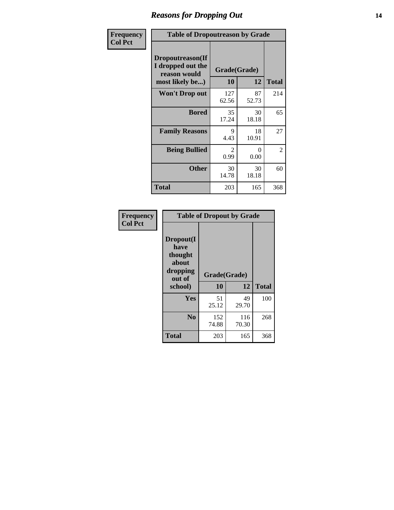### *Reasons for Dropping Out* **14**

| Frequency      | <b>Table of Dropoutreason by Grade</b>                                   |                           |             |              |  |
|----------------|--------------------------------------------------------------------------|---------------------------|-------------|--------------|--|
| <b>Col Pct</b> | Dropoutreason(If<br>I dropped out the<br>reason would<br>most likely be) | Grade(Grade)<br><b>10</b> | 12          | <b>Total</b> |  |
|                | <b>Won't Drop out</b>                                                    | 127<br>62.56              | 87<br>52.73 | 214          |  |
|                | <b>Bored</b>                                                             | 35<br>17.24               | 30<br>18.18 | 65           |  |
|                | <b>Family Reasons</b>                                                    | 9<br>4.43                 | 18<br>10.91 | 27           |  |
|                | <b>Being Bullied</b>                                                     | 2<br>0.99                 | 0<br>0.00   | 2            |  |
|                | <b>Other</b>                                                             | 30<br>14.78               | 30<br>18.18 | 60           |  |
|                | <b>Total</b>                                                             | 203                       | 165         | 368          |  |

| Frequency<br><b>Col Pct</b> |                                                                        | <b>Table of Dropout by Grade</b> |              |              |
|-----------------------------|------------------------------------------------------------------------|----------------------------------|--------------|--------------|
|                             | Dropout(I<br>have<br>thought<br>about<br>dropping<br>out of<br>school) | Grade(Grade)<br>10               | 12           | <b>Total</b> |
|                             |                                                                        |                                  |              |              |
|                             | Yes                                                                    | 51<br>25.12                      | 49<br>29.70  | 100          |
|                             | N <sub>0</sub>                                                         | 152<br>74.88                     | 116<br>70.30 | 268          |
|                             | <b>Total</b>                                                           | 203                              | 165          | 368          |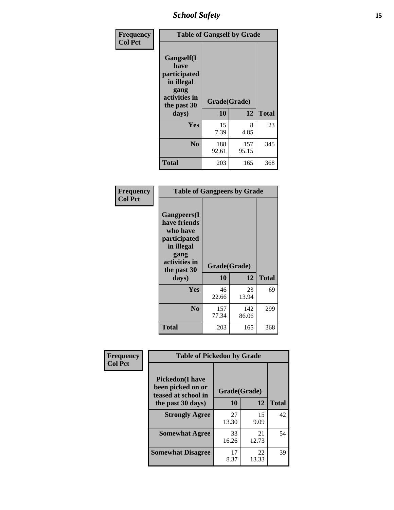*School Safety* **15**

| Frequency      | <b>Table of Gangself by Grade</b>                                                                 |                    |              |              |
|----------------|---------------------------------------------------------------------------------------------------|--------------------|--------------|--------------|
| <b>Col Pct</b> | Gangself(I<br>have<br>participated<br>in illegal<br>gang<br>activities in<br>the past 30<br>days) | Grade(Grade)<br>10 | 12           | <b>Total</b> |
|                | Yes                                                                                               | 15<br>7.39         | 8<br>4.85    | 23           |
|                | N <sub>0</sub>                                                                                    | 188<br>92.61       | 157<br>95.15 | 345          |
|                | Total                                                                                             | 203                | 165          | 368          |

| Frequency<br><b>Col Pct</b> | <b>Table of Gangpeers by Grade</b>                                                                                             |                    |              |              |  |  |  |  |  |
|-----------------------------|--------------------------------------------------------------------------------------------------------------------------------|--------------------|--------------|--------------|--|--|--|--|--|
|                             | <b>Gangpeers</b> (I<br>have friends<br>who have<br>participated<br>in illegal<br>gang<br>activities in<br>the past 30<br>days) | Grade(Grade)<br>10 | 12           | <b>Total</b> |  |  |  |  |  |
|                             | <b>Yes</b>                                                                                                                     | 46<br>22.66        | 23<br>13.94  | 69           |  |  |  |  |  |
|                             | N <sub>0</sub>                                                                                                                 | 157<br>77.34       | 142<br>86.06 | 299          |  |  |  |  |  |
|                             | <b>Total</b>                                                                                                                   | 203                | 165          | 368          |  |  |  |  |  |

| Frequency      | <b>Table of Pickedon by Grade</b>                                  |              |             |              |
|----------------|--------------------------------------------------------------------|--------------|-------------|--------------|
| <b>Col Pct</b> | <b>Pickedon(I have</b><br>been picked on or<br>teased at school in | Grade(Grade) |             |              |
|                | the past 30 days)                                                  | 10           | 12          | <b>Total</b> |
|                | <b>Strongly Agree</b>                                              | 27<br>13.30  | 15<br>9.09  | 42           |
|                | <b>Somewhat Agree</b>                                              | 33<br>16.26  | 21<br>12.73 | 54           |
|                | <b>Somewhat Disagree</b>                                           | 17<br>8.37   | 22<br>13.33 | 39           |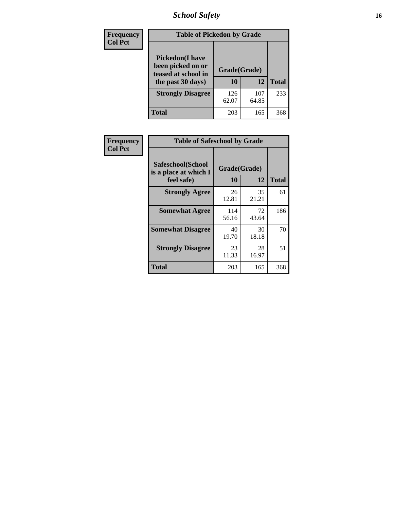# *School Safety* **16**

| <b>Frequency</b> |                                                                                         | <b>Table of Pickedon by Grade</b> |              |     |  |  |  |  |  |  |  |
|------------------|-----------------------------------------------------------------------------------------|-----------------------------------|--------------|-----|--|--|--|--|--|--|--|
| <b>Col Pct</b>   | <b>Pickedon(I have</b><br>been picked on or<br>teased at school in<br>the past 30 days) | Grade(Grade)<br>10                | <b>Total</b> |     |  |  |  |  |  |  |  |
|                  | <b>Strongly Disagree</b>                                                                | 126<br>62.07                      | 107<br>64.85 | 233 |  |  |  |  |  |  |  |
|                  | Total                                                                                   | 203                               | 165          | 368 |  |  |  |  |  |  |  |

| Frequency      | <b>Table of Safeschool by Grade</b>                      |                    |              |     |
|----------------|----------------------------------------------------------|--------------------|--------------|-----|
| <b>Col Pct</b> | Safeschool(School<br>is a place at which I<br>feel safe) | Grade(Grade)<br>10 | <b>Total</b> |     |
|                | <b>Strongly Agree</b>                                    | 26<br>12.81        | 35<br>21.21  | 61  |
|                | <b>Somewhat Agree</b>                                    | 114<br>56.16       | 72<br>43.64  | 186 |
|                | <b>Somewhat Disagree</b>                                 | 40<br>19.70        | 30<br>18.18  | 70  |
|                | <b>Strongly Disagree</b>                                 | 23<br>11.33        | 28<br>16.97  | 51  |
|                | Total                                                    | 203                | 165          | 368 |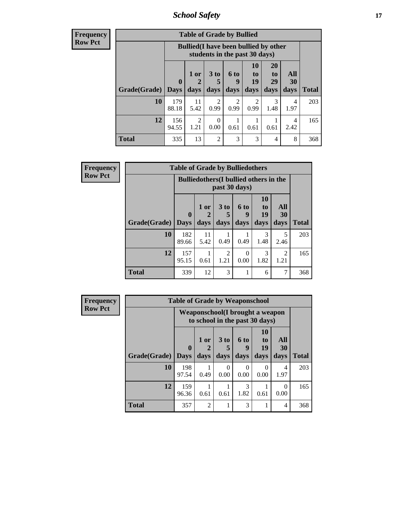*School Safety* **17**

| <b>Frequency</b> |
|------------------|
| <b>Row Pct</b>   |

| <b>Table of Grade by Bullied</b> |                                 |                                |                              |                                                                               |                        |                               |                                 |              |  |  |
|----------------------------------|---------------------------------|--------------------------------|------------------------------|-------------------------------------------------------------------------------|------------------------|-------------------------------|---------------------------------|--------------|--|--|
|                                  |                                 |                                |                              | <b>Bullied</b> (I have been bullied by other<br>students in the past 30 days) |                        |                               |                                 |              |  |  |
| Grade(Grade)                     | $\boldsymbol{0}$<br><b>Days</b> | 1 or<br>$\overline{2}$<br>days | 3 <sub>to</sub><br>5<br>days | 6 to<br>9<br>days                                                             | 10<br>to<br>19<br>days | <b>20</b><br>to<br>29<br>days | <b>All</b><br><b>30</b><br>days | <b>Total</b> |  |  |
| 10                               | 179<br>88.18                    | 11<br>5.42                     | 2<br>0.99                    | 2<br>0.99                                                                     | $\overline{2}$<br>0.99 | 3<br>1.48                     | 4<br>1.97                       | 203          |  |  |
| 12                               | 156<br>94.55                    | $\mathfrak{D}$<br>1.21         | 0<br>0.00                    | 0.61                                                                          | 0.61                   | 0.61                          | 4<br>2.42                       | 165          |  |  |
| <b>Total</b>                     | 335                             | 13                             | 2                            | 3                                                                             | 3                      | 4                             | 8                               | 368          |  |  |

| Frequency      |                     | <b>Table of Grade by Bulliedothers</b> |                                                                |                                |                   |                        |                                |              |  |  |
|----------------|---------------------|----------------------------------------|----------------------------------------------------------------|--------------------------------|-------------------|------------------------|--------------------------------|--------------|--|--|
| <b>Row Pct</b> |                     |                                        | <b>Bulliedothers</b> (I bullied others in the<br>past 30 days) |                                |                   |                        |                                |              |  |  |
|                | Grade(Grade)   Days | $\bf{0}$                               | 1 or<br>days                                                   | 3 to<br>days                   | 6 to<br>9<br>days | 10<br>to<br>19<br>days | All<br>30<br>days              | <b>Total</b> |  |  |
|                | 10                  | 182                                    | 11                                                             |                                |                   | 3                      | 5                              | 203          |  |  |
|                | 12                  | 89.66<br>157<br>95.15                  | 5.42<br>0.61                                                   | 0.49<br>$\mathfrak{D}$<br>1.21 | 0.49<br>0<br>0.00 | 1.48<br>3<br>1.82      | 2.46<br>$\overline{2}$<br>1.21 | 165          |  |  |
|                | <b>Total</b>        | 339                                    | 12                                                             | 3                              |                   | 6                      | 7                              | 368          |  |  |

| <b>Frequency</b> |              | <b>Table of Grade by Weaponschool</b>                             |                |                     |                   |                               |                   |              |
|------------------|--------------|-------------------------------------------------------------------|----------------|---------------------|-------------------|-------------------------------|-------------------|--------------|
| <b>Row Pct</b>   |              | Weaponschool(I brought a weapon<br>to school in the past 30 days) |                |                     |                   |                               |                   |              |
|                  | Grade(Grade) | $\bf{0}$<br><b>Days</b>                                           | $1$ or<br>days | $3$ to<br>5<br>days | 6 to<br>9<br>days | <b>10</b><br>to<br>19<br>days | All<br>30<br>days | <b>Total</b> |
|                  | <b>10</b>    | 198<br>97.54                                                      | 0.49           | $\Omega$<br>0.00    | 0<br>0.00         | 0<br>0.00                     | 4<br>1.97         | 203          |
|                  | 12           | 159<br>96.36                                                      | 0.61           | 0.61                | 3<br>1.82         | 0.61                          | $\Omega$<br>0.00  | 165          |
|                  | <b>Total</b> | 357                                                               | $\mathfrak{D}$ |                     | 3                 | 1                             | 4                 | 368          |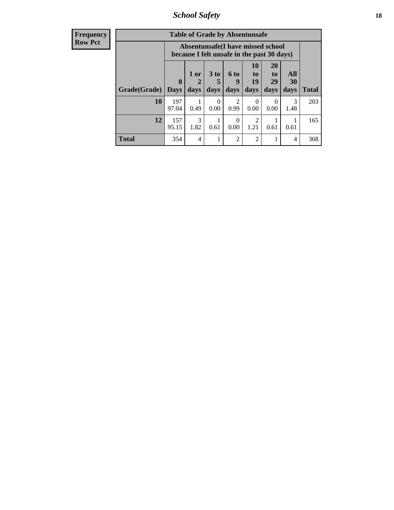*School Safety* **18**

| <b>Frequency</b> |              |                                                                                 |             | <b>Table of Grade by Absentunsafe</b> |                        |                        |                       |                       |              |  |
|------------------|--------------|---------------------------------------------------------------------------------|-------------|---------------------------------------|------------------------|------------------------|-----------------------|-----------------------|--------------|--|
| Row Pct          |              | Absentunsafe(I have missed school<br>because I felt unsafe in the past 30 days) |             |                                       |                        |                        |                       |                       |              |  |
|                  |              | $\boldsymbol{0}$                                                                | $1$ or<br>2 | 3 to<br>5                             | 6 to<br>9              | <b>10</b><br>to<br>19  | <b>20</b><br>to<br>29 | All<br>30             |              |  |
|                  | Grade(Grade) | <b>Days</b>                                                                     | days        | days                                  | days                   | days                   | days                  | days                  | <b>Total</b> |  |
|                  | 10           | 197<br>97.04                                                                    | 0.49        | $\Omega$<br>0.00                      | $\mathfrak{D}$<br>0.99 | $\Omega$<br>0.00       | 0.00                  | $\mathcal{R}$<br>1.48 | 203          |  |
|                  | 12           | 157<br>95.15                                                                    | 3<br>1.82   | 0.61                                  | $\Omega$<br>0.00       | $\mathfrak{D}$<br>1.21 | 0.61                  | 0.61                  | 165          |  |
|                  | <b>Total</b> | 354                                                                             | 4           |                                       | $\overline{2}$         | $\overline{2}$         |                       | 4                     | 368          |  |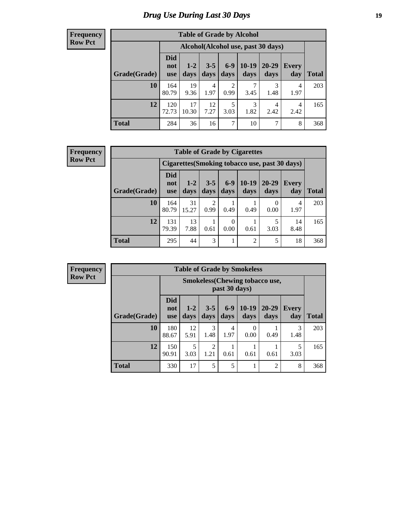# *Drug Use During Last 30 Days* **19**

#### **Frequency Row Pct**

| <b>Table of Grade by Alcohol</b> |                                 |               |                 |                        |                 |                                    |              |       |  |  |  |  |
|----------------------------------|---------------------------------|---------------|-----------------|------------------------|-----------------|------------------------------------|--------------|-------|--|--|--|--|
|                                  |                                 |               |                 |                        |                 | Alcohol(Alcohol use, past 30 days) |              |       |  |  |  |  |
| Grade(Grade)                     | <b>Did</b><br>not<br><b>use</b> | $1-2$<br>days | $3 - 5$<br>days | $6-9$<br>days          | $10-19$<br>days | 20-29<br>days                      | Every<br>day | Total |  |  |  |  |
| 10                               | 164<br>80.79                    | 19<br>9.36    | 4<br>1.97       | $\overline{2}$<br>0.99 | 7<br>3.45       | 3<br>1.48                          | 4<br>1.97    | 203   |  |  |  |  |
| 12                               | 120<br>72.73                    | 17<br>10.30   | 12<br>7.27      | 5<br>3.03              | 3<br>1.82       | 4<br>2.42                          | 4<br>2.42    | 165   |  |  |  |  |
| <b>Total</b>                     | 284                             | 36            | 16              | 7                      | 10              | 7                                  | 8            | 368   |  |  |  |  |

#### **Frequency Row Pct**

| <b>Table of Grade by Cigarettes</b> |                                 |                 |                 |                  |                 |               |                                                |       |  |  |  |
|-------------------------------------|---------------------------------|-----------------|-----------------|------------------|-----------------|---------------|------------------------------------------------|-------|--|--|--|
|                                     |                                 |                 |                 |                  |                 |               | Cigarettes (Smoking tobacco use, past 30 days) |       |  |  |  |
| Grade(Grade)                        | <b>Did</b><br>not<br><b>use</b> | $1 - 2$<br>days | $3 - 5$<br>days | $6 - 9$<br>days  | $10-19$<br>days | 20-29<br>days | <b>Every</b><br>day                            | Total |  |  |  |
| 10                                  | 164<br>80.79                    | 31<br>15.27     | 0.99            | 0.49             | 0.49            | 0.00          | 4<br>1.97                                      | 203   |  |  |  |
| 12                                  | 131<br>79.39                    | 13<br>7.88      | 0.61            | $\Omega$<br>0.00 | 0.61            | 5<br>3.03     | 14<br>8.48                                     | 165   |  |  |  |
| Total                               | 295                             | 44              | 3               |                  | $\overline{2}$  | 5             | 18                                             | 368   |  |  |  |

**Frequency Row Pct**

| <b>Table of Grade by Smokeless</b> |              |                                 |                 |                        |               |                                       |                   |              |              |
|------------------------------------|--------------|---------------------------------|-----------------|------------------------|---------------|---------------------------------------|-------------------|--------------|--------------|
|                                    |              |                                 |                 |                        | past 30 days) | <b>Smokeless</b> (Chewing tobaccouse, |                   |              |              |
|                                    | Grade(Grade) | <b>Did</b><br>not<br><b>use</b> | $1 - 2$<br>days | $3 - 5$<br>days        | $6-9$<br>days | $10-19$<br>days                       | $20 - 29$<br>days | Every<br>day | <b>Total</b> |
|                                    | <b>10</b>    | 180<br>88.67                    | 12<br>5.91      | 3<br>1.48              | 4<br>1.97     | 0<br>0.00                             | 0.49              | 3<br>1.48    | 203          |
|                                    | 12           | 150<br>90.91                    | 5<br>3.03       | $\overline{2}$<br>1.21 | 0.61          | 0.61                                  | 0.61              | 5<br>3.03    | 165          |
|                                    | <b>Total</b> | 330                             | 17              | 5                      | 5             |                                       | $\overline{2}$    | 8            | 368          |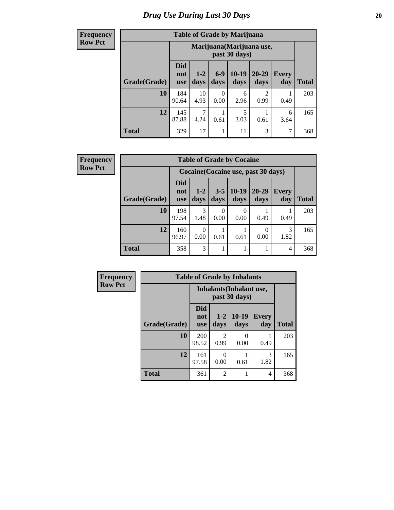#### **Frequency Row Pct**

| <b>Table of Grade by Marijuana</b> |                                                                                                                                                      |                                            |           |           |           |      |     |  |
|------------------------------------|------------------------------------------------------------------------------------------------------------------------------------------------------|--------------------------------------------|-----------|-----------|-----------|------|-----|--|
|                                    |                                                                                                                                                      | Marijuana (Marijuana use,<br>past 30 days) |           |           |           |      |     |  |
| Grade(Grade)                       | <b>Did</b><br>$6-9$<br>$10 - 19$<br>$20 - 29$<br>$1 - 2$<br><b>Every</b><br>not<br>days<br>days<br>day<br><b>Total</b><br>days<br>days<br><b>use</b> |                                            |           |           |           |      |     |  |
| 10                                 | 184<br>90.64                                                                                                                                         | 10<br>4.93                                 | 0<br>0.00 | 6<br>2.96 | 2<br>0.99 | 0.49 | 203 |  |
| 12                                 | 145<br>5<br>6<br>87.88<br>4.24<br>3.03<br>0.61<br>0.61<br>3.64                                                                                       |                                            |           |           |           |      |     |  |
| <b>Total</b>                       | 329                                                                                                                                                  | 17                                         |           | 11        | 3         | 7    | 368 |  |

**Frequency Row Pct**

| <b>Table of Grade by Cocaine</b> |                          |                 |                 |                                     |               |              |              |
|----------------------------------|--------------------------|-----------------|-----------------|-------------------------------------|---------------|--------------|--------------|
|                                  |                          |                 |                 | Cocaine (Cocaine use, past 30 days) |               |              |              |
| Grade(Grade)                     | Did<br>not<br><b>use</b> | $1 - 2$<br>days | $3 - 5$<br>days | $10-19$<br>days                     | 20-29<br>days | Every<br>day | <b>Total</b> |
| 10                               | 198<br>97.54             | 3<br>1.48       | 0.00            | 0.00                                | 0.49          | 0.49         | 203          |
| 12                               | 160<br>96.97             | 0.00            | 0.61            | 0.61                                | 0.00          | 3<br>1.82    | 165          |
| <b>Total</b>                     | 358                      | 3               |                 |                                     |               | 4            | 368          |

| Frequency      | <b>Table of Grade by Inhalants</b> |                          |                 |                                           |              |              |  |  |
|----------------|------------------------------------|--------------------------|-----------------|-------------------------------------------|--------------|--------------|--|--|
| <b>Row Pct</b> |                                    |                          |                 | Inhalants (Inhalant use,<br>past 30 days) |              |              |  |  |
|                | Grade(Grade)                       | <b>Did</b><br>not<br>use | $1 - 2$<br>days | $10-19$<br>days                           | Every<br>day | <b>Total</b> |  |  |
|                | 10                                 | 200<br>98.52             | 2<br>0.99       | 0.00                                      | 0.49         | 203          |  |  |
|                | 12                                 | 161<br>97.58             | 0.00            | 0.61                                      | 3<br>1.82    | 165          |  |  |
|                | <b>Total</b>                       | 361                      | $\overline{2}$  |                                           | 4            | 368          |  |  |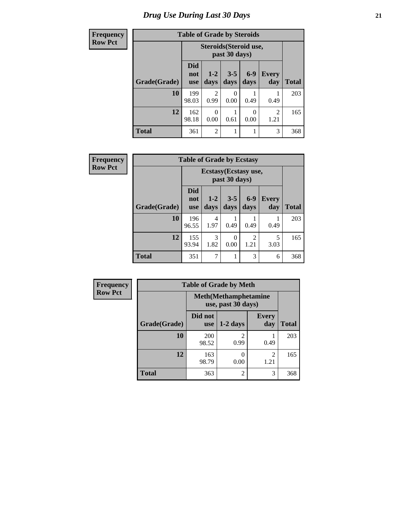| <b>Frequency</b> | <b>Table of Grade by Steroids</b> |                                 |                        |                  |                  |                        |       |
|------------------|-----------------------------------|---------------------------------|------------------------|------------------|------------------|------------------------|-------|
| <b>Row Pct</b>   |                                   |                                 | Steroids (Steroid use, | past 30 days)    |                  |                        |       |
|                  | Grade(Grade)                      | <b>Did</b><br>not<br><b>use</b> | $1 - 2$<br>days        | $3 - 5$<br>days  | $6-9$<br>days    | <b>Every</b><br>day    | Total |
|                  | 10                                | 199<br>98.03                    | $\overline{2}$<br>0.99 | $\Omega$<br>0.00 | 0.49             | 0.49                   | 203   |
|                  | 12                                | 162<br>98.18                    | 0<br>0.00              | 0.61             | $\Omega$<br>0.00 | $\overline{2}$<br>1.21 | 165   |
|                  | <b>Total</b>                      | 361                             | 2                      | 1                |                  | 3                      | 368   |

| Frequency      |              | <b>Table of Grade by Ecstasy</b> |                       |                  |                        |              |              |
|----------------|--------------|----------------------------------|-----------------------|------------------|------------------------|--------------|--------------|
| <b>Row Pct</b> |              |                                  | Ecstasy (Ecstasy use, | past 30 days)    |                        |              |              |
|                | Grade(Grade) | <b>Did</b><br>not<br><b>use</b>  | $1-2$<br>days         | $3 - 5$<br>days  | $6-9$<br>days          | Every<br>day | <b>Total</b> |
|                | 10           | 196<br>96.55                     | 4<br>1.97             | 0.49             | 0.49                   | 0.49         | 203          |
|                | 12           | 155<br>93.94                     | 3<br>1.82             | $\theta$<br>0.00 | $\mathfrak{D}$<br>1.21 | 5<br>3.03    | 165          |
|                | <b>Total</b> | 351                              | 7                     |                  | 3                      | 6            | 368          |

| <b>Frequency</b> | <b>Table of Grade by Meth</b> |                |                                                    |                                  |              |  |  |  |
|------------------|-------------------------------|----------------|----------------------------------------------------|----------------------------------|--------------|--|--|--|
| <b>Row Pct</b>   |                               |                | <b>Meth</b> (Methamphetamine<br>use, past 30 days) |                                  |              |  |  |  |
|                  | Grade(Grade)                  | Did not<br>use | $1-2$ days                                         | <b>Every</b><br>day              | <b>Total</b> |  |  |  |
|                  | 10                            | 200<br>98.52   | 0.99                                               | 0.49                             | 203          |  |  |  |
|                  | 12                            | 163<br>98.79   | 0.00                                               | $\overline{\mathcal{L}}$<br>1.21 | 165          |  |  |  |
|                  | <b>Total</b>                  | 363            | $\overline{c}$                                     | 3                                | 368          |  |  |  |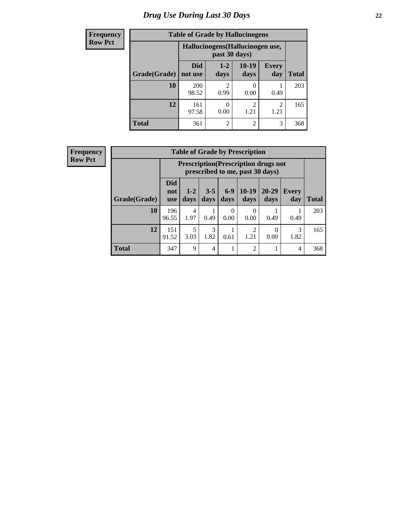# *Drug Use During Last 30 Days* **22**

| <b>Frequency</b> |              | <b>Table of Grade by Hallucinogens</b> |                       |                 |                        |              |
|------------------|--------------|----------------------------------------|-----------------------|-----------------|------------------------|--------------|
| <b>Row Pct</b>   |              | Hallucinogens (Hallucinogen use,       |                       |                 |                        |              |
|                  | Grade(Grade) | <b>Did</b><br>not use                  | $1 - 2$<br>days       | $10-19$<br>days | <b>Every</b><br>day    | <b>Total</b> |
|                  | 10           | 200<br>98.52                           | $\mathcal{D}$<br>0.99 | 0<br>0.00       | 0.49                   | 203          |
|                  | 12           | 161<br>97.58                           | 0.00                  | 2<br>1.21       | $\mathfrak{D}$<br>1.21 | 165          |
|                  | <b>Total</b> | 361                                    | $\overline{2}$        | $\overline{2}$  | 3                      | 368          |

| <b>Frequency</b> |
|------------------|
| <b>Row Pct</b>   |

| <b>Table of Grade by Prescription</b> |              |                                                                                                                                                                                                                                                           |      |           |                |      |      |     |  |
|---------------------------------------|--------------|-----------------------------------------------------------------------------------------------------------------------------------------------------------------------------------------------------------------------------------------------------------|------|-----------|----------------|------|------|-----|--|
|                                       |              | <b>Prescription</b> (Prescription drugs not<br>prescribed to me, past 30 days)<br><b>Did</b><br>$6 - 9$<br>$10-19$<br>$3 - 5$<br>$20 - 29$<br>$1 - 2$<br><b>Every</b><br>not<br><b>Total</b><br>days<br>days<br>days<br>days<br>day<br>days<br><b>use</b> |      |           |                |      |      |     |  |
| Grade(Grade)                          |              |                                                                                                                                                                                                                                                           |      |           |                |      |      |     |  |
| 10                                    | 196<br>96.55 | 4<br>1.97                                                                                                                                                                                                                                                 | 0.49 | 0<br>0.00 | 0<br>0.00      | 0.49 | 0.49 | 203 |  |
| 12                                    | 151<br>91.52 | 3<br>5<br>2<br>3<br>1.82<br>1.82<br>1.21<br>3.03<br>0.00<br>0.61                                                                                                                                                                                          |      |           |                |      |      |     |  |
| <b>Total</b>                          | 347          | 9                                                                                                                                                                                                                                                         | 4    |           | $\overline{2}$ |      | 4    | 368 |  |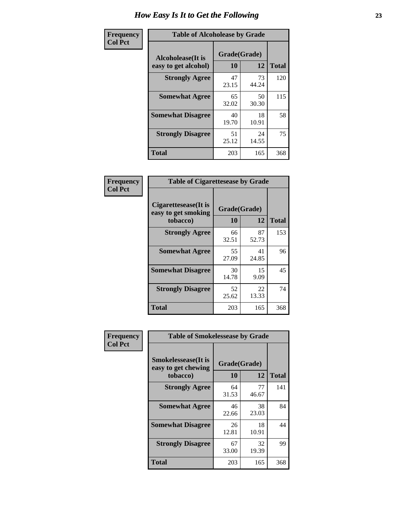| Frequency      | <b>Table of Alcoholease by Grade</b>              |                    |             |              |  |  |  |
|----------------|---------------------------------------------------|--------------------|-------------|--------------|--|--|--|
| <b>Col Pct</b> | <b>Alcoholease</b> (It is<br>easy to get alcohol) | Grade(Grade)<br>10 | 12          | <b>Total</b> |  |  |  |
|                | <b>Strongly Agree</b>                             | 47<br>23.15        | 73<br>44.24 | 120          |  |  |  |
|                | <b>Somewhat Agree</b>                             | 65<br>32.02        | 50<br>30.30 | 115          |  |  |  |
|                | <b>Somewhat Disagree</b>                          | 40<br>19.70        | 18<br>10.91 | 58           |  |  |  |
|                | <b>Strongly Disagree</b>                          | 51<br>25.12        | 24<br>14.55 | 75           |  |  |  |
|                | <b>Total</b>                                      | 203                | 165         | 368          |  |  |  |

| Frequency      | <b>Table of Cigarettesease by Grade</b>                 |                    |                   |     |  |  |
|----------------|---------------------------------------------------------|--------------------|-------------------|-----|--|--|
| <b>Col Pct</b> | Cigarettesease(It is<br>easy to get smoking<br>tobacco) | Grade(Grade)<br>10 | <b>Total</b>      |     |  |  |
|                | <b>Strongly Agree</b>                                   | 66<br>32.51        | 12<br>87<br>52.73 | 153 |  |  |
|                | <b>Somewhat Agree</b>                                   | 55<br>27.09        | 41<br>24.85       | 96  |  |  |
|                | <b>Somewhat Disagree</b>                                | 30<br>14.78        | 15<br>9.09        | 45  |  |  |
|                | <b>Strongly Disagree</b>                                | 52<br>25.62        | 22<br>13.33       | 74  |  |  |
|                | <b>Total</b>                                            | 203                | 165               | 368 |  |  |

| Frequency      | <b>Table of Smokelessease by Grade</b>                         |                    |             |              |
|----------------|----------------------------------------------------------------|--------------------|-------------|--------------|
| <b>Col Pct</b> | <b>Smokelessease</b> (It is<br>easy to get chewing<br>tobacco) | Grade(Grade)<br>10 | 12          | <b>Total</b> |
|                | <b>Strongly Agree</b>                                          | 64<br>31.53        | 77<br>46.67 | 141          |
|                | <b>Somewhat Agree</b>                                          | 46<br>22.66        | 38<br>23.03 | 84           |
|                | <b>Somewhat Disagree</b>                                       | 26<br>12.81        | 18<br>10.91 | 44           |
|                | <b>Strongly Disagree</b>                                       | 67<br>33.00        | 32<br>19.39 | 99           |
|                | <b>Total</b>                                                   | 203                | 165         | 368          |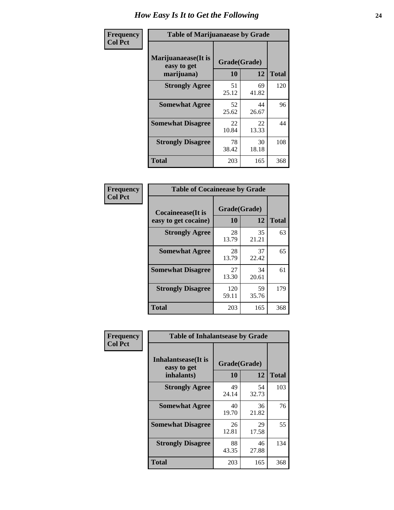| Frequency      | <b>Table of Marijuanaease by Grade</b>           |                    |             |              |  |  |  |  |  |
|----------------|--------------------------------------------------|--------------------|-------------|--------------|--|--|--|--|--|
| <b>Col Pct</b> | Marijuanaease(It is<br>easy to get<br>marijuana) | Grade(Grade)<br>10 | 12          | <b>Total</b> |  |  |  |  |  |
|                | <b>Strongly Agree</b>                            | 51<br>25.12        | 69<br>41.82 | 120          |  |  |  |  |  |
|                | <b>Somewhat Agree</b>                            | 52<br>25.62        | 44<br>26.67 | 96           |  |  |  |  |  |
|                | <b>Somewhat Disagree</b>                         | 22<br>10.84        | 22<br>13.33 | 44           |  |  |  |  |  |
|                | <b>Strongly Disagree</b>                         | 78<br>38.42        | 30<br>18.18 | 108          |  |  |  |  |  |
|                | <b>Total</b>                                     | 203                | 165         | 368          |  |  |  |  |  |

| <b>Table of Cocaineease by Grade</b> |              |             |              |  |  |  |  |  |  |
|--------------------------------------|--------------|-------------|--------------|--|--|--|--|--|--|
| <b>Cocaineease</b> (It is            | Grade(Grade) |             |              |  |  |  |  |  |  |
| easy to get cocaine)                 | 10           | 12          | <b>Total</b> |  |  |  |  |  |  |
| <b>Strongly Agree</b>                | 28<br>13.79  | 35<br>21.21 | 63           |  |  |  |  |  |  |
| <b>Somewhat Agree</b>                | 28<br>13.79  | 37<br>22.42 | 65           |  |  |  |  |  |  |
| <b>Somewhat Disagree</b>             | 27<br>13.30  | 34<br>20.61 | 61           |  |  |  |  |  |  |
| <b>Strongly Disagree</b>             | 120<br>59.11 | 59<br>35.76 | 179          |  |  |  |  |  |  |
| <b>Total</b>                         | 203          | 165         | 368          |  |  |  |  |  |  |

| Frequency      | <b>Table of Inhalantsease by Grade</b>     |              |             |              |  |  |  |  |  |
|----------------|--------------------------------------------|--------------|-------------|--------------|--|--|--|--|--|
| <b>Col Pct</b> | <b>Inhalantsease</b> (It is<br>easy to get | Grade(Grade) |             |              |  |  |  |  |  |
|                | inhalants)                                 | 10           | 12          | <b>Total</b> |  |  |  |  |  |
|                | <b>Strongly Agree</b>                      | 49<br>24.14  | 54<br>32.73 | 103          |  |  |  |  |  |
|                | <b>Somewhat Agree</b>                      | 40<br>19.70  | 36<br>21.82 | 76           |  |  |  |  |  |
|                | <b>Somewhat Disagree</b>                   | 26<br>12.81  | 29<br>17.58 | 55           |  |  |  |  |  |
|                | <b>Strongly Disagree</b>                   | 88<br>43.35  | 46<br>27.88 | 134          |  |  |  |  |  |
|                | <b>Total</b>                               | 203          | 165         | 368          |  |  |  |  |  |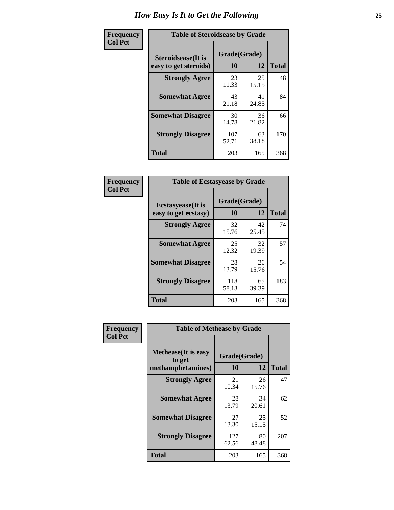| Frequency      | <b>Table of Steroidsease by Grade</b>               |                    |              |     |  |  |  |  |  |
|----------------|-----------------------------------------------------|--------------------|--------------|-----|--|--|--|--|--|
| <b>Col Pct</b> | <b>Steroidsease</b> (It is<br>easy to get steroids) | Grade(Grade)<br>10 | <b>Total</b> |     |  |  |  |  |  |
|                | <b>Strongly Agree</b>                               | 23<br>11.33        | 25<br>15.15  | 48  |  |  |  |  |  |
|                | <b>Somewhat Agree</b>                               | 43<br>21.18        | 41<br>24.85  | 84  |  |  |  |  |  |
|                | <b>Somewhat Disagree</b>                            | 30<br>14.78        | 36<br>21.82  | 66  |  |  |  |  |  |
|                | <b>Strongly Disagree</b>                            | 107<br>52.71       | 63<br>38.18  | 170 |  |  |  |  |  |
|                | <b>Total</b>                                        | 203                | 165          | 368 |  |  |  |  |  |

| Frequency      | <b>Table of Ecstasyease by Grade</b>              |                    |              |     |  |  |  |  |
|----------------|---------------------------------------------------|--------------------|--------------|-----|--|--|--|--|
| <b>Col Pct</b> | <b>Ecstasyease</b> (It is<br>easy to get ecstasy) | Grade(Grade)<br>10 | <b>Total</b> |     |  |  |  |  |
|                | <b>Strongly Agree</b>                             | 32<br>15.76        | 42<br>25.45  | 74  |  |  |  |  |
|                | <b>Somewhat Agree</b>                             | 25<br>12.32        | 32<br>19.39  | 57  |  |  |  |  |
|                | <b>Somewhat Disagree</b>                          | 28<br>13.79        | 26<br>15.76  | 54  |  |  |  |  |
|                | <b>Strongly Disagree</b>                          | 118<br>58.13       | 65<br>39.39  | 183 |  |  |  |  |
|                | <b>Total</b>                                      | 203                | 165          | 368 |  |  |  |  |

| Frequency      | <b>Table of Methease by Grade</b>                          |                    |             |              |  |  |  |  |  |
|----------------|------------------------------------------------------------|--------------------|-------------|--------------|--|--|--|--|--|
| <b>Col Pct</b> | <b>Methease</b> (It is easy<br>to get<br>methamphetamines) | Grade(Grade)<br>10 | 12          | <b>Total</b> |  |  |  |  |  |
|                | <b>Strongly Agree</b>                                      | 21<br>10.34        | 26<br>15.76 | 47           |  |  |  |  |  |
|                | <b>Somewhat Agree</b>                                      | 28<br>13.79        | 34<br>20.61 | 62           |  |  |  |  |  |
|                | <b>Somewhat Disagree</b>                                   | 27<br>13.30        | 25<br>15.15 | 52           |  |  |  |  |  |
|                | <b>Strongly Disagree</b>                                   | 127<br>62.56       | 80<br>48.48 | 207          |  |  |  |  |  |
|                | <b>Total</b>                                               | 203                | 165         | 368          |  |  |  |  |  |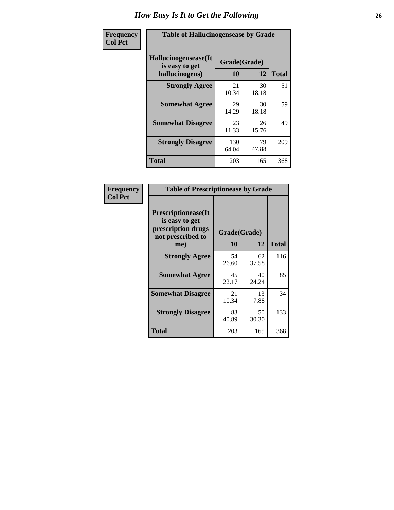| <b>Frequency</b> | <b>Table of Hallucinogensease by Grade</b>                |                    |             |              |  |  |  |  |  |
|------------------|-----------------------------------------------------------|--------------------|-------------|--------------|--|--|--|--|--|
| <b>Col Pct</b>   | Hallucinogensease(It)<br>is easy to get<br>hallucinogens) | Grade(Grade)<br>10 | 12          | <b>Total</b> |  |  |  |  |  |
|                  | <b>Strongly Agree</b>                                     | 21<br>10.34        | 30<br>18.18 | 51           |  |  |  |  |  |
|                  | <b>Somewhat Agree</b>                                     | 29<br>14.29        | 30<br>18.18 | 59           |  |  |  |  |  |
|                  | <b>Somewhat Disagree</b>                                  | 23<br>11.33        | 26<br>15.76 | 49           |  |  |  |  |  |
|                  | <b>Strongly Disagree</b>                                  | 130<br>64.04       | 79<br>47.88 | 209          |  |  |  |  |  |
|                  | <b>Total</b>                                              | 203                | 165         | 368          |  |  |  |  |  |

| Frequency<br>  Col Pct |
|------------------------|

| <b>Table of Prescriptionease by Grade</b>                                                |              |             |              |  |  |  |  |  |  |
|------------------------------------------------------------------------------------------|--------------|-------------|--------------|--|--|--|--|--|--|
| <b>Prescriptionease</b> (It<br>is easy to get<br>prescription drugs<br>not prescribed to | Grade(Grade) |             |              |  |  |  |  |  |  |
| me)                                                                                      | 10           | 12          | <b>Total</b> |  |  |  |  |  |  |
| <b>Strongly Agree</b>                                                                    | 54<br>26.60  | 62<br>37.58 | 116          |  |  |  |  |  |  |
| <b>Somewhat Agree</b>                                                                    | 45<br>22.17  | 40<br>24.24 | 85           |  |  |  |  |  |  |
| <b>Somewhat Disagree</b>                                                                 | 21<br>10.34  | 13<br>7.88  | 34           |  |  |  |  |  |  |
| <b>Strongly Disagree</b>                                                                 | 83<br>40.89  | 50<br>30.30 | 133          |  |  |  |  |  |  |
| Total                                                                                    | 203          | 165         | 368          |  |  |  |  |  |  |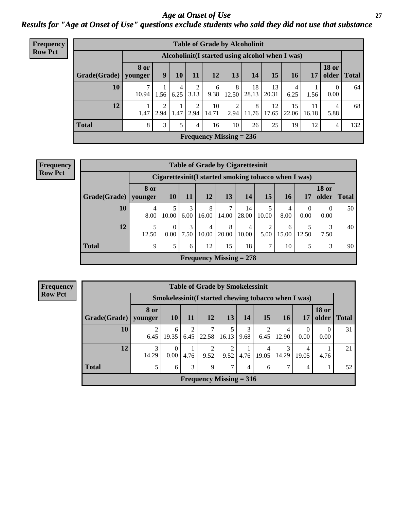### *Age at Onset of Use* **27** *Results for "Age at Onset of Use" questions exclude students who said they did not use that substance*

| <b>Frequency</b> |              |                        |                                                  |           |           |                           |                        | <b>Table of Grade by Alcoholinit</b> |             |             |             |                       |              |
|------------------|--------------|------------------------|--------------------------------------------------|-----------|-----------|---------------------------|------------------------|--------------------------------------|-------------|-------------|-------------|-----------------------|--------------|
| <b>Row Pct</b>   |              |                        | Alcoholinit (I started using alcohol when I was) |           |           |                           |                        |                                      |             |             |             |                       |              |
|                  | Grade(Grade) | <b>8 or</b><br>younger | 9                                                | 10        | 11        | 12                        | 13                     | 14                                   | 15          | <b>16</b>   | 17          | <b>18 or</b><br>older | <b>Total</b> |
|                  | 10           | 10.94                  | 1.56                                             | 4<br>6.25 | 2<br>3.13 | 6<br>9.38                 | 8<br>12.50             | 18<br>28.13                          | 13<br>20.31 | 6.25        | 1.56        | $\Omega$<br>0.00      | 64           |
|                  | 12           | 1.47                   | 2<br>2.94                                        | 1.47      | 2<br>2.94 | 10<br>14.71               | $\overline{2}$<br>2.94 | 8<br>11.76                           | 12<br>17.65 | 15<br>22.06 | 11<br>16.18 | 4<br>5.88             | 68           |
|                  | <b>Total</b> | 8                      | 3                                                | 5         | 4         | 16                        | 10                     | 26                                   | 25          | 19          | 12          | 4                     | 132          |
|                  |              |                        |                                                  |           |           | Frequency Missing $= 236$ |                        |                                      |             |             |             |                       |              |

| <b>Frequency</b> |
|------------------|
| <b>Row Pct</b>   |

| <b>Table of Grade by Cigarettesinit</b> |                 |                                                      |           |                           |            |             |               |            |           |                       |              |
|-----------------------------------------|-----------------|------------------------------------------------------|-----------|---------------------------|------------|-------------|---------------|------------|-----------|-----------------------|--------------|
|                                         |                 | Cigarettesinit(I started smoking tobacco when I was) |           |                           |            |             |               |            |           |                       |              |
| Grade(Grade)                            | 8 or<br>vounger | <b>10</b>                                            | 11        | <b>12</b>                 | 13         | 14          | 15            | 16         | 17        | <b>18 or</b><br>older | <b>Total</b> |
| 10                                      | 4<br>8.00       | 10.00                                                | 3<br>6.00 | 8<br>16.00                | 7<br>14.00 | 14<br>28.00 | 10.00         | 4<br>8.00  | 0<br>0.00 | $\Omega$<br>0.00      | 50           |
| 12                                      | 5<br>12.50      | $\Omega$<br>0.00                                     | 3<br>7.50 | $\overline{4}$<br>10.00   | 8<br>20.00 | 4<br>10.00  | 2<br>5.00     | 6<br>15.00 | 12.50     | 3<br>7.50             | 40           |
| <b>Total</b>                            | 9               | 5                                                    | 6         | 12                        | 15         | 18          | $\mathcal{I}$ | 10         | 5         | 3                     | 90           |
|                                         |                 |                                                      |           | Frequency Missing $= 278$ |            |             |               |            |           |                       |              |

**Frequency Row Pct**

|              | <b>Table of Grade by Smokelessinit</b>          |                                                      |           |       |           |           |            |            |                  |                       |              |
|--------------|-------------------------------------------------|------------------------------------------------------|-----------|-------|-----------|-----------|------------|------------|------------------|-----------------------|--------------|
|              |                                                 | Smokelessinit (I started chewing tobacco when I was) |           |       |           |           |            |            |                  |                       |              |
| Grade(Grade) | 8 or<br>younger                                 | <b>10</b>                                            | 11        | 12    | 13        | 14        | 15         | <b>16</b>  | 17               | <b>18 or</b><br>older | <b>Total</b> |
| 10           | 2<br>6.45                                       | 6<br>19.35                                           | 2<br>6.45 | 22.58 | 16.13     | 3<br>9.68 | 2<br>6.45  | 4<br>12.90 | $\Omega$<br>0.00 | $\theta$<br>0.00      | 31           |
| 12           | 3<br>14.29                                      | 0<br>0.00                                            | 4.76      | 9.52  | 2<br>9.52 | 4.76      | 4<br>19.05 | 3<br>14.29 | 4<br>19.05       | 4.76                  | 21           |
| <b>Total</b> | 3<br>7<br>7<br>5<br>9<br>6<br>4<br>52<br>4<br>6 |                                                      |           |       |           |           |            |            |                  |                       |              |
|              | Frequency Missing $= 316$                       |                                                      |           |       |           |           |            |            |                  |                       |              |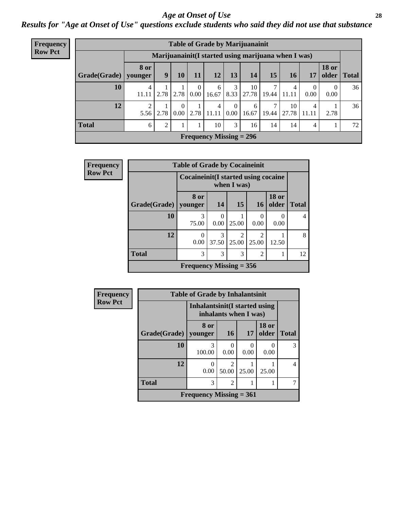### *Age at Onset of Use* **28**

*Results for "Age at Onset of Use" questions exclude students who said they did not use that substance*

| <b>Frequency</b> | <b>Table of Grade by Marijuanainit</b>              |                        |      |          |                  |                           |                      |             |       |             |                         |                                |              |
|------------------|-----------------------------------------------------|------------------------|------|----------|------------------|---------------------------|----------------------|-------------|-------|-------------|-------------------------|--------------------------------|--------------|
| <b>Row Pct</b>   | Marijuanainit(I started using marijuana when I was) |                        |      |          |                  |                           |                      |             |       |             |                         |                                |              |
|                  | Grade(Grade)                                        | <b>8 or</b><br>younger | 9    | 10       | 11               | 12                        | 13                   | 14          | 15    | 16          | 17                      | <b>18 or</b><br>$\Omega$ older | <b>Total</b> |
|                  | 10                                                  | 4<br>11.11             | 2.78 | 2.78     | $\theta$<br>0.00 | 6<br>16.67                | 3<br>8.33            | 10<br>27.78 | 19.44 | 4<br>11.11  | $\Omega$<br>0.00        | $\Omega$<br>0.00               | 36           |
|                  | 12                                                  | $\overline{2}$<br>5.56 | 2.78 | $0.00\,$ | 2.78             | 4<br>11.11                | $\theta$<br>$0.00\,$ | 6<br>16.67  | 19.44 | 10<br>27.78 | $\overline{4}$<br>11.11 | 2.78                           | 36           |
|                  | <b>Total</b>                                        | 6                      | 2    |          |                  | 10                        | 3                    | 16          | 14    | 14          | $\overline{4}$          |                                | 72           |
|                  |                                                     |                        |      |          |                  | Frequency Missing $= 296$ |                      |             |       |             |                         |                                |              |

| <b>Frequency</b> |              | <b>Table of Grade by Cocaineinit</b>       |                  |                        |                         |                       |              |  |
|------------------|--------------|--------------------------------------------|------------------|------------------------|-------------------------|-----------------------|--------------|--|
| <b>Row Pct</b>   |              | <b>Cocaineinit(I started using cocaine</b> |                  | when I was)            |                         |                       |              |  |
|                  | Grade(Grade) | 8 or<br>vounger                            | 14               | <b>15</b>              | <b>16</b>               | <b>18 or</b><br>older | <b>Total</b> |  |
|                  | 10           | 3<br>75.00                                 | $\theta$<br>0.00 | 25.00                  | 0.00                    | $\theta$<br>0.00      | 4            |  |
|                  | 12           | 0<br>0.00                                  | 3<br>37.50       | $\mathcal{D}$<br>25.00 | $\mathfrak{D}$<br>25.00 | 12.50                 | 8            |  |
|                  | <b>Total</b> | 3<br>3<br>3<br>$\mathfrak{D}$              |                  |                        |                         |                       |              |  |
|                  |              | Frequency Missing $= 356$                  |                  |                        |                         |                       |              |  |

| <b>Frequency</b> | <b>Table of Grade by Inhalantsinit</b> |                                                         |                                      |       |                       |              |  |  |  |  |
|------------------|----------------------------------------|---------------------------------------------------------|--------------------------------------|-------|-----------------------|--------------|--|--|--|--|
| <b>Row Pct</b>   |                                        | Inhalantsinit (I started using<br>inhalants when I was) |                                      |       |                       |              |  |  |  |  |
|                  | Grade(Grade)                           | 8 or<br>vounger                                         | 16                                   | 17    | <b>18 or</b><br>older | <b>Total</b> |  |  |  |  |
|                  | 10                                     | 3<br>100.00                                             | 0<br>0.00                            | 0.00  | 0<br>0.00             | 3            |  |  |  |  |
|                  | 12                                     | 0<br>0.00                                               | $\mathcal{D}_{\mathcal{L}}$<br>50.00 | 25.00 | 25.00                 | 4            |  |  |  |  |
|                  | <b>Total</b>                           | 3                                                       | $\overline{2}$                       |       |                       |              |  |  |  |  |
|                  |                                        | Frequency Missing $= 361$                               |                                      |       |                       |              |  |  |  |  |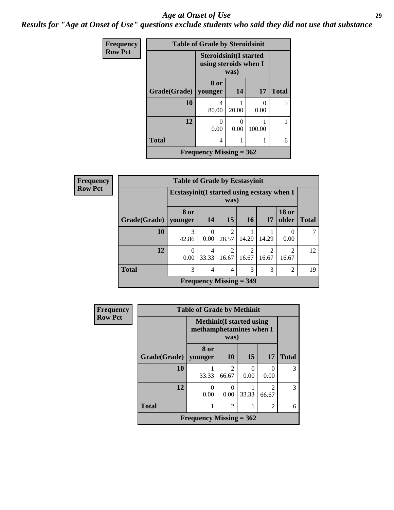#### *Age at Onset of Use* **29**

*Results for "Age at Onset of Use" questions exclude students who said they did not use that substance*

| Frequency      |              | <b>Table of Grade by Steroidsinit</b>                  |                     |                           |              |  |  |  |
|----------------|--------------|--------------------------------------------------------|---------------------|---------------------------|--------------|--|--|--|
| <b>Row Pct</b> |              | <b>Steroidsinit(I started</b><br>using steroids when I | was)                |                           |              |  |  |  |
|                |              | 8 or                                                   |                     |                           | <b>Total</b> |  |  |  |
|                | Grade(Grade) |                                                        | 14<br>17<br>younger |                           |              |  |  |  |
|                | 10           | 4<br>80.00                                             | 20.00               | $\mathbf{\Omega}$<br>0.00 | 5            |  |  |  |
|                | 12           | 0<br>0.00                                              | ∩<br>0.00           | 100.00                    |              |  |  |  |
|                | <b>Total</b> | 4                                                      | 1                   |                           |              |  |  |  |
|                |              | Frequency Missing $= 362$                              |                     |                           |              |  |  |  |

| <b>Frequency</b> |                        | <b>Table of Grade by Ecstasyinit</b>        |                                    |                                                                                                                                                                          |                                      |                         |                         |              |  |  |  |
|------------------|------------------------|---------------------------------------------|------------------------------------|--------------------------------------------------------------------------------------------------------------------------------------------------------------------------|--------------------------------------|-------------------------|-------------------------|--------------|--|--|--|
| <b>Row Pct</b>   |                        | Ecstasyinit (I started using ecstasy when I |                                    | was)                                                                                                                                                                     |                                      |                         |                         |              |  |  |  |
|                  | Grade(Grade)   younger | 8 or                                        | 14                                 | 15                                                                                                                                                                       | <b>16</b>                            | 17                      | <b>18 or</b><br>older   | <b>Total</b> |  |  |  |
|                  | 10                     | 3<br>42.86                                  | 0<br>0.00                          | $\mathcal{D}_{\mathcal{A}}^{\mathcal{A}}(\mathcal{A})=\mathcal{D}_{\mathcal{A}}^{\mathcal{A}}(\mathcal{A})\mathcal{D}_{\mathcal{A}}^{\mathcal{A}}(\mathcal{A})$<br>28.57 | 14.29                                | 14.29                   | $\theta$<br>0.00        | 7            |  |  |  |
|                  | 12                     | $\Omega$<br>0.00                            | 4<br>33.33                         | $\mathfrak{D}$<br>16.67                                                                                                                                                  | $\mathcal{D}_{\mathcal{L}}$<br>16.67 | $\mathfrak{D}$<br>16.67 | $\mathfrak{D}$<br>16.67 | 12           |  |  |  |
|                  | <b>Total</b>           | 3                                           | 3<br>3<br>$\overline{2}$<br>4<br>4 |                                                                                                                                                                          |                                      |                         |                         |              |  |  |  |
|                  |                        |                                             |                                    |                                                                                                                                                                          | Frequency Missing $=$ 349            |                         |                         |              |  |  |  |

| Frequency      |              | <b>Table of Grade by Methinit</b>                           |           |       |                        |              |
|----------------|--------------|-------------------------------------------------------------|-----------|-------|------------------------|--------------|
| <b>Row Pct</b> |              | <b>Methinit</b> (I started using<br>methamphetamines when I | was)      |       |                        |              |
|                | Grade(Grade) | 8 or<br>younger                                             | <b>10</b> | 15    | <b>17</b>              | <b>Total</b> |
|                | 10           | 33.33                                                       | 66.67     | 0.00  | 0<br>0.00              | 3            |
|                | 12           | 0<br>0.00                                                   | 0.00      | 33.33 | $\mathcal{D}$<br>66.67 | 3            |
|                | <b>Total</b> | 1                                                           | 6         |       |                        |              |
|                |              | Frequency Missing $= 362$                                   |           |       |                        |              |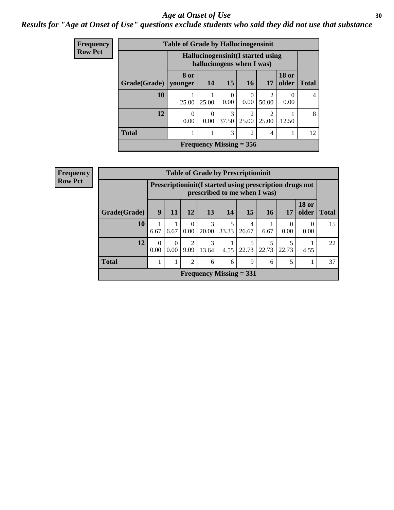### Age at Onset of Use **30**

### *Results for "Age at Onset of Use" questions exclude students who said they did not use that substance*

| Frequency      |              | <b>Table of Grade by Hallucinogensinit</b> |                          |                           |                         |                                    |                       |              |  |  |  |
|----------------|--------------|--------------------------------------------|--------------------------|---------------------------|-------------------------|------------------------------------|-----------------------|--------------|--|--|--|
| <b>Row Pct</b> |              |                                            |                          | hallucinogens when I was) |                         | Hallucinogensinit (I started using |                       |              |  |  |  |
|                | Grade(Grade) | 8 or<br>younger                            | 14                       | 15                        | <b>16</b>               | 17                                 | <b>18 or</b><br>older | <b>Total</b> |  |  |  |
|                | 10           | 25.00                                      | 25.00                    | $\Omega$<br>0.00          | 0<br>0.00               | 2<br>50.00                         | $\left($<br>0.00      | 4            |  |  |  |
|                | 12           | $\theta$<br>0.00                           | $\Omega$<br>0.00         | 3<br>37.50                | $\overline{c}$<br>25.00 | $\mathfrak{D}$<br>25.00            | 12.50                 | 8            |  |  |  |
|                | <b>Total</b> |                                            | 3<br>$\overline{2}$<br>4 |                           |                         |                                    |                       |              |  |  |  |
|                |              |                                            |                          | Frequency Missing $= 356$ |                         |                                    |                       |              |  |  |  |

| <b>Frequency</b>                           |              |                  |                  |                        | <b>Table of Grade by Prescriptioninit</b> |            |            |                                                                                            |            |                       |              |
|--------------------------------------------|--------------|------------------|------------------|------------------------|-------------------------------------------|------------|------------|--------------------------------------------------------------------------------------------|------------|-----------------------|--------------|
| <b>Row Pct</b>                             |              |                  |                  |                        |                                           |            |            | Prescription in it (I started using prescription drugs not<br>prescribed to me when I was) |            |                       |              |
|                                            | Grade(Grade) | 9                | 11               | 12                     | 13                                        | 14         | 15         | 16                                                                                         | 17         | <b>18 or</b><br>older | <b>Total</b> |
|                                            | 10           | 6.67             | 6.67             | $\Omega$<br>0.00       | 3<br>20.00                                | 5<br>33.33 | 4<br>26.67 | 6.67                                                                                       | 0<br>0.00  | $\theta$<br>0.00      | 15           |
|                                            | 12           | $\Omega$<br>0.00 | $\Omega$<br>0.00 | $\mathfrak{D}$<br>9.09 | 3<br>13.64                                | 4.55       | 22.73      | 22.73                                                                                      | 5<br>22.73 | 4.55                  | 22           |
| <b>Total</b><br>5<br>2<br>6<br>9<br>6<br>6 |              |                  |                  |                        |                                           |            |            |                                                                                            |            |                       | 37           |
|                                            |              |                  |                  |                        | <b>Frequency Missing = 331</b>            |            |            |                                                                                            |            |                       |              |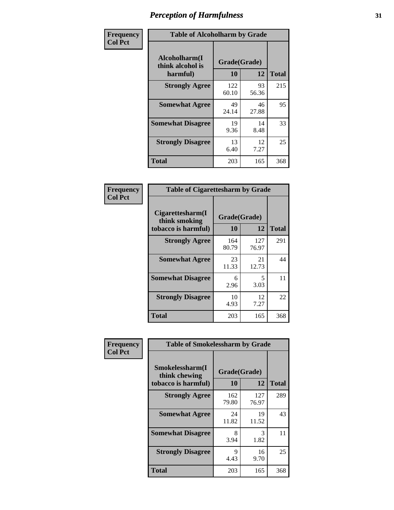| Frequency      |                                               | <b>Table of Alcoholharm by Grade</b> |             |              |  |  |  |  |  |  |  |
|----------------|-----------------------------------------------|--------------------------------------|-------------|--------------|--|--|--|--|--|--|--|
| <b>Col Pct</b> | Alcoholharm(I<br>think alcohol is<br>harmful) | Grade(Grade)<br>10                   | 12          | <b>Total</b> |  |  |  |  |  |  |  |
|                | <b>Strongly Agree</b>                         | 122<br>60.10                         | 93<br>56.36 | 215          |  |  |  |  |  |  |  |
|                | <b>Somewhat Agree</b>                         | 49<br>24.14                          | 46<br>27.88 | 95           |  |  |  |  |  |  |  |
|                | <b>Somewhat Disagree</b>                      | 19<br>9.36                           | 14<br>8.48  | 33           |  |  |  |  |  |  |  |
|                | <b>Strongly Disagree</b>                      | 13<br>6.40                           | 12<br>7.27  | 25           |  |  |  |  |  |  |  |
|                | <b>Total</b>                                  | 203                                  | 165         | 368          |  |  |  |  |  |  |  |

| <b>Table of Cigarettesharm by Grade</b>                                              |              |              |     |  |  |  |  |  |  |
|--------------------------------------------------------------------------------------|--------------|--------------|-----|--|--|--|--|--|--|
| Cigarettesharm(I<br>Grade(Grade)<br>think smoking<br>10<br>12<br>tobacco is harmful) |              |              |     |  |  |  |  |  |  |
| <b>Strongly Agree</b>                                                                | 164<br>80.79 | 127<br>76.97 | 291 |  |  |  |  |  |  |
| <b>Somewhat Agree</b>                                                                | 23<br>11.33  | 21<br>12.73  | 44  |  |  |  |  |  |  |
| <b>Somewhat Disagree</b>                                                             | 6<br>2.96    | 5<br>3.03    | 11  |  |  |  |  |  |  |
| <b>Strongly Disagree</b>                                                             | 10<br>4.93   | 12<br>7.27   | 22  |  |  |  |  |  |  |
| <b>Total</b>                                                                         | 203          | 165          | 368 |  |  |  |  |  |  |

| Frequency      | <b>Table of Smokelessharm by Grade</b>                  |                           |              |              |  |  |  |  |  |
|----------------|---------------------------------------------------------|---------------------------|--------------|--------------|--|--|--|--|--|
| <b>Col Pct</b> | Smokelessharm(I<br>think chewing<br>tobacco is harmful) | Grade(Grade)<br><b>10</b> | 12           | <b>Total</b> |  |  |  |  |  |
|                | <b>Strongly Agree</b>                                   | 162<br>79.80              | 127<br>76.97 | 289          |  |  |  |  |  |
|                | <b>Somewhat Agree</b>                                   | 24<br>11.82               | 19<br>11.52  | 43           |  |  |  |  |  |
|                | <b>Somewhat Disagree</b>                                | 8<br>3.94                 | 3<br>1.82    | 11           |  |  |  |  |  |
|                | <b>Strongly Disagree</b>                                | 9<br>4.43                 | 16<br>9.70   | 25           |  |  |  |  |  |
|                | <b>Total</b>                                            | 203                       | 165          | 368          |  |  |  |  |  |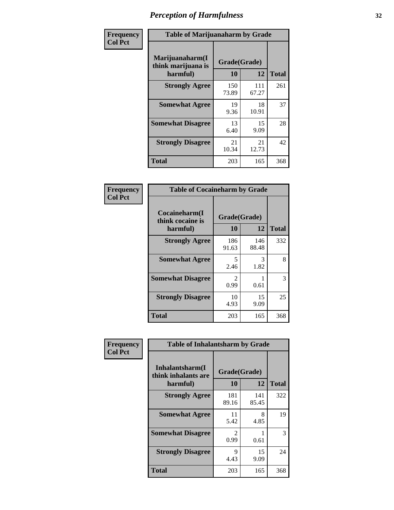| Frequency      | <b>Table of Marijuanaharm by Grade</b>            |                    |              |              |
|----------------|---------------------------------------------------|--------------------|--------------|--------------|
| <b>Col Pct</b> | Marijuanaharm(I<br>think marijuana is<br>harmful) | Grade(Grade)<br>10 | 12           | <b>Total</b> |
|                | <b>Strongly Agree</b>                             | 150<br>73.89       | 111<br>67.27 | 261          |
|                | <b>Somewhat Agree</b>                             | 19<br>9.36         | 18<br>10.91  | 37           |
|                | <b>Somewhat Disagree</b>                          | 13<br>6.40         | 15<br>9.09   | 28           |
|                | <b>Strongly Disagree</b>                          | 21<br>10.34        | 21<br>12.73  | 42           |
|                | <b>Total</b>                                      | 203                | 165          | 368          |

| <b>Table of Cocaineharm by Grade</b>          |                        |              |     |  |  |
|-----------------------------------------------|------------------------|--------------|-----|--|--|
| Cocaineharm(I<br>think cocaine is<br>harmful) | Grade(Grade)<br>10     | <b>Total</b> |     |  |  |
| <b>Strongly Agree</b>                         | 186<br>91.63           | 146<br>88.48 | 332 |  |  |
| <b>Somewhat Agree</b>                         | 5<br>2.46              | 3<br>1.82    | 8   |  |  |
| <b>Somewhat Disagree</b>                      | $\mathfrak{D}$<br>0.99 | 0.61         | 3   |  |  |
| <b>Strongly Disagree</b>                      | 10<br>4.93             | 15<br>9.09   | 25  |  |  |
| <b>Total</b>                                  | 203                    | 165          | 368 |  |  |

| Frequency      | <b>Table of Inhalantsharm by Grade</b>             |                        |              |              |
|----------------|----------------------------------------------------|------------------------|--------------|--------------|
| <b>Col Pct</b> | Inhalantsharm(I<br>think inhalants are<br>harmful) | Grade(Grade)<br>10     | 12           | <b>Total</b> |
|                | <b>Strongly Agree</b>                              | 181<br>89.16           | 141<br>85.45 | 322          |
|                | <b>Somewhat Agree</b>                              | 11<br>5.42             | 8<br>4.85    | 19           |
|                | <b>Somewhat Disagree</b>                           | $\mathfrak{D}$<br>0.99 | 0.61         | 3            |
|                | <b>Strongly Disagree</b>                           | 9<br>4.43              | 15<br>9.09   | 24           |
|                | <b>Total</b>                                       | 203                    | 165          | 368          |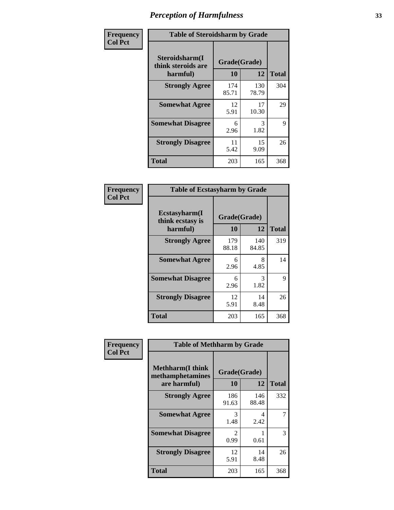| Frequency      | <b>Table of Steroidsharm by Grade</b>            |                    |              |              |
|----------------|--------------------------------------------------|--------------------|--------------|--------------|
| <b>Col Pct</b> | Steroidsharm(I<br>think steroids are<br>harmful) | Grade(Grade)<br>10 | 12           | <b>Total</b> |
|                | <b>Strongly Agree</b>                            | 174<br>85.71       | 130<br>78.79 | 304          |
|                | <b>Somewhat Agree</b>                            | 12<br>5.91         | 17<br>10.30  | 29           |
|                | <b>Somewhat Disagree</b>                         | 6<br>2.96          | 3<br>1.82    | 9            |
|                | <b>Strongly Disagree</b>                         | 11<br>5.42         | 15<br>9.09   | 26           |
|                | <b>Total</b>                                     | 203                | 165          | 368          |

| <b>Table of Ecstasyharm by Grade</b>          |                    |              |              |  |  |
|-----------------------------------------------|--------------------|--------------|--------------|--|--|
| Ecstasyharm(I<br>think ecstasy is<br>harmful) | Grade(Grade)<br>10 | 12           | <b>Total</b> |  |  |
| <b>Strongly Agree</b>                         | 179<br>88.18       | 140<br>84.85 | 319          |  |  |
| <b>Somewhat Agree</b>                         | 6<br>2.96          | 8<br>4.85    | 14           |  |  |
| <b>Somewhat Disagree</b>                      | 6<br>2.96          | 3<br>1.82    | 9            |  |  |
| <b>Strongly Disagree</b>                      | 12<br>5.91         | 14<br>8.48   | 26           |  |  |
| <b>Total</b>                                  | 203                | 165          | 368          |  |  |

| Frequency      | <b>Table of Methharm by Grade</b>           |                        |              |              |  |
|----------------|---------------------------------------------|------------------------|--------------|--------------|--|
| <b>Col Pct</b> | <b>Methharm(I think</b><br>methamphetamines | Grade(Grade)           |              |              |  |
|                | are harmful)                                | 10                     | 12           | <b>Total</b> |  |
|                | <b>Strongly Agree</b>                       | 186<br>91.63           | 146<br>88.48 | 332          |  |
|                | <b>Somewhat Agree</b>                       | 3<br>1.48              | 4<br>2.42    |              |  |
|                | <b>Somewhat Disagree</b>                    | $\mathfrak{D}$<br>0.99 | 0.61         | 3            |  |
|                | <b>Strongly Disagree</b>                    | 12<br>5.91             | 14<br>8.48   | 26           |  |
|                | <b>Total</b>                                | 203                    | 165          | 368          |  |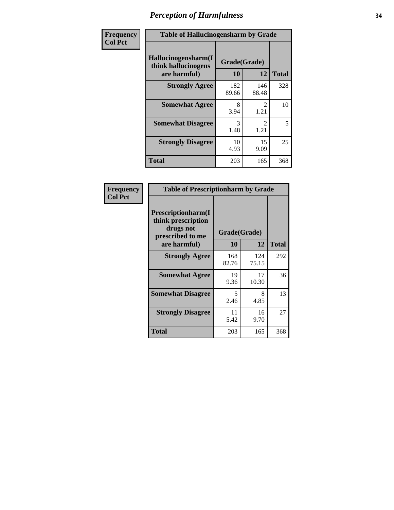| Frequency      | <b>Table of Hallucinogensharm by Grade</b>                 |                    |                                     |              |
|----------------|------------------------------------------------------------|--------------------|-------------------------------------|--------------|
| <b>Col Pct</b> | Hallucinogensharm(I<br>think hallucinogens<br>are harmful) | Grade(Grade)<br>10 | 12                                  | <b>Total</b> |
|                | <b>Strongly Agree</b>                                      | 182<br>89.66       | 146<br>88.48                        | 328          |
|                | <b>Somewhat Agree</b>                                      | 8<br>3.94          | $\mathcal{L}$<br>1.21               | 10           |
|                | <b>Somewhat Disagree</b>                                   | 3<br>1.48          | $\mathcal{D}_{\mathcal{L}}$<br>1.21 | 5            |
|                | <b>Strongly Disagree</b>                                   | 10<br>4.93         | 15<br>9.09                          | 25           |
|                | <b>Total</b>                                               | 203                | 165                                 | 368          |

| <b>Table of Prescriptionharm by Grade</b>                                         |              |              |              |  |
|-----------------------------------------------------------------------------------|--------------|--------------|--------------|--|
| <b>Prescriptionharm</b> (I<br>think prescription<br>drugs not<br>prescribed to me | Grade(Grade) |              |              |  |
| are harmful)                                                                      | 10           | 12           | <b>Total</b> |  |
| <b>Strongly Agree</b>                                                             | 168<br>82.76 | 124<br>75.15 | 292          |  |
| <b>Somewhat Agree</b>                                                             | 19<br>9.36   | 17<br>10.30  | 36           |  |
| <b>Somewhat Disagree</b>                                                          | 5<br>2.46    | 8<br>4.85    | 13           |  |
| <b>Strongly Disagree</b>                                                          | 11<br>5.42   | 16<br>9.70   | 27           |  |
| <b>Total</b>                                                                      | 203          | 165          | 368          |  |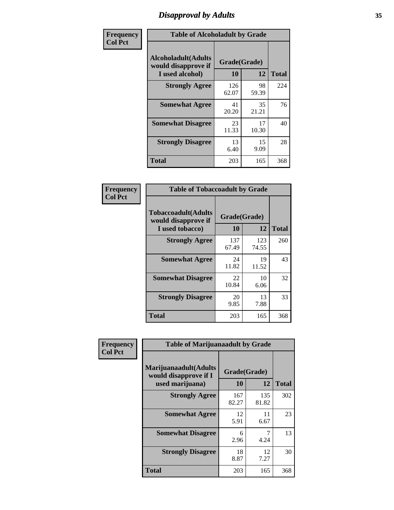# *Disapproval by Adults* **35**

| Frequency      |                                                                       | <b>Table of Alcoholadult by Grade</b> |             |              |  |
|----------------|-----------------------------------------------------------------------|---------------------------------------|-------------|--------------|--|
| <b>Col Pct</b> | <b>Alcoholadult</b> (Adults<br>would disapprove if<br>I used alcohol) | Grade(Grade)<br>10                    | 12          | <b>Total</b> |  |
|                | <b>Strongly Agree</b>                                                 | 126<br>62.07                          | 98<br>59.39 | 224          |  |
|                | <b>Somewhat Agree</b>                                                 | 41<br>20.20                           | 35<br>21.21 | 76           |  |
|                | <b>Somewhat Disagree</b>                                              | 23<br>11.33                           | 17<br>10.30 | 40           |  |
|                | <b>Strongly Disagree</b>                                              | 13<br>6.40                            | 15<br>9.09  | 28           |  |
|                | <b>Total</b>                                                          | 203                                   | 165         | 368          |  |

| <b>Table of Tobaccoadult by Grade</b>                                |              |                    |              |  |
|----------------------------------------------------------------------|--------------|--------------------|--------------|--|
| <b>Tobaccoadult(Adults</b><br>would disapprove if<br>I used tobacco) | 10           | Grade(Grade)<br>12 | <b>Total</b> |  |
| <b>Strongly Agree</b>                                                | 137<br>67.49 | 123<br>74.55       | 260          |  |
| <b>Somewhat Agree</b>                                                | 24<br>11.82  | 19<br>11.52        | 43           |  |
| <b>Somewhat Disagree</b>                                             | 22<br>10.84  | 10<br>6.06         | 32           |  |
| <b>Strongly Disagree</b>                                             | 20<br>9.85   | 13<br>7.88         | 33           |  |
| <b>Total</b>                                                         | 203          | 165                | 368          |  |

| Frequency      | <b>Table of Marijuanaadult by Grade</b>                           |                    |              |              |
|----------------|-------------------------------------------------------------------|--------------------|--------------|--------------|
| <b>Col Pct</b> | Marijuanaadult(Adults<br>would disapprove if I<br>used marijuana) | Grade(Grade)<br>10 | 12           | <b>Total</b> |
|                | <b>Strongly Agree</b>                                             | 167<br>82.27       | 135<br>81.82 | 302          |
|                | <b>Somewhat Agree</b>                                             | 12<br>5.91         | 11<br>6.67   | 23           |
|                | <b>Somewhat Disagree</b>                                          | 6<br>2.96          | 7<br>4.24    | 13           |
|                | <b>Strongly Disagree</b>                                          | 18<br>8.87         | 12<br>7.27   | 30           |
|                | <b>Total</b>                                                      | 203                | 165          | 368          |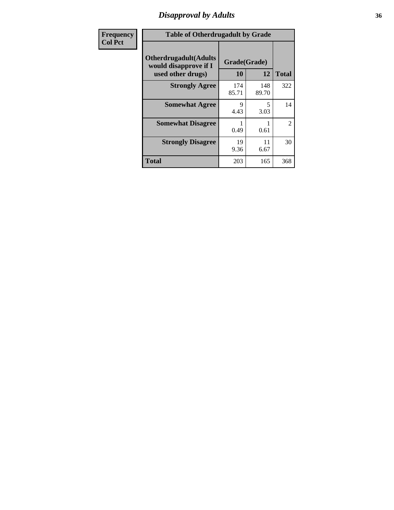### *Disapproval by Adults* **36**

| Frequency      | <b>Table of Otherdrugadult by Grade</b>                                     |                    |              |              |
|----------------|-----------------------------------------------------------------------------|--------------------|--------------|--------------|
| <b>Col Pct</b> | <b>Otherdrugadult</b> (Adults<br>would disapprove if I<br>used other drugs) | Grade(Grade)<br>10 | 12           | <b>Total</b> |
|                | <b>Strongly Agree</b>                                                       | 174<br>85.71       | 148<br>89.70 | 322          |
|                | <b>Somewhat Agree</b>                                                       | Q<br>4.43          | 5<br>3.03    | 14           |
|                | <b>Somewhat Disagree</b>                                                    | 0.49               | 0.61         | 2            |
|                | <b>Strongly Disagree</b>                                                    | 19<br>9.36         | 11<br>6.67   | 30           |
|                | <b>Total</b>                                                                | 203                | 165          | 368          |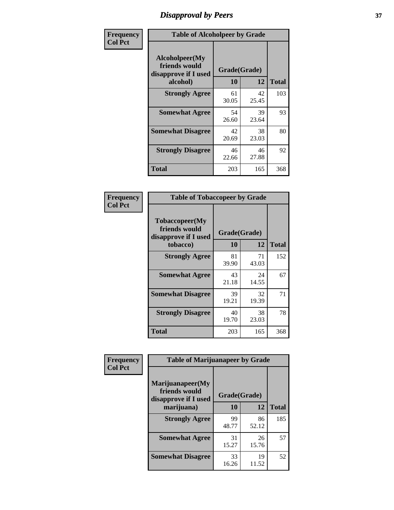# *Disapproval by Peers* **37**

| Frequency      | <b>Table of Alcoholpeer by Grade</b>                    |              |             |              |  |
|----------------|---------------------------------------------------------|--------------|-------------|--------------|--|
| <b>Col Pct</b> | Alcoholpeer(My<br>friends would<br>disapprove if I used | Grade(Grade) |             |              |  |
|                | alcohol)                                                | 10           | 12          | <b>Total</b> |  |
|                | <b>Strongly Agree</b>                                   | 61<br>30.05  | 42<br>25.45 | 103          |  |
|                | <b>Somewhat Agree</b>                                   | 54<br>26.60  | 39<br>23.64 | 93           |  |
|                | <b>Somewhat Disagree</b>                                | 42<br>20.69  | 38<br>23.03 | 80           |  |
|                | <b>Strongly Disagree</b>                                | 46<br>22.66  | 46<br>27.88 | 92           |  |
|                | Total                                                   | 203          | 165         | 368          |  |

| Frequency      | <b>Table of Tobaccopeer by Grade</b>                                |                    |             |              |
|----------------|---------------------------------------------------------------------|--------------------|-------------|--------------|
| <b>Col Pct</b> | Tobaccopeer(My<br>friends would<br>disapprove if I used<br>tobacco) | Grade(Grade)<br>10 | 12          | <b>Total</b> |
|                | <b>Strongly Agree</b>                                               | 81<br>39.90        | 71<br>43.03 | 152          |
|                | <b>Somewhat Agree</b>                                               | 43<br>21.18        | 24<br>14.55 | 67           |
|                | <b>Somewhat Disagree</b>                                            | 39<br>19.21        | 32<br>19.39 | 71           |
|                | <b>Strongly Disagree</b>                                            | 40<br>19.70        | 38<br>23.03 | 78           |
|                | <b>Total</b>                                                        | 203                | 165         | 368          |

| Frequency      | <b>Table of Marijuanapeer by Grade</b>                    |              |             |              |
|----------------|-----------------------------------------------------------|--------------|-------------|--------------|
| <b>Col Pct</b> | Marijuanapeer(My<br>friends would<br>disapprove if I used | Grade(Grade) |             |              |
|                | marijuana)                                                | 10           | 12          | <b>Total</b> |
|                | <b>Strongly Agree</b>                                     | 99<br>48.77  | 86<br>52.12 | 185          |
|                | <b>Somewhat Agree</b>                                     | 31<br>15.27  | 26<br>15.76 | 57           |
|                | <b>Somewhat Disagree</b>                                  | 33<br>16.26  | 19<br>11.52 | 52           |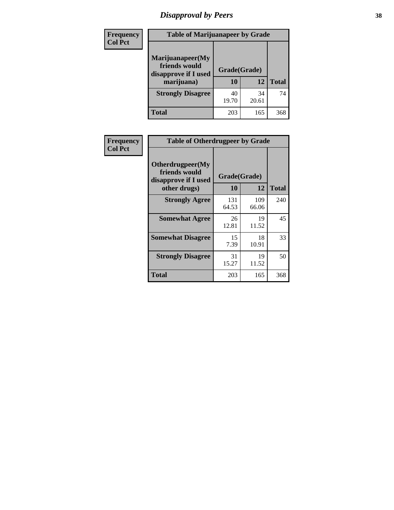# *Disapproval by Peers* **38**

| Frequency<br><b>Col Pct</b> | <b>Table of Marijuanapeer by Grade</b>                                  |                    |             |              |
|-----------------------------|-------------------------------------------------------------------------|--------------------|-------------|--------------|
|                             | Marijuanapeer(My<br>friends would<br>disapprove if I used<br>marijuana) | Grade(Grade)<br>10 | 12          | <b>Total</b> |
|                             | <b>Strongly Disagree</b>                                                | 40<br>19.70        | 34<br>20.61 | 74           |
|                             | Total                                                                   | 203                | 165         | 368          |

| <b>Frequency</b> | <b>Table of Otherdrugpeer by Grade</b>                                    |                           |              |              |
|------------------|---------------------------------------------------------------------------|---------------------------|--------------|--------------|
| <b>Col Pct</b>   | Otherdrugpeer(My<br>friends would<br>disapprove if I used<br>other drugs) | Grade(Grade)<br><b>10</b> | 12           | <b>Total</b> |
|                  |                                                                           |                           |              |              |
|                  | <b>Strongly Agree</b>                                                     | 131<br>64.53              | 109<br>66.06 | 240          |
|                  | <b>Somewhat Agree</b>                                                     | 26<br>12.81               | 19<br>11.52  | 45           |
|                  | <b>Somewhat Disagree</b>                                                  | 15<br>7.39                | 18<br>10.91  | 33           |
|                  | <b>Strongly Disagree</b>                                                  | 31<br>15.27               | 19<br>11.52  | 50           |
|                  | <b>Total</b>                                                              | 203                       | 165          | 368          |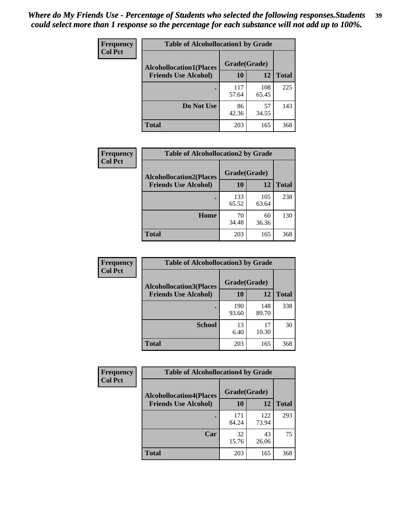| Frequency      | <b>Table of Alcohollocation1 by Grade</b> |              |              |              |
|----------------|-------------------------------------------|--------------|--------------|--------------|
| <b>Col Pct</b> | <b>Alcohollocation1(Places</b>            | Grade(Grade) |              |              |
|                | <b>Friends Use Alcohol)</b>               | 10           | 12           | <b>Total</b> |
|                |                                           | 117<br>57.64 | 108<br>65.45 | 225          |
|                | Do Not Use                                | 86<br>42.36  | 57<br>34.55  | 143          |
|                | <b>Total</b>                              | 203          | 165          | 368          |

| Frequency      | <b>Table of Alcohollocation2 by Grade</b>                     |                    |              |              |
|----------------|---------------------------------------------------------------|--------------------|--------------|--------------|
| <b>Col Pct</b> | <b>Alcohollocation2(Places</b><br><b>Friends Use Alcohol)</b> | Grade(Grade)<br>10 | 12           | <b>Total</b> |
|                |                                                               | 133<br>65.52       | 105<br>63.64 | 238          |
|                | Home                                                          | 70<br>34.48        | 60<br>36.36  | 130          |
|                | Total                                                         | 203                | 165          | 368          |

| <b>Frequency</b> | <b>Table of Alcohollocation 3 by Grade</b> |              |              |              |
|------------------|--------------------------------------------|--------------|--------------|--------------|
| <b>Col Pct</b>   | <b>Alcohollocation3(Places</b>             | Grade(Grade) |              |              |
|                  | <b>Friends Use Alcohol)</b>                | 10           | 12           | <b>Total</b> |
|                  |                                            | 190<br>93.60 | 148<br>89.70 | 338          |
|                  | <b>School</b>                              | 13<br>6.40   | 17<br>10.30  | 30           |
|                  | <b>Total</b>                               | 203          | 165          | 368          |

| <b>Frequency</b> | <b>Table of Alcohollocation4 by Grade</b> |              |              |              |
|------------------|-------------------------------------------|--------------|--------------|--------------|
| <b>Col Pct</b>   | <b>Alcohollocation4(Places</b>            | Grade(Grade) |              |              |
|                  | <b>Friends Use Alcohol)</b>               | 10           | 12           | <b>Total</b> |
|                  |                                           | 171<br>84.24 | 122<br>73.94 | 293          |
|                  | Car                                       | 32<br>15.76  | 43<br>26.06  | 75           |
|                  | <b>Total</b>                              | 203          | 165          | 368          |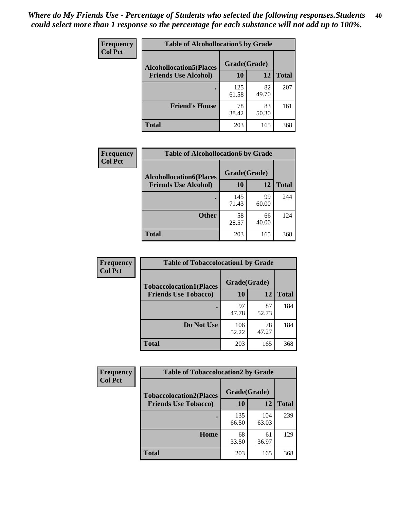| Frequency<br><b>Col Pct</b> | <b>Table of Alcohollocation5 by Grade</b> |              |             |              |
|-----------------------------|-------------------------------------------|--------------|-------------|--------------|
|                             | <b>Alcohollocation5(Places</b>            | Grade(Grade) |             |              |
|                             | <b>Friends Use Alcohol)</b>               | 10           | 12          | <b>Total</b> |
|                             |                                           | 125<br>61.58 | 82<br>49.70 | 207          |
|                             | <b>Friend's House</b>                     | 78<br>38.42  | 83<br>50.30 | 161          |
|                             | <b>Total</b>                              | 203          | 165         | 368          |

| <b>Frequency</b> | <b>Table of Alcohollocation6 by Grade</b>                     |                    |             |              |
|------------------|---------------------------------------------------------------|--------------------|-------------|--------------|
| <b>Col Pct</b>   | <b>Alcohollocation6(Places</b><br><b>Friends Use Alcohol)</b> | Grade(Grade)<br>10 | 12          | <b>Total</b> |
|                  |                                                               |                    |             |              |
|                  |                                                               | 145<br>71.43       | 99<br>60.00 | 244          |
|                  | <b>Other</b>                                                  | 58<br>28.57        | 66<br>40.00 | 124          |
|                  | <b>Total</b>                                                  | 203                | 165         | 368          |

| Frequency      | <b>Table of Tobaccolocation1 by Grade</b> |              |             |              |
|----------------|-------------------------------------------|--------------|-------------|--------------|
| <b>Col Pct</b> | <b>Tobaccolocation1(Places</b>            | Grade(Grade) |             |              |
|                | <b>Friends Use Tobacco)</b>               | 10           | <b>12</b>   | <b>Total</b> |
|                |                                           | 97<br>47.78  | 87<br>52.73 | 184          |
|                | Do Not Use                                | 106<br>52.22 | 78<br>47.27 | 184          |
|                | <b>Total</b>                              | 203          | 165         | 368          |

| <b>Frequency</b> | <b>Table of Tobaccolocation2 by Grade</b> |              |              |              |  |
|------------------|-------------------------------------------|--------------|--------------|--------------|--|
| <b>Col Pct</b>   | <b>Tobaccolocation2(Places</b>            | Grade(Grade) |              |              |  |
|                  | <b>Friends Use Tobacco)</b>               | 10           | 12           | <b>Total</b> |  |
|                  |                                           | 135<br>66.50 | 104<br>63.03 | 239          |  |
|                  | Home                                      | 68<br>33.50  | 61<br>36.97  | 129          |  |
|                  | <b>Total</b>                              | 203          | 165          | 368          |  |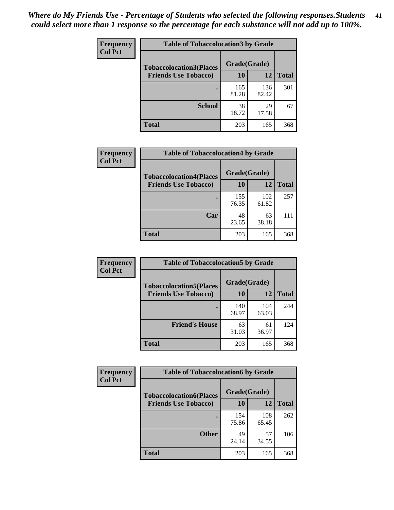| Frequency      | <b>Table of Tobaccolocation 3 by Grade</b> |              |              |              |
|----------------|--------------------------------------------|--------------|--------------|--------------|
| <b>Col Pct</b> | <b>Tobaccolocation3(Places</b>             | Grade(Grade) |              |              |
|                | <b>Friends Use Tobacco)</b>                | 10           | <b>12</b>    | <b>Total</b> |
|                |                                            | 165<br>81.28 | 136<br>82.42 | 301          |
|                | <b>School</b>                              | 38<br>18.72  | 29<br>17.58  | 67           |
|                | <b>Total</b>                               | 203          | 165          | 368          |

| Frequency      | <b>Table of Tobaccolocation4 by Grade</b> |              |              |              |
|----------------|-------------------------------------------|--------------|--------------|--------------|
| <b>Col Pct</b> | <b>Tobaccolocation4(Places</b>            | Grade(Grade) |              |              |
|                | <b>Friends Use Tobacco)</b>               | 10           | 12           | <b>Total</b> |
|                |                                           | 155<br>76.35 | 102<br>61.82 | 257          |
|                | Car                                       | 48<br>23.65  | 63<br>38.18  | 111          |
|                | <b>Total</b>                              | 203          | 165          | 368          |

| Frequency<br><b>Col Pct</b> | <b>Table of Tobaccolocation5 by Grade</b>                     |                    |              |              |
|-----------------------------|---------------------------------------------------------------|--------------------|--------------|--------------|
|                             | <b>Tobaccolocation5(Places</b><br><b>Friends Use Tobacco)</b> | Grade(Grade)<br>10 | 12           |              |
|                             |                                                               |                    |              | <b>Total</b> |
|                             |                                                               | 140<br>68.97       | 104<br>63.03 | 244          |
|                             | <b>Friend's House</b>                                         | 63<br>31.03        | 61<br>36.97  | 124          |
|                             | <b>Total</b>                                                  | 203                | 165          | 368          |

| <b>Frequency</b> | <b>Table of Tobaccolocation6 by Grade</b> |              |              |              |  |
|------------------|-------------------------------------------|--------------|--------------|--------------|--|
| <b>Col Pct</b>   | <b>Tobaccolocation6(Places</b>            | Grade(Grade) |              |              |  |
|                  | <b>Friends Use Tobacco)</b>               | 10           | 12           | <b>Total</b> |  |
|                  |                                           | 154<br>75.86 | 108<br>65.45 | 262          |  |
|                  | <b>Other</b>                              | 49<br>24.14  | 57<br>34.55  | 106          |  |
|                  | <b>Total</b>                              | 203          | 165          | 368          |  |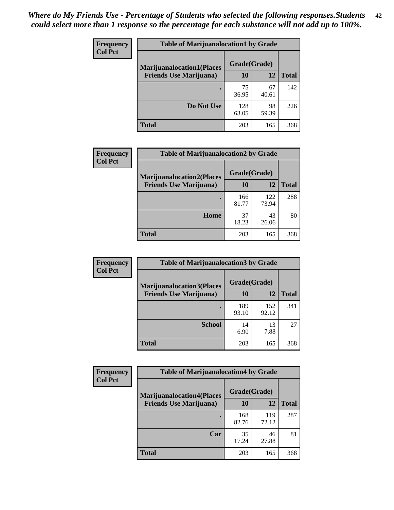| <b>Frequency</b> | <b>Table of Marijuanalocation1 by Grade</b> |              |             |              |
|------------------|---------------------------------------------|--------------|-------------|--------------|
| <b>Col Pct</b>   | <b>Marijuanalocation1(Places</b>            | Grade(Grade) |             |              |
|                  | <b>Friends Use Marijuana</b> )              | 10           | 12          | <b>Total</b> |
|                  |                                             | 75<br>36.95  | 67<br>40.61 | 142          |
|                  | Do Not Use                                  | 128<br>63.05 | 98<br>59.39 | 226          |
|                  | <b>Total</b>                                | 203          | 165         | 368          |

| <b>Frequency</b> | <b>Table of Marijuanalocation2 by Grade</b>                        |                    |              |              |
|------------------|--------------------------------------------------------------------|--------------------|--------------|--------------|
| <b>Col Pct</b>   | <b>Marijuanalocation2(Places</b><br><b>Friends Use Marijuana</b> ) | Grade(Grade)<br>10 | 12           | <b>Total</b> |
|                  |                                                                    | 166<br>81.77       | 122<br>73.94 | 288          |
|                  | Home                                                               | 37<br>18.23        | 43<br>26.06  | 80           |
|                  | <b>Total</b>                                                       | 203                | 165          | 368          |

| Frequency<br><b>Col Pct</b> | <b>Table of Marijuanalocation3 by Grade</b> |              |              |       |
|-----------------------------|---------------------------------------------|--------------|--------------|-------|
|                             | <b>Marijuanalocation3</b> (Places           | Grade(Grade) |              |       |
|                             | <b>Friends Use Marijuana</b> )              | 10           | 12           | Total |
|                             |                                             | 189<br>93.10 | 152<br>92.12 | 341   |
|                             | <b>School</b>                               | 14<br>6.90   | 13<br>7.88   | 27    |
|                             | <b>Total</b>                                | 203          | 165          | 368   |

| Frequency      | <b>Table of Marijuanalocation4 by Grade</b> |              |              |              |
|----------------|---------------------------------------------|--------------|--------------|--------------|
| <b>Col Pct</b> | <b>Marijuanalocation4(Places</b>            | Grade(Grade) |              |              |
|                | <b>Friends Use Marijuana</b> )              | <b>10</b>    | 12           | <b>Total</b> |
|                |                                             | 168<br>82.76 | 119<br>72.12 | 287          |
|                | Car                                         | 35<br>17.24  | 46<br>27.88  | 81           |
|                | <b>Total</b>                                | 203          | 165          | 368          |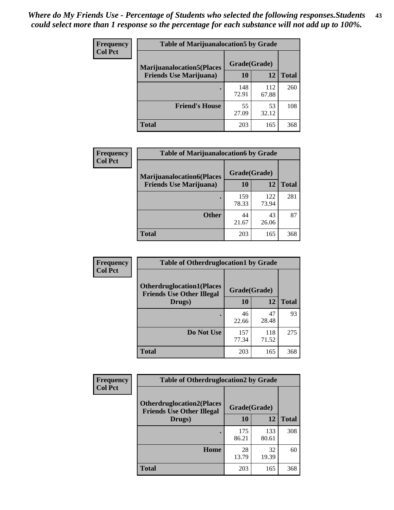| <b>Frequency</b> | <b>Table of Marijuanalocation5 by Grade</b> |              |              |       |
|------------------|---------------------------------------------|--------------|--------------|-------|
| <b>Col Pct</b>   | <b>Marijuanalocation5(Places</b>            | Grade(Grade) |              |       |
|                  | <b>Friends Use Marijuana</b> )              | 10           | 12           | Total |
|                  |                                             | 148<br>72.91 | 112<br>67.88 | 260   |
|                  | <b>Friend's House</b>                       | 55<br>27.09  | 53<br>32.12  | 108   |
|                  | <b>Total</b>                                | 203          | 165          | 368   |

| <b>Frequency</b> | <b>Table of Marijuanalocation6 by Grade</b> |              |              |              |
|------------------|---------------------------------------------|--------------|--------------|--------------|
| <b>Col Pct</b>   | <b>Marijuanalocation6(Places</b>            | Grade(Grade) |              |              |
|                  | <b>Friends Use Marijuana</b> )              | 10           | 12           | <b>Total</b> |
|                  |                                             | 159<br>78.33 | 122<br>73.94 | 281          |
|                  | <b>Other</b>                                | 44<br>21.67  | 43<br>26.06  | 87           |
|                  | <b>Total</b>                                | 203          | 165          | 368          |

| <b>Frequency</b> | <b>Table of Otherdruglocation1 by Grade</b>                          |              |              |              |
|------------------|----------------------------------------------------------------------|--------------|--------------|--------------|
| <b>Col Pct</b>   | <b>Otherdruglocation1(Places</b><br><b>Friends Use Other Illegal</b> | Grade(Grade) |              |              |
|                  | Drugs)                                                               | 10           | 12           | <b>Total</b> |
|                  |                                                                      | 46<br>22.66  | 47<br>28.48  | 93           |
|                  | Do Not Use                                                           | 157<br>77.34 | 118<br>71.52 | 275          |
|                  | <b>Total</b>                                                         | 203          | 165          | 368          |

| Frequency      | <b>Table of Otherdruglocation2 by Grade</b>                          |              |              |              |
|----------------|----------------------------------------------------------------------|--------------|--------------|--------------|
| <b>Col Pct</b> | <b>Otherdruglocation2(Places</b><br><b>Friends Use Other Illegal</b> | Grade(Grade) |              |              |
|                | Drugs)                                                               | 10           | 12           | <b>Total</b> |
|                |                                                                      | 175<br>86.21 | 133<br>80.61 | 308          |
|                | Home                                                                 | 28<br>13.79  | 32<br>19.39  | 60           |
|                | <b>Total</b>                                                         | 203          | 165          | 368          |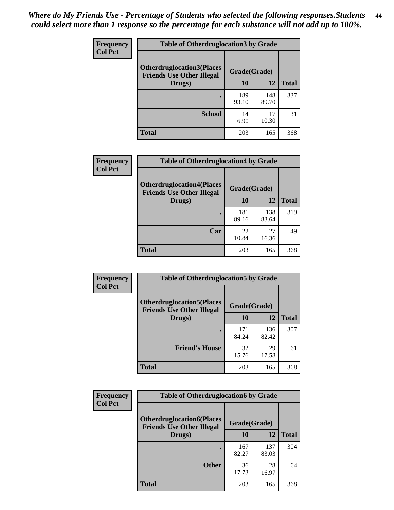| <b>Frequency</b> | <b>Table of Otherdruglocation 3 by Grade</b>                         |              |              |              |
|------------------|----------------------------------------------------------------------|--------------|--------------|--------------|
| <b>Col Pct</b>   | <b>Otherdruglocation3(Places</b><br><b>Friends Use Other Illegal</b> | Grade(Grade) |              |              |
|                  | Drugs)                                                               | 10           | 12           | <b>Total</b> |
|                  |                                                                      | 189<br>93.10 | 148<br>89.70 | 337          |
|                  | <b>School</b>                                                        | 14<br>6.90   | 17<br>10.30  | 31           |
|                  | <b>Total</b>                                                         | 203          | 165          | 368          |

| <b>Frequency</b> | <b>Table of Otherdruglocation4 by Grade</b>                          |              |              |              |
|------------------|----------------------------------------------------------------------|--------------|--------------|--------------|
| <b>Col Pct</b>   | <b>Otherdruglocation4(Places</b><br><b>Friends Use Other Illegal</b> | Grade(Grade) |              |              |
|                  | Drugs)                                                               | 10           | 12           | <b>Total</b> |
|                  |                                                                      | 181<br>89.16 | 138<br>83.64 | 319          |
|                  | Car                                                                  | 22<br>10.84  | 27<br>16.36  | 49           |
|                  | <b>Total</b>                                                         | 203          | 165          | 368          |

| <b>Frequency</b> | <b>Table of Otherdruglocation5 by Grade</b>                          |              |              |              |
|------------------|----------------------------------------------------------------------|--------------|--------------|--------------|
| <b>Col Pct</b>   | <b>Otherdruglocation5(Places</b><br><b>Friends Use Other Illegal</b> | Grade(Grade) |              |              |
|                  | Drugs)                                                               | 10           | 12           | <b>Total</b> |
|                  |                                                                      | 171<br>84.24 | 136<br>82.42 | 307          |
|                  | <b>Friend's House</b>                                                | 32<br>15.76  | 29<br>17.58  | 61           |
|                  | Total                                                                | 203          | 165          | 368          |

| <b>Frequency</b> | <b>Table of Otherdruglocation6 by Grade</b>                           |              |              |              |
|------------------|-----------------------------------------------------------------------|--------------|--------------|--------------|
| <b>Col Pct</b>   | <b>Otherdruglocation6(Places)</b><br><b>Friends Use Other Illegal</b> | Grade(Grade) |              |              |
|                  | Drugs)                                                                | 10           | 12           | <b>Total</b> |
|                  |                                                                       | 167<br>82.27 | 137<br>83.03 | 304          |
|                  | <b>Other</b>                                                          | 36<br>17.73  | 28<br>16.97  | 64           |
|                  | <b>Total</b>                                                          | 203          | 165          | 368          |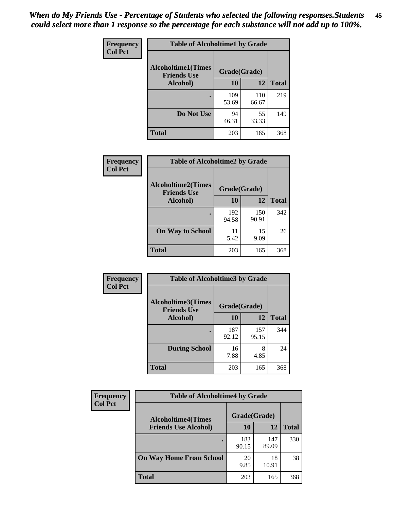| Frequency      | <b>Table of Alcoholtime1 by Grade</b>           |              |              |              |
|----------------|-------------------------------------------------|--------------|--------------|--------------|
| <b>Col Pct</b> | <b>Alcoholtime1(Times</b><br><b>Friends Use</b> | Grade(Grade) |              |              |
|                | Alcohol)                                        | <b>10</b>    | 12           | <b>Total</b> |
|                |                                                 | 109<br>53.69 | 110<br>66.67 | 219          |
|                | Do Not Use                                      | 94<br>46.31  | 55<br>33.33  | 149          |
|                | <b>Total</b>                                    | 203          | 165          | 368          |

| Frequency      | <b>Table of Alcoholtime2 by Grade</b>           |              |              |              |
|----------------|-------------------------------------------------|--------------|--------------|--------------|
| <b>Col Pct</b> | <b>Alcoholtime2(Times</b><br><b>Friends Use</b> | Grade(Grade) |              |              |
|                | Alcohol)                                        | 10           | 12           | <b>Total</b> |
|                |                                                 | 192<br>94.58 | 150<br>90.91 | 342          |
|                | <b>On Way to School</b>                         | 11<br>5.42   | 15<br>9.09   | 26           |
|                | <b>Total</b>                                    | 203          | 165          | 368          |

| Frequency<br>Col Pct | <b>Table of Alcoholtime3 by Grade</b>                    |              |              |              |
|----------------------|----------------------------------------------------------|--------------|--------------|--------------|
|                      | Alcoholtime3(Times<br>Grade(Grade)<br><b>Friends Use</b> |              |              |              |
|                      | Alcohol)                                                 | 10           | 12           | <b>Total</b> |
|                      |                                                          | 187<br>92.12 | 157<br>95.15 | 344          |
|                      | <b>During School</b>                                     | 16<br>7.88   | 8<br>4.85    | 24           |
|                      | Total                                                    | 203          | 165          | 368          |

| <b>Frequency</b><br><b>Col Pct</b> | <b>Table of Alcoholtime4 by Grade</b> |              |              |              |  |
|------------------------------------|---------------------------------------|--------------|--------------|--------------|--|
|                                    | <b>Alcoholtime4(Times</b>             | Grade(Grade) |              |              |  |
|                                    | <b>Friends Use Alcohol)</b>           | 10           | 12           | <b>Total</b> |  |
|                                    |                                       | 183<br>90.15 | 147<br>89.09 | 330          |  |
|                                    | <b>On Way Home From School</b>        | 20<br>9.85   | 18<br>10.91  | 38           |  |
|                                    | <b>Total</b>                          | 203          | 165          | 368          |  |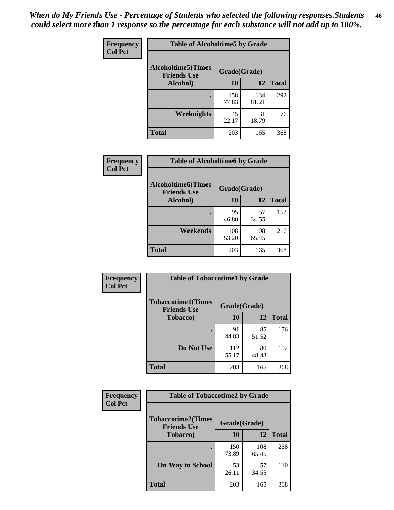*When do My Friends Use - Percentage of Students who selected the following responses.Students could select more than 1 response so the percentage for each substance will not add up to 100%.* **46**

| Frequency      | <b>Table of Alcoholtime5 by Grade</b>            |              |              |              |
|----------------|--------------------------------------------------|--------------|--------------|--------------|
| <b>Col Pct</b> | <b>Alcoholtime5</b> (Times<br><b>Friends Use</b> | Grade(Grade) |              |              |
|                | Alcohol)                                         | 10           | 12           | <b>Total</b> |
|                |                                                  | 158<br>77.83 | 134<br>81.21 | 292          |
|                | Weeknights                                       | 45<br>22.17  | 31<br>18.79  | 76           |
|                | <b>Total</b>                                     | 203          | 165          | 368          |

| Frequency      | <b>Table of Alcoholtime6 by Grade</b>           |              |              |              |
|----------------|-------------------------------------------------|--------------|--------------|--------------|
| <b>Col Pct</b> | <b>Alcoholtime6(Times</b><br><b>Friends Use</b> | Grade(Grade) |              |              |
|                | Alcohol)                                        | 10           | 12           | <b>Total</b> |
|                |                                                 | 95<br>46.80  | 57<br>34.55  | 152          |
|                | Weekends                                        | 108<br>53.20 | 108<br>65.45 | 216          |
|                | <b>Total</b>                                    | 203          | 165          | 368          |

| <b>Frequency</b> | <b>Table of Tobaccotime1 by Grade</b>           |              |             |              |
|------------------|-------------------------------------------------|--------------|-------------|--------------|
| <b>Col Pct</b>   | <b>Tobaccotime1(Times</b><br><b>Friends Use</b> | Grade(Grade) |             |              |
|                  | <b>Tobacco</b> )                                | 10           | 12          | <b>Total</b> |
|                  | ٠                                               | 91<br>44.83  | 85<br>51.52 | 176          |
|                  | Do Not Use                                      | 112<br>55.17 | 80<br>48.48 | 192          |
|                  | <b>Total</b>                                    | 203          | 165         | 368          |

| <b>Frequency</b> | <b>Table of Tobaccotime2 by Grade</b>           |              |              |              |
|------------------|-------------------------------------------------|--------------|--------------|--------------|
| <b>Col Pct</b>   | <b>Tobaccotime2(Times</b><br><b>Friends Use</b> | Grade(Grade) |              |              |
|                  | <b>Tobacco</b> )                                | 10           | 12           | <b>Total</b> |
|                  |                                                 | 150<br>73.89 | 108<br>65.45 | 258          |
|                  | <b>On Way to School</b>                         | 53<br>26.11  | 57<br>34.55  | 110          |
|                  | <b>Total</b>                                    | 203          | 165          | 368          |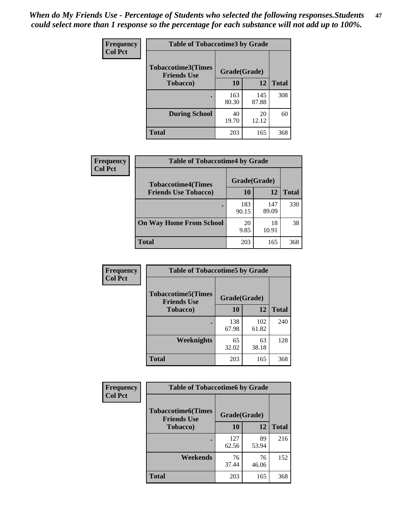*When do My Friends Use - Percentage of Students who selected the following responses.Students could select more than 1 response so the percentage for each substance will not add up to 100%.* **47**

| <b>Frequency</b> | <b>Table of Tobaccotime3 by Grade</b>           |              |              |              |
|------------------|-------------------------------------------------|--------------|--------------|--------------|
| <b>Col Pct</b>   | <b>Tobaccotime3(Times</b><br><b>Friends Use</b> | Grade(Grade) |              |              |
|                  | <b>Tobacco</b> )                                | 10           | 12           | <b>Total</b> |
|                  |                                                 | 163<br>80.30 | 145<br>87.88 | 308          |
|                  | <b>During School</b>                            | 40<br>19.70  | 20<br>12.12  | 60           |
|                  | <b>Total</b>                                    | 203          | 165          | 368          |

| <b>Frequency</b><br><b>Col Pct</b> | <b>Table of Tobaccotime4 by Grade</b> |              |              |              |
|------------------------------------|---------------------------------------|--------------|--------------|--------------|
|                                    | <b>Tobaccotime4(Times</b>             | Grade(Grade) |              |              |
|                                    | <b>Friends Use Tobacco)</b>           | 10           | 12           | <b>Total</b> |
|                                    |                                       | 183<br>90.15 | 147<br>89.09 | 330          |
|                                    | <b>On Way Home From School</b>        | 20<br>9.85   | 18<br>10.91  | 38           |
|                                    | <b>Total</b>                          | 203          | 165          | 368          |

| <b>Frequency</b> | <b>Table of Tobaccotime5 by Grade</b>           |              |              |              |
|------------------|-------------------------------------------------|--------------|--------------|--------------|
| <b>Col Pct</b>   | <b>Tobaccotime5(Times</b><br><b>Friends Use</b> | Grade(Grade) |              |              |
|                  | <b>Tobacco</b> )                                | 10           | 12           | <b>Total</b> |
|                  |                                                 | 138<br>67.98 | 102<br>61.82 | 240          |
|                  | Weeknights                                      | 65<br>32.02  | 63<br>38.18  | 128          |
|                  | <b>Total</b>                                    | 203          | 165          | 368          |

| Frequency      | <b>Table of Tobaccotime6 by Grade</b>                           |              |             |              |
|----------------|-----------------------------------------------------------------|--------------|-------------|--------------|
| <b>Col Pct</b> | <b>Tobaccotime6(Times</b><br>Grade(Grade)<br><b>Friends Use</b> |              |             |              |
|                | <b>Tobacco</b> )                                                | 10           | 12          | <b>Total</b> |
|                |                                                                 | 127<br>62.56 | 89<br>53.94 | 216          |
|                | Weekends                                                        | 76<br>37.44  | 76<br>46.06 | 152          |
|                | <b>Total</b>                                                    | 203          | 165         | 368          |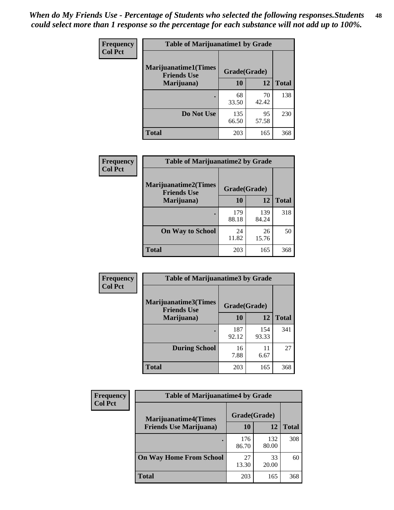| Frequency      | <b>Table of Marijuanatime1 by Grade</b>           |              |             |              |
|----------------|---------------------------------------------------|--------------|-------------|--------------|
| <b>Col Pct</b> | <b>Marijuanatime1(Times</b><br><b>Friends Use</b> | Grade(Grade) |             |              |
|                | Marijuana)                                        | 10           | 12          | <b>Total</b> |
|                |                                                   | 68<br>33.50  | 70<br>42.42 | 138          |
|                | Do Not Use                                        | 135<br>66.50 | 95<br>57.58 | 230          |
|                | <b>Total</b>                                      | 203          | 165         | 368          |

| Frequency      | <b>Table of Marijuanatime2 by Grade</b>    |              |              |              |
|----------------|--------------------------------------------|--------------|--------------|--------------|
| <b>Col Pct</b> | Marijuanatime2(Times<br><b>Friends Use</b> | Grade(Grade) |              |              |
|                | Marijuana)                                 | 10           | 12           | <b>Total</b> |
|                |                                            | 179<br>88.18 | 139<br>84.24 | 318          |
|                | <b>On Way to School</b>                    | 24<br>11.82  | 26<br>15.76  | 50           |
|                | <b>Total</b>                               | 203          | 165          | 368          |

| Frequency<br><b>Col Pct</b> | <b>Table of Marijuanatime3 by Grade</b>                    |              |              |              |
|-----------------------------|------------------------------------------------------------|--------------|--------------|--------------|
|                             | Marijuanatime3(Times<br>Grade(Grade)<br><b>Friends Use</b> |              |              |              |
|                             | Marijuana)                                                 | 10           | 12           | <b>Total</b> |
|                             |                                                            | 187<br>92.12 | 154<br>93.33 | 341          |
|                             | <b>During School</b>                                       | 16<br>7.88   | 11<br>6.67   | 27           |
|                             | <b>Total</b>                                               | 203          | 165          | 368          |

| <b>Frequency</b> | <b>Table of Marijuanatime4 by Grade</b> |              |              |              |
|------------------|-----------------------------------------|--------------|--------------|--------------|
| <b>Col Pct</b>   | <b>Marijuanatime4</b> (Times            | Grade(Grade) |              |              |
|                  | <b>Friends Use Marijuana</b> )          | 10           | 12           | <b>Total</b> |
|                  | ٠                                       | 176<br>86.70 | 132<br>80.00 | 308          |
|                  | <b>On Way Home From School</b>          | 27<br>13.30  | 33<br>20.00  | 60           |
|                  | <b>Total</b>                            | 203          | 165          | 368          |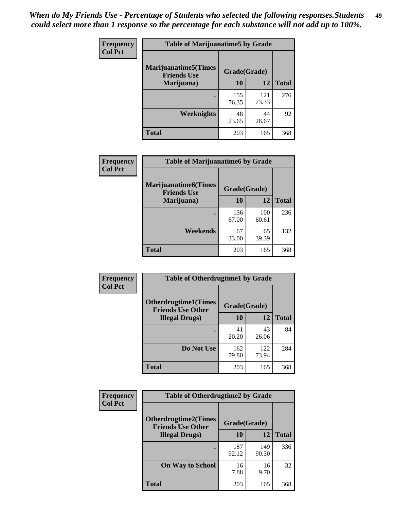| Frequency      | <b>Table of Marijuanatime5 by Grade</b>            |              |              |              |
|----------------|----------------------------------------------------|--------------|--------------|--------------|
| <b>Col Pct</b> | <b>Marijuanatime5</b> (Times<br><b>Friends Use</b> | Grade(Grade) |              |              |
|                | Marijuana)                                         | 10           | 12           | <b>Total</b> |
|                |                                                    | 155<br>76.35 | 121<br>73.33 | 276          |
|                | Weeknights                                         | 48<br>23.65  | 44<br>26.67  | 92           |
|                | <b>Total</b>                                       | 203          | 165          | 368          |

| Frequency      | <b>Table of Marijuanatime6 by Grade</b>           |              |              |              |
|----------------|---------------------------------------------------|--------------|--------------|--------------|
| <b>Col Pct</b> | <b>Marijuanatime6(Times</b><br><b>Friends Use</b> | Grade(Grade) |              |              |
|                | Marijuana)                                        | 10           | 12           | <b>Total</b> |
|                |                                                   | 136<br>67.00 | 100<br>60.61 | 236          |
|                | Weekends                                          | 67<br>33.00  | 65<br>39.39  | 132          |
|                | <b>Total</b>                                      | 203          | 165          | 368          |

| Frequency      | <b>Table of Otherdrugtime1 by Grade</b>                 |              |              |              |
|----------------|---------------------------------------------------------|--------------|--------------|--------------|
| <b>Col Pct</b> | <b>Otherdrugtime1(Times</b><br><b>Friends Use Other</b> | Grade(Grade) |              |              |
|                | <b>Illegal Drugs</b> )                                  | 10           | 12           | <b>Total</b> |
|                |                                                         | 41<br>20.20  | 43<br>26.06  | 84           |
|                | Do Not Use                                              | 162<br>79.80 | 122<br>73.94 | 284          |
|                | Total                                                   | 203          | 165          | 368          |

| Frequency      | <b>Table of Otherdrugtime2 by Grade</b>                 |              |              |              |  |  |
|----------------|---------------------------------------------------------|--------------|--------------|--------------|--|--|
| <b>Col Pct</b> | <b>Otherdrugtime2(Times</b><br><b>Friends Use Other</b> | Grade(Grade) |              |              |  |  |
|                | <b>Illegal Drugs</b> )                                  | 10           | 12           | <b>Total</b> |  |  |
|                |                                                         | 187<br>92.12 | 149<br>90.30 | 336          |  |  |
|                | <b>On Way to School</b>                                 | 16<br>7.88   | 16<br>9.70   | 32           |  |  |
|                | Total                                                   | 203          | 165          | 368          |  |  |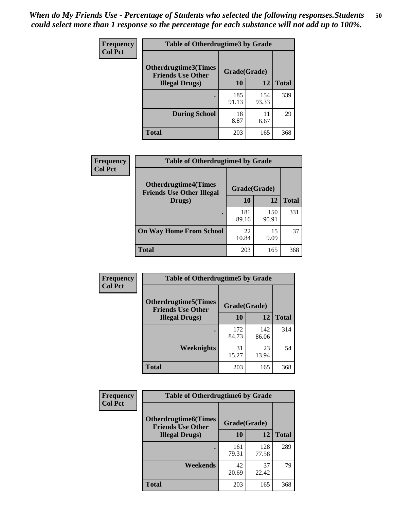| <b>Frequency</b> | <b>Table of Otherdrugtime3 by Grade</b>          |              |              |              |  |  |
|------------------|--------------------------------------------------|--------------|--------------|--------------|--|--|
| <b>Col Pct</b>   | Otherdrugtime3(Times<br><b>Friends Use Other</b> | Grade(Grade) |              |              |  |  |
|                  | <b>Illegal Drugs</b> )                           | 10           | 12           | <b>Total</b> |  |  |
|                  |                                                  | 185<br>91.13 | 154<br>93.33 | 339          |  |  |
|                  | <b>During School</b>                             | 18<br>8.87   | 11<br>6.67   | 29           |  |  |
|                  | Total                                            | 203          | 165          | 368          |  |  |

| Frequency      | <b>Table of Otherdrugtime4 by Grade</b>                         |              |              |              |  |  |
|----------------|-----------------------------------------------------------------|--------------|--------------|--------------|--|--|
| <b>Col Pct</b> | <b>Otherdrugtime4(Times</b><br><b>Friends Use Other Illegal</b> | Grade(Grade) |              |              |  |  |
|                | Drugs)                                                          | 10           | 12           | <b>Total</b> |  |  |
|                | ٠                                                               | 181<br>89.16 | 150<br>90.91 | 331          |  |  |
|                | <b>On Way Home From School</b>                                  | 22<br>10.84  | 15<br>9.09   | 37           |  |  |
|                | <b>Total</b>                                                    | 203          | 165          | 368          |  |  |

| <b>Frequency</b> | <b>Table of Otherdrugtime5 by Grade</b>                  |              |              |              |  |  |  |
|------------------|----------------------------------------------------------|--------------|--------------|--------------|--|--|--|
| <b>Col Pct</b>   | <b>Otherdrugtime5</b> (Times<br><b>Friends Use Other</b> | Grade(Grade) |              |              |  |  |  |
|                  | <b>Illegal Drugs</b> )                                   | 10           | 12           | <b>Total</b> |  |  |  |
|                  |                                                          | 172<br>84.73 | 142<br>86.06 | 314          |  |  |  |
|                  | Weeknights                                               | 31<br>15.27  | 23<br>13.94  | 54           |  |  |  |
|                  | Total                                                    | 203          | 165          | 368          |  |  |  |

| <b>Frequency</b> | <b>Table of Otherdrugtime6 by Grade</b>                                 |              |              |              |  |  |
|------------------|-------------------------------------------------------------------------|--------------|--------------|--------------|--|--|
| <b>Col Pct</b>   | <b>Otherdrugtime6(Times</b><br>Grade(Grade)<br><b>Friends Use Other</b> |              |              |              |  |  |
|                  | <b>Illegal Drugs</b> )                                                  | 10           | 12           | <b>Total</b> |  |  |
|                  |                                                                         | 161<br>79.31 | 128<br>77.58 | 289          |  |  |
|                  | Weekends                                                                | 42<br>20.69  | 37<br>22.42  | 79           |  |  |
|                  | Total                                                                   | 203          | 165          | 368          |  |  |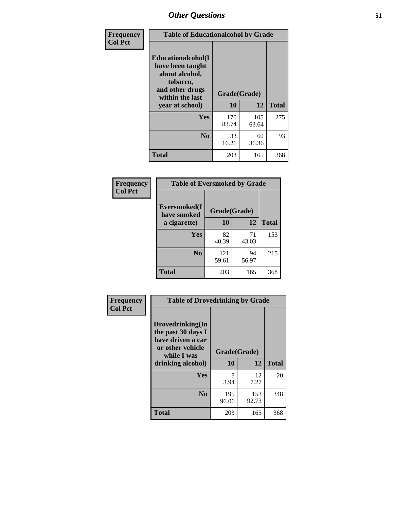| Frequency      | <b>Table of Educationalcohol by Grade</b>                                                                  |              |              |              |  |  |
|----------------|------------------------------------------------------------------------------------------------------------|--------------|--------------|--------------|--|--|
| <b>Col Pct</b> | Educationalcohol(I<br>have been taught<br>about alcohol,<br>tobacco,<br>and other drugs<br>within the last | Grade(Grade) |              |              |  |  |
|                | year at school)                                                                                            | 10           | 12           | <b>Total</b> |  |  |
|                | Yes                                                                                                        | 170<br>83.74 | 105<br>63.64 | 275          |  |  |
|                | N <sub>0</sub>                                                                                             | 33<br>16.26  | 60<br>36.36  | 93           |  |  |
|                | <b>Total</b>                                                                                               | 203          | 165          | 368          |  |  |

| Frequency      | <b>Table of Eversmoked by Grade</b> |              |             |              |  |  |  |
|----------------|-------------------------------------|--------------|-------------|--------------|--|--|--|
| <b>Col Pct</b> | Eversmoked(I<br>have smoked         | Grade(Grade) |             |              |  |  |  |
|                | a cigarette)                        | 10           | 12          | <b>Total</b> |  |  |  |
|                | Yes                                 | 82<br>40.39  | 71<br>43.03 | 153          |  |  |  |
|                | N <sub>0</sub>                      | 121<br>59.61 | 94<br>56.97 | 215          |  |  |  |
|                | <b>Total</b>                        | 203          | 165         | 368          |  |  |  |

| Frequency      | <b>Table of Drovedrinking by Grade</b>                                                                              |                    |              |     |  |  |  |
|----------------|---------------------------------------------------------------------------------------------------------------------|--------------------|--------------|-----|--|--|--|
| <b>Col Pct</b> | Drovedrinking(In<br>the past 30 days I<br>have driven a car<br>or other vehicle<br>while I was<br>drinking alcohol) | Grade(Grade)<br>10 | <b>Total</b> |     |  |  |  |
|                | Yes                                                                                                                 | 8<br>3.94          | 12<br>7.27   | 20  |  |  |  |
|                | N <sub>0</sub>                                                                                                      | 195<br>96.06       | 153<br>92.73 | 348 |  |  |  |
|                | <b>Total</b>                                                                                                        | 203                | 165          | 368 |  |  |  |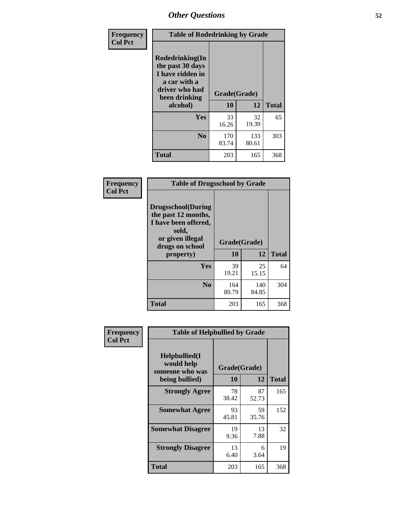| Frequency<br><b>Col Pct</b> | <b>Table of Rodedrinking by Grade</b>                                                                                  |                    |              |     |  |  |
|-----------------------------|------------------------------------------------------------------------------------------------------------------------|--------------------|--------------|-----|--|--|
|                             | Rodedrinking(In<br>the past 30 days<br>I have ridden in<br>a car with a<br>driver who had<br>been drinking<br>alcohol) | Grade(Grade)<br>10 | <b>Total</b> |     |  |  |
|                             | <b>Yes</b>                                                                                                             | 33<br>16.26        | 32<br>19.39  | 65  |  |  |
|                             | N <sub>0</sub>                                                                                                         | 170<br>83.74       | 133<br>80.61 | 303 |  |  |
|                             | <b>Total</b>                                                                                                           | 203                | 165          | 368 |  |  |

#### **Frequency Col Pct**

| <b>Table of Drugsschool by Grade</b>                                                                                      |              |              |              |  |  |  |
|---------------------------------------------------------------------------------------------------------------------------|--------------|--------------|--------------|--|--|--|
| <b>Drugsschool</b> (During<br>the past 12 months,<br>I have been offered,<br>sold,<br>or given illegal<br>drugs on school | Grade(Grade) |              |              |  |  |  |
| property)                                                                                                                 | 10           | 12           | <b>Total</b> |  |  |  |
| Yes                                                                                                                       | 39<br>19.21  | 25<br>15.15  | 64           |  |  |  |
| N <sub>0</sub>                                                                                                            | 164<br>80.79 | 140<br>84.85 | 304          |  |  |  |
| <b>Total</b>                                                                                                              | 203          | 165          | 368          |  |  |  |

| Frequency      | <b>Table of Helpbullied by Grade</b>                 |                    |              |     |  |  |  |
|----------------|------------------------------------------------------|--------------------|--------------|-----|--|--|--|
| <b>Col Pct</b> | $Helpb$ ullied $(I$<br>would help<br>someone who was | Grade(Grade)<br>10 | <b>Total</b> |     |  |  |  |
|                | being bullied)                                       |                    | 12           |     |  |  |  |
|                | <b>Strongly Agree</b>                                | 78<br>38.42        | 87<br>52.73  | 165 |  |  |  |
|                | <b>Somewhat Agree</b>                                | 93<br>45.81        | 59<br>35.76  | 152 |  |  |  |
|                | <b>Somewhat Disagree</b>                             | 19<br>9.36         | 13<br>7.88   | 32  |  |  |  |
|                | <b>Strongly Disagree</b>                             | 13<br>6.40         | 6<br>3.64    | 19  |  |  |  |
|                | <b>Total</b>                                         | 203                | 165          | 368 |  |  |  |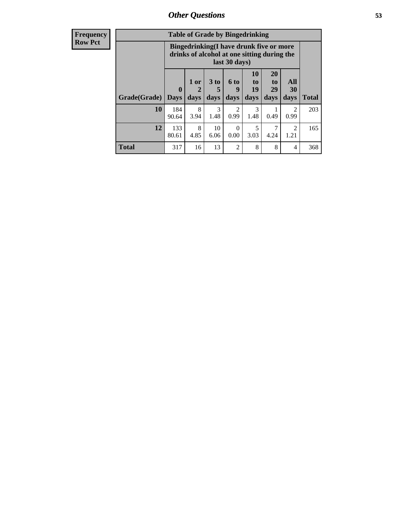| <b>Frequency</b> | <b>Table of Grade by Bingedrinking</b> |              |                                                                                                         |                              |                             |                               |                        |                        |              |
|------------------|----------------------------------------|--------------|---------------------------------------------------------------------------------------------------------|------------------------------|-----------------------------|-------------------------------|------------------------|------------------------|--------------|
| <b>Row Pct</b>   |                                        |              | Bingedrinking(I have drunk five or more<br>drinks of alcohol at one sitting during the<br>last 30 days) |                              |                             |                               |                        |                        |              |
|                  | <b>Grade</b> (Grade) Days              | $\mathbf{0}$ | 1 or<br>$\overline{2}$<br>days                                                                          | 3 <sub>to</sub><br>5<br>days | $6 \text{ to}$<br>9<br>days | <b>10</b><br>to<br>19<br>days | 20<br>to<br>29<br>days | All<br>30<br>days      | <b>Total</b> |
|                  | 10                                     | 184<br>90.64 | 8<br>3.94                                                                                               | 3<br>1.48                    | 2<br>0.99                   | 3<br>1.48                     | 0.49                   | 2<br>0.99              | 203          |
|                  | 12                                     | 133<br>80.61 | 8<br>4.85                                                                                               | 10<br>6.06                   | $\Omega$<br>0.00            | 5<br>3.03                     | 4.24                   | $\mathfrak{D}$<br>1.21 | 165          |
|                  | <b>Total</b>                           | 317          | 16                                                                                                      | 13                           | 2                           | 8                             | 8                      | $\overline{4}$         | 368          |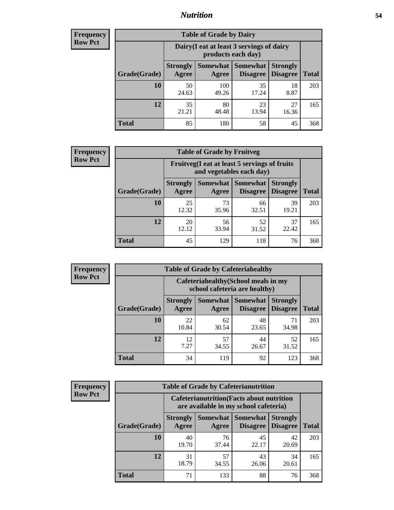## *Nutrition* **54**

| <b>Frequency</b><br>Row Pct |  |
|-----------------------------|--|
|                             |  |

| <b>Table of Grade by Dairy</b> |                          |                                                                 |                             |                                    |              |  |  |  |
|--------------------------------|--------------------------|-----------------------------------------------------------------|-----------------------------|------------------------------------|--------------|--|--|--|
|                                |                          | Dairy (I eat at least 3 servings of dairy<br>products each day) |                             |                                    |              |  |  |  |
| Grade(Grade)                   | <b>Strongly</b><br>Agree | <b>Somewhat</b><br>Agree                                        | <b>Somewhat</b><br>Disagree | <b>Strongly</b><br><b>Disagree</b> | <b>Total</b> |  |  |  |
| 10                             | 50<br>24.63              | 100<br>49.26                                                    | 35<br>17.24                 | 18<br>8.87                         | 203          |  |  |  |
| 12                             | 35<br>21.21              | 80<br>48.48                                                     | 23<br>13.94                 | 27<br>16.36                        | 165          |  |  |  |
| <b>Total</b>                   | 85                       | 180                                                             | 58                          | 45                                 | 368          |  |  |  |

| <b>Frequency</b> |  |
|------------------|--|
| <b>Row Pct</b>   |  |

| <b>Table of Grade by Fruitveg</b> |                          |                                                                                       |             |             |     |  |  |
|-----------------------------------|--------------------------|---------------------------------------------------------------------------------------|-------------|-------------|-----|--|--|
|                                   |                          | Fruitveg(I eat at least 5 servings of fruits<br>and vegetables each day)              |             |             |     |  |  |
| Grade(Grade)                      | <b>Strongly</b><br>Agree | <b>Somewhat   Somewhat</b><br><b>Strongly</b><br><b>Disagree</b><br>Disagree<br>Agree |             |             |     |  |  |
| 10                                | 25<br>12.32              | 73<br>35.96                                                                           | 66<br>32.51 | 39<br>19.21 | 203 |  |  |
| 12                                | 20<br>12.12              | 56<br>33.94                                                                           | 52<br>31.52 | 37<br>22.42 | 165 |  |  |
| <b>Total</b>                      | 45                       | 129                                                                                   | 118         | 76          | 368 |  |  |

| <b>Frequency</b> | <b>Table of Grade by Cafeteriahealthy</b> |                                                                       |                            |                 |                                    |              |  |  |
|------------------|-------------------------------------------|-----------------------------------------------------------------------|----------------------------|-----------------|------------------------------------|--------------|--|--|
| <b>Row Pct</b>   |                                           | Cafeteriahealthy (School meals in my<br>school cafeteria are healthy) |                            |                 |                                    |              |  |  |
|                  | Grade(Grade)                              | <b>Strongly</b><br>Agree                                              | Somewhat Somewhat<br>Agree | <b>Disagree</b> | <b>Strongly</b><br><b>Disagree</b> | <b>Total</b> |  |  |
|                  | 10                                        | 22<br>10.84                                                           | 62<br>30.54                | 48<br>23.65     | 71<br>34.98                        | 203          |  |  |
|                  | 12                                        | 12<br>7.27                                                            | 57<br>34.55                | 44<br>26.67     | 52<br>31.52                        | 165          |  |  |
|                  | Total                                     | 34                                                                    | 119                        | 92              | 123                                | 368          |  |  |

| <b>Frequency</b> |
|------------------|
| <b>Row Pct</b>   |

| <b>Table of Grade by Cafeterianutrition</b>                                               |                          |                   |                                    |                                    |              |  |  |
|-------------------------------------------------------------------------------------------|--------------------------|-------------------|------------------------------------|------------------------------------|--------------|--|--|
| <b>Cafeterianutrition</b> (Facts about nutrition<br>are available in my school cafeteria) |                          |                   |                                    |                                    |              |  |  |
| Grade(Grade)                                                                              | <b>Strongly</b><br>Agree | Somewhat<br>Agree | <b>Somewhat</b><br><b>Disagree</b> | <b>Strongly</b><br><b>Disagree</b> | <b>Total</b> |  |  |
| 10                                                                                        | 40<br>19.70              | 76<br>37.44       | 45<br>22.17                        | 42<br>20.69                        | 203          |  |  |
| 12                                                                                        | 31<br>18.79              | 57<br>34.55       | 43<br>26.06                        | 34<br>20.61                        | 165          |  |  |
| Total                                                                                     | 71                       | 133               | 88                                 | 76                                 | 368          |  |  |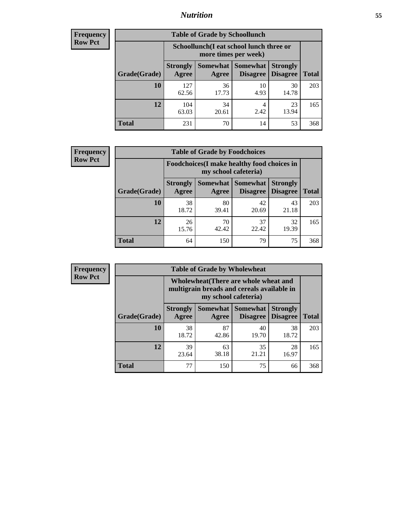## *Nutrition* **55**

| <b>Frequency</b> |
|------------------|
| Row Pct          |

| <b>Table of Grade by Schoollunch</b> |                                                                                                                                      |                                                                 |            |             |     |  |  |  |
|--------------------------------------|--------------------------------------------------------------------------------------------------------------------------------------|-----------------------------------------------------------------|------------|-------------|-----|--|--|--|
|                                      |                                                                                                                                      | Schoollunch(I eat school lunch three or<br>more times per week) |            |             |     |  |  |  |
| Grade(Grade)                         | Somewhat  <br><b>Somewhat</b><br><b>Strongly</b><br><b>Strongly</b><br><b>Disagree</b><br>Disagree<br>Agree<br><b>Total</b><br>Agree |                                                                 |            |             |     |  |  |  |
| 10                                   | 127<br>62.56                                                                                                                         | 36<br>17.73                                                     | 10<br>4.93 | 30<br>14.78 | 203 |  |  |  |
| 12                                   | 104<br>63.03                                                                                                                         | 34<br>20.61                                                     | 4<br>2.42  | 23<br>13.94 | 165 |  |  |  |
| <b>Total</b>                         | 231                                                                                                                                  | 70                                                              | 14         | 53          | 368 |  |  |  |

| <b>Frequency</b> |  |
|------------------|--|
| <b>Row Pct</b>   |  |

| <b>Table of Grade by Foodchoices</b>                                |                          |             |                                               |                                    |              |  |  |
|---------------------------------------------------------------------|--------------------------|-------------|-----------------------------------------------|------------------------------------|--------------|--|--|
| Foodchoices (I make healthy food choices in<br>my school cafeteria) |                          |             |                                               |                                    |              |  |  |
| Grade(Grade)                                                        | <b>Strongly</b><br>Agree | Agree       | <b>Somewhat   Somewhat</b><br><b>Disagree</b> | <b>Strongly</b><br><b>Disagree</b> | <b>Total</b> |  |  |
| 10                                                                  | 38<br>18.72              | 80<br>39.41 | 42<br>20.69                                   | 43<br>21.18                        | 203          |  |  |
| 12                                                                  | 26<br>15.76              | 70<br>42.42 | 37<br>22.42                                   | 32<br>19.39                        | 165          |  |  |
| <b>Total</b>                                                        | 64                       | 150         | 79                                            | 75                                 | 368          |  |  |

| Frequency      | <b>Table of Grade by Wholewheat</b> |                                                                                                             |                   |                                    |                                    |              |  |  |  |
|----------------|-------------------------------------|-------------------------------------------------------------------------------------------------------------|-------------------|------------------------------------|------------------------------------|--------------|--|--|--|
| <b>Row Pct</b> |                                     | Wholewheat (There are whole wheat and<br>multigrain breads and cereals available in<br>my school cafeteria) |                   |                                    |                                    |              |  |  |  |
|                | Grade(Grade)                        | <b>Strongly</b><br>Agree                                                                                    | Somewhat<br>Agree | <b>Somewhat</b><br><b>Disagree</b> | <b>Strongly</b><br><b>Disagree</b> | <b>Total</b> |  |  |  |
|                | 10                                  | 38<br>18.72                                                                                                 | 87<br>42.86       | 40<br>19.70                        | 38<br>18.72                        | 203          |  |  |  |
|                | 12                                  | 39<br>23.64                                                                                                 | 63<br>38.18       | 35<br>21.21                        | 28<br>16.97                        | 165          |  |  |  |
|                | <b>Total</b>                        | 77                                                                                                          | 150               | 75                                 | 66                                 | 368          |  |  |  |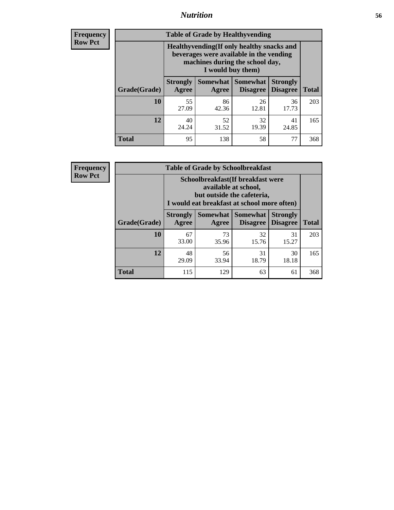## *Nutrition* **56**

**Frequency Row Pct**

| <b>Table of Grade by Healthyvending</b> |                                                                                                                                               |                          |                                    |                                    |              |
|-----------------------------------------|-----------------------------------------------------------------------------------------------------------------------------------------------|--------------------------|------------------------------------|------------------------------------|--------------|
|                                         | Healthyvending (If only healthy snacks and<br>beverages were available in the vending<br>machines during the school day,<br>I would buy them) |                          |                                    |                                    |              |
| Grade(Grade)                            | <b>Strongly</b><br>Agree                                                                                                                      | <b>Somewhat</b><br>Agree | <b>Somewhat</b><br><b>Disagree</b> | <b>Strongly</b><br><b>Disagree</b> | <b>Total</b> |
| 10                                      | 55<br>27.09                                                                                                                                   | 86<br>42.36              | 26<br>12.81                        | 36<br>17.73                        | 203          |
| 12                                      | 40<br>24.24                                                                                                                                   | 52<br>31.52              | 32<br>19.39                        | 41<br>24.85                        | 165          |
| <b>Total</b>                            | 95                                                                                                                                            | 138                      | 58                                 | 77                                 | 368          |

**Frequency Row Pct**

| <b>Table of Grade by Schoolbreakfast</b> |                                                                                                                                         |             |                               |                                    |              |  |
|------------------------------------------|-----------------------------------------------------------------------------------------------------------------------------------------|-------------|-------------------------------|------------------------------------|--------------|--|
|                                          | Schoolbreakfast (If breakfast were<br>available at school,<br>but outside the cafeteria,<br>I would eat breakfast at school more often) |             |                               |                                    |              |  |
| Grade(Grade)                             | <b>Strongly</b><br>Agree                                                                                                                | Agree       | Somewhat Somewhat<br>Disagree | <b>Strongly</b><br><b>Disagree</b> | <b>Total</b> |  |
| 10                                       | 67<br>33.00                                                                                                                             | 73<br>35.96 | 32<br>15.76                   | 31<br>15.27                        | 203          |  |
| 12                                       | 48<br>29.09                                                                                                                             | 56<br>33.94 | 31<br>18.79                   | 30<br>18.18                        | 165          |  |
| <b>Total</b>                             | 115                                                                                                                                     | 129         | 63                            | 61                                 | 368          |  |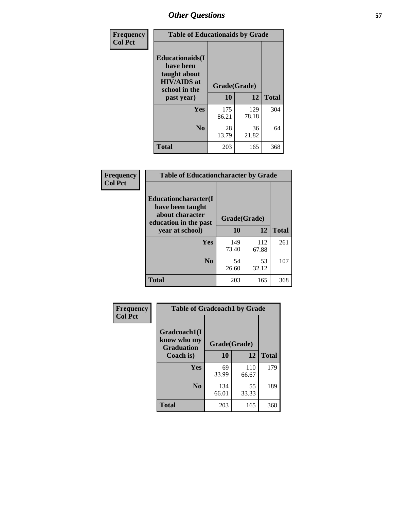| Frequency<br><b>Col Pct</b> | <b>Table of Educationaids by Grade</b>                                                                    |                    |              |              |
|-----------------------------|-----------------------------------------------------------------------------------------------------------|--------------------|--------------|--------------|
|                             | <b>Educationaids</b> (I<br>have been<br>taught about<br><b>HIV/AIDS</b> at<br>school in the<br>past year) | Grade(Grade)<br>10 | 12           | <b>Total</b> |
|                             | Yes                                                                                                       | 175<br>86.21       | 129<br>78.18 | 304          |
|                             | N <sub>0</sub>                                                                                            | 28<br>13.79        | 36<br>21.82  | 64           |
|                             | <b>Total</b>                                                                                              | 203                | 165          | 368          |

| Frequency<br><b>Col Pct</b> | <b>Table of Educationcharacter by Grade</b>                                                  |              |              |              |  |
|-----------------------------|----------------------------------------------------------------------------------------------|--------------|--------------|--------------|--|
|                             | <b>Educationcharacter(I)</b><br>have been taught<br>about character<br>education in the past |              | Grade(Grade) |              |  |
|                             | year at school)                                                                              | 10           | 12           | <b>Total</b> |  |
|                             | Yes                                                                                          | 149<br>73.40 | 112<br>67.88 | 261          |  |
|                             | N <sub>0</sub>                                                                               | 54<br>26.60  | 53<br>32.12  | 107          |  |
|                             | <b>Total</b>                                                                                 | 203          | 165          | 368          |  |

| Frequency      | <b>Table of Gradcoach1 by Grade</b> |              |              |              |
|----------------|-------------------------------------|--------------|--------------|--------------|
| <b>Col Pct</b> | Gradcoach1(I                        |              |              |              |
|                | know who my<br><b>Graduation</b>    | Grade(Grade) |              |              |
|                | Coach is)                           | 10           | 12           | <b>Total</b> |
|                | <b>Yes</b>                          | 69<br>33.99  | 110<br>66.67 | 179          |
|                | N <sub>0</sub>                      | 134<br>66.01 | 55<br>33.33  | 189          |
|                | <b>Total</b>                        | 203          | 165          | 368          |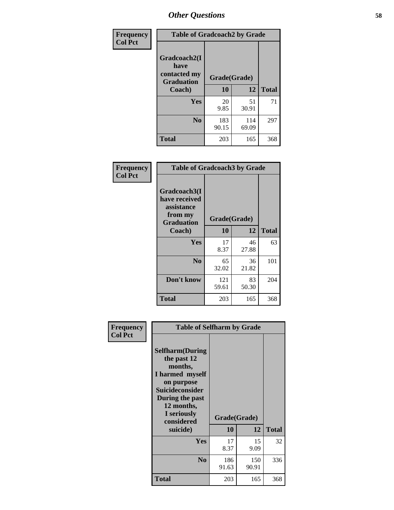| Frequency      | <b>Table of Gradcoach2 by Grade</b> |              |              |              |
|----------------|-------------------------------------|--------------|--------------|--------------|
| <b>Col Pct</b> |                                     |              |              |              |
|                | Gradcoach2(I<br>have                |              |              |              |
|                | contacted my<br><b>Graduation</b>   | Grade(Grade) |              |              |
|                | Coach)                              | 10           | 12           | <b>Total</b> |
|                | Yes                                 | 20<br>9.85   | 51<br>30.91  | 71           |
|                | N <sub>0</sub>                      | 183<br>90.15 | 114<br>69.09 | 297          |
|                | <b>Total</b>                        | 203          | 165          | 368          |

| Frequency<br><b>Col Pct</b> | <b>Table of Gradcoach3 by Grade</b>                                         |              |             |              |
|-----------------------------|-----------------------------------------------------------------------------|--------------|-------------|--------------|
|                             | Gradcoach3(I<br>have received<br>assistance<br>from my<br><b>Graduation</b> | Grade(Grade) |             |              |
|                             | Coach)                                                                      | 10           | 12          | <b>Total</b> |
|                             | Yes                                                                         | 17<br>8.37   | 46<br>27.88 | 63           |
|                             | N <sub>0</sub>                                                              | 65<br>32.02  | 36<br>21.82 | 101          |
|                             | Don't know                                                                  | 121<br>59.61 | 83<br>50.30 | 204          |
|                             | <b>Total</b>                                                                | 203          | 165         | 368          |

| Frequency<br><b>Col Pct</b> | <b>Table of Selfharm by Grade</b>                                                                                                                                                      |                    |              |              |
|-----------------------------|----------------------------------------------------------------------------------------------------------------------------------------------------------------------------------------|--------------------|--------------|--------------|
|                             | <b>Selfharm</b> (During<br>the past 12<br>months,<br>I harmed myself<br>on purpose<br><b>Suicideconsider</b><br>During the past<br>12 months,<br>I seriously<br>considered<br>suicide) | Grade(Grade)<br>10 | 12           | <b>Total</b> |
|                             | Yes                                                                                                                                                                                    | 17<br>8.37         | 15<br>9.09   | 32           |
|                             | N <sub>0</sub>                                                                                                                                                                         | 186<br>91.63       | 150<br>90.91 | 336          |
|                             | Total                                                                                                                                                                                  | 203                | 165          | 368          |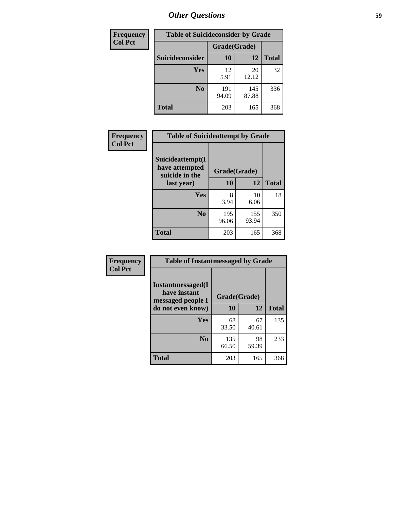| <b>Frequency</b> | <b>Table of Suicideconsider by Grade</b> |              |              |              |  |
|------------------|------------------------------------------|--------------|--------------|--------------|--|
| <b>Col Pct</b>   |                                          | Grade(Grade) |              |              |  |
|                  | Suicideconsider                          | <b>10</b>    | 12           | <b>Total</b> |  |
|                  | Yes                                      | 12<br>5.91   | 20<br>12.12  | 32           |  |
|                  | N <sub>0</sub>                           | 191<br>94.09 | 145<br>87.88 | 336          |  |
|                  | Total                                    | 203          | 165          | 368          |  |

| Frequency      | <b>Table of Suicideattempt by Grade</b>              |              |              |              |
|----------------|------------------------------------------------------|--------------|--------------|--------------|
| <b>Col Pct</b> | Suicideattempt(I<br>have attempted<br>suicide in the | Grade(Grade) |              |              |
|                | last year)                                           | 10           | 12           | <b>Total</b> |
|                | Yes                                                  | 8<br>3.94    | 10<br>6.06   | 18           |
|                | N <sub>0</sub>                                       | 195<br>96.06 | 155<br>93.94 | 350          |
|                | <b>Total</b>                                         | 203          | 165          | 368          |

| Frequency      | <b>Table of Instantmessaged by Grade</b>               |              |             |              |
|----------------|--------------------------------------------------------|--------------|-------------|--------------|
| <b>Col Pct</b> | Instantmessaged(I<br>have instant<br>messaged people I | Grade(Grade) |             |              |
|                | do not even know)                                      | 10           | 12          | <b>Total</b> |
|                | Yes                                                    | 68<br>33.50  | 67<br>40.61 | 135          |
|                | N <sub>0</sub>                                         | 135<br>66.50 | 98<br>59.39 | 233          |
|                | <b>Total</b>                                           | 203          | 165         | 368          |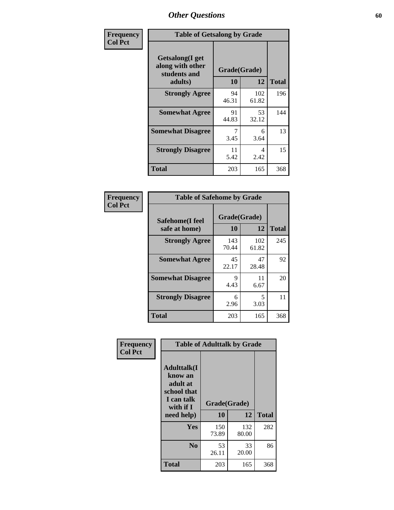| Frequency      | <b>Table of Getsalong by Grade</b>                          |             |              |              |
|----------------|-------------------------------------------------------------|-------------|--------------|--------------|
| <b>Col Pct</b> | <b>Getsalong</b> (I get<br>along with other<br>students and |             | Grade(Grade) |              |
|                | adults)                                                     | 10          | 12           | <b>Total</b> |
|                | <b>Strongly Agree</b>                                       | 94<br>46.31 | 102<br>61.82 | 196          |
|                | <b>Somewhat Agree</b>                                       | 91<br>44.83 | 53<br>32.12  | 144          |
|                | <b>Somewhat Disagree</b>                                    | 7<br>3.45   | 6<br>3.64    | 13           |
|                | <b>Strongly Disagree</b>                                    | 11<br>5.42  | 4<br>2.42    | 15           |
|                | Total                                                       | 203         | 165          | 368          |

| Frequency      | <b>Table of Safehome by Grade</b> |                    |              |              |  |  |  |
|----------------|-----------------------------------|--------------------|--------------|--------------|--|--|--|
| <b>Col Pct</b> | Safehome(I feel<br>safe at home)  | Grade(Grade)<br>10 | 12           | <b>Total</b> |  |  |  |
|                | <b>Strongly Agree</b>             | 143<br>70.44       | 102<br>61.82 | 245          |  |  |  |
|                | <b>Somewhat Agree</b>             | 45<br>22.17        | 47<br>28.48  | 92           |  |  |  |
|                | <b>Somewhat Disagree</b>          | 9<br>4.43          | 11<br>6.67   | 20           |  |  |  |
|                | <b>Strongly Disagree</b>          | 6<br>2.96          | 5<br>3.03    | 11           |  |  |  |
|                | <b>Total</b>                      | 203                | 165          | 368          |  |  |  |

| Frequency      | <b>Table of Adulttalk by Grade</b>                                                  |              |              |              |  |  |  |
|----------------|-------------------------------------------------------------------------------------|--------------|--------------|--------------|--|--|--|
| <b>Col Pct</b> | <b>Adulttalk(I</b><br>know an<br>adult at<br>school that<br>I can talk<br>with if I | Grade(Grade) |              |              |  |  |  |
|                | need help)                                                                          | 10           | 12           | <b>Total</b> |  |  |  |
|                | Yes                                                                                 | 150<br>73.89 | 132<br>80.00 | 282          |  |  |  |
|                | N <sub>0</sub>                                                                      | 53<br>26.11  | 33<br>20.00  | 86           |  |  |  |
|                | <b>Total</b>                                                                        | 203          | 165          | 368          |  |  |  |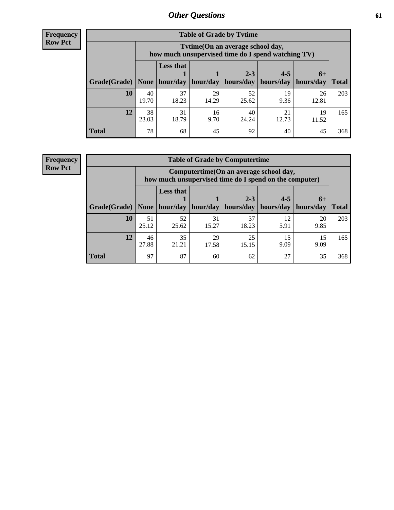**Frequency Row Pct**

| <b>Table of Grade by Tvtime</b> |             |                                                                                        |             |             |             |             |              |  |  |
|---------------------------------|-------------|----------------------------------------------------------------------------------------|-------------|-------------|-------------|-------------|--------------|--|--|
|                                 |             | Tvtime(On an average school day,<br>how much unsupervised time do I spend watching TV) |             |             |             |             |              |  |  |
|                                 |             | <b>Less that</b>                                                                       |             | $2 - 3$     | $4 - 5$     | $6+$        |              |  |  |
| Grade(Grade)                    | None        | hour/day                                                                               | hour/day    | hours/day   | hours/day   | hours/day   | <b>Total</b> |  |  |
| 10                              | 40<br>19.70 | 37<br>18.23                                                                            | 29<br>14.29 | 52<br>25.62 | 19<br>9.36  | 26<br>12.81 | 203          |  |  |
| 12                              | 38<br>23.03 | 31<br>18.79                                                                            | 16<br>9.70  | 40<br>24.24 | 21<br>12.73 | 19<br>11.52 | 165          |  |  |
| <b>Total</b>                    | 78          | 68                                                                                     | 45          | 92          | 40          | 45          | 368          |  |  |

**Frequency Row Pct**

| <b>Table of Grade by Computertime</b> |             |                                                                                                   |             |                        |                      |                   |              |  |  |
|---------------------------------------|-------------|---------------------------------------------------------------------------------------------------|-------------|------------------------|----------------------|-------------------|--------------|--|--|
|                                       |             | Computertime (On an average school day,<br>how much unsupervised time do I spend on the computer) |             |                        |                      |                   |              |  |  |
| Grade(Grade)                          | None        | <b>Less that</b><br>hour/day                                                                      | hour/day    | $2 - 3$<br>  hours/day | $4 - 5$<br>hours/day | $6+$<br>hours/day | <b>Total</b> |  |  |
| 10                                    | 51<br>25.12 | 52<br>25.62                                                                                       | 31<br>15.27 | 37<br>18.23            | 12<br>5.91           | 20<br>9.85        | 203          |  |  |
| 12                                    | 46<br>27.88 | 35<br>21.21                                                                                       | 29<br>17.58 | 25<br>15.15            | 15<br>9.09           | 15<br>9.09        | 165          |  |  |
| <b>Total</b>                          | 97          | 87                                                                                                | 60          | 62                     | 27                   | 35                | 368          |  |  |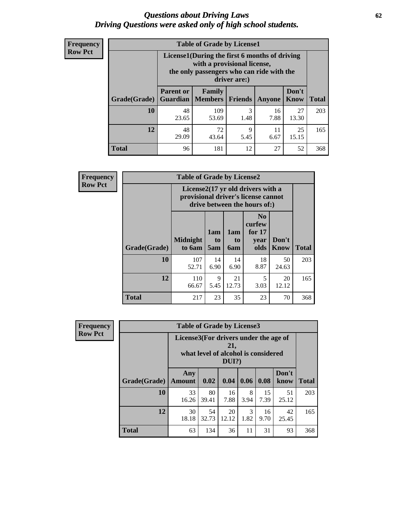#### *Questions about Driving Laws* **62** *Driving Questions were asked only of high school students.*

| <b>Frequency</b> |
|------------------|
| <b>Row Pct</b>   |

| <b>Table of Grade by License1</b> |                                     |                                                                                                                                           |                |            |               |              |  |  |  |  |
|-----------------------------------|-------------------------------------|-------------------------------------------------------------------------------------------------------------------------------------------|----------------|------------|---------------|--------------|--|--|--|--|
|                                   |                                     | License1(During the first 6 months of driving<br>with a provisional license,<br>the only passengers who can ride with the<br>driver are:) |                |            |               |              |  |  |  |  |
| Grade(Grade)                      | <b>Parent or</b><br><b>Guardian</b> | Family<br><b>Members</b>                                                                                                                  | <b>Friends</b> | Anyone     | Don't<br>Know | <b>Total</b> |  |  |  |  |
| 10                                | 48<br>23.65                         | 109<br>53.69                                                                                                                              | 3<br>1.48      | 16<br>7.88 | 27<br>13.30   | 203          |  |  |  |  |
| 12                                | 48<br>29.09                         | 25<br>72<br>9<br>11<br>5.45<br>6.67<br>15.15<br>43.64                                                                                     |                |            |               |              |  |  |  |  |
| <b>Total</b>                      | 96                                  | 181                                                                                                                                       | 12             | 27         | 52            | 368          |  |  |  |  |

| <b>Frequency</b> |              | <b>Table of Grade by License2</b>                                                                        |                  |                         |                                                      |                      |              |  |  |
|------------------|--------------|----------------------------------------------------------------------------------------------------------|------------------|-------------------------|------------------------------------------------------|----------------------|--------------|--|--|
| <b>Row Pct</b>   |              | License2(17 yr old drivers with a<br>provisional driver's license cannot<br>drive between the hours of:) |                  |                         |                                                      |                      |              |  |  |
|                  | Grade(Grade) | <b>Midnight</b><br>to 6am                                                                                | 1am<br>to<br>5am | 1am<br>to<br><b>6am</b> | N <sub>0</sub><br>curfew<br>for $17$<br>year<br>olds | Don't<br><b>Know</b> | <b>Total</b> |  |  |
|                  | 10           | 107<br>52.71                                                                                             | 14<br>6.90       | 14<br>6.90              | 18<br>8.87                                           | 50<br>24.63          | 203          |  |  |
|                  | 12           | 110<br>66.67                                                                                             | 9<br>5.45        | 21<br>12.73             | 5<br>3.03                                            | 20<br>12.12          | 165          |  |  |
|                  | <b>Total</b> | 217                                                                                                      | 23               | 35                      | 23                                                   | 70                   | 368          |  |  |

| Frequency      | <b>Table of Grade by License3</b> |                                                                                                 |             |             |           |            |               |              |
|----------------|-----------------------------------|-------------------------------------------------------------------------------------------------|-------------|-------------|-----------|------------|---------------|--------------|
| <b>Row Pct</b> |                                   | License3(For drivers under the age of<br>21,<br>what level of alcohol is considered<br>$DUI$ ?) |             |             |           |            |               |              |
|                | Grade(Grade)                      | Any<br><b>Amount</b>                                                                            | 0.02        | 0.04        | 0.06      | 0.08       | Don't<br>know | <b>Total</b> |
|                | <b>10</b>                         | 33<br>16.26                                                                                     | 80<br>39.41 | 16<br>7.88  | 8<br>3.94 | 15<br>7.39 | 51<br>25.12   | 203          |
|                | 12                                | 30<br>18.18                                                                                     | 54<br>32.73 | 20<br>12.12 | 3<br>1.82 | 16<br>9.70 | 42<br>25.45   | 165          |
|                | <b>Total</b>                      | 63                                                                                              | 134         | 36          | 11        | 31         | 93            | 368          |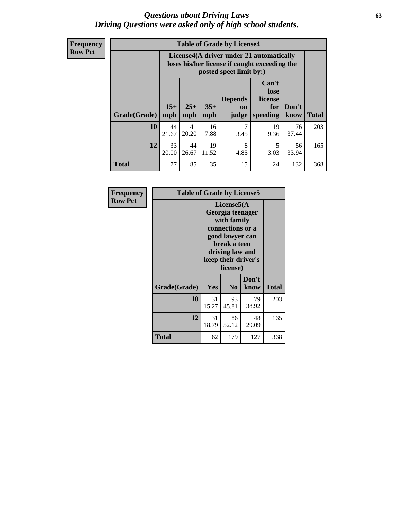#### *Questions about Driving Laws* **63** *Driving Questions were asked only of high school students.*

**Frequency Row Pct**

| <b>Table of Grade by License4</b> |              |                                                                                                                               |             |           |            |             |     |  |
|-----------------------------------|--------------|-------------------------------------------------------------------------------------------------------------------------------|-------------|-----------|------------|-------------|-----|--|
|                                   |              | License4(A driver under 21 automatically<br>loses his/her license if caught exceeding the<br>posted speet limit by:)          |             |           |            |             |     |  |
| Grade(Grade)                      | $15+$<br>mph | Can't<br>lose<br><b>Depends</b><br>license<br>$25+$<br>$35+$<br>Don't<br>for<br>on<br>speeding<br>mph<br>mph<br>know<br>judge |             |           |            |             |     |  |
| 10                                | 44<br>21.67  | 41<br>20.20                                                                                                                   | 16<br>7.88  | 7<br>3.45 | 19<br>9.36 | 76<br>37.44 | 203 |  |
| 12                                | 33<br>20.00  | 44<br>26.67                                                                                                                   | 19<br>11.52 | 8<br>4.85 | 5<br>3.03  | 56<br>33.94 | 165 |  |
| <b>Total</b>                      | 77           | 85                                                                                                                            | 35          | 15        | 24         | 132         | 368 |  |

| Frequency      |              | <b>Table of Grade by License5</b> |                                                                                                                                      |                     |       |  |  |
|----------------|--------------|-----------------------------------|--------------------------------------------------------------------------------------------------------------------------------------|---------------------|-------|--|--|
| <b>Row Pct</b> |              |                                   | License5(A)<br>Georgia teenager<br>with family<br>connections or a<br>good lawyer can<br>break a teen<br>driving law and<br>license) | keep their driver's |       |  |  |
|                | Grade(Grade) | Yes                               | N <sub>0</sub>                                                                                                                       | Don't<br>know       | Total |  |  |
|                | 10           | 31<br>15.27                       | 93<br>45.81                                                                                                                          | 79<br>38.92         | 203   |  |  |
|                | 12           | 31<br>18.79                       | 86<br>52.12                                                                                                                          | 48<br>29.09         | 165   |  |  |
|                | <b>Total</b> | 62                                | 179                                                                                                                                  | 127                 | 368   |  |  |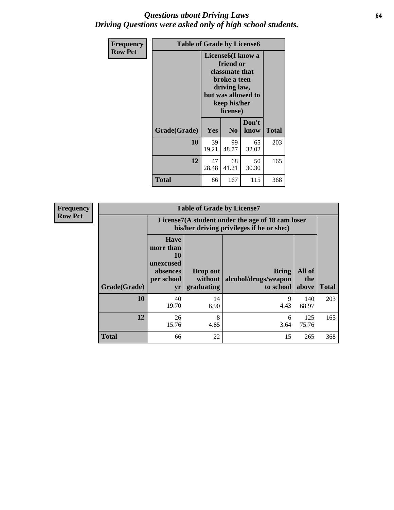#### *Questions about Driving Laws* **64** *Driving Questions were asked only of high school students.*

| <b>Frequency</b> | <b>Table of Grade by License6</b> |             |                                                                                                                           |                    |              |  |
|------------------|-----------------------------------|-------------|---------------------------------------------------------------------------------------------------------------------------|--------------------|--------------|--|
| <b>Row Pct</b>   |                                   |             | License <sub>6</sub> (I know a<br>friend or<br>classmate that<br>broke a teen<br>driving law,<br>keep his/her<br>license) | but was allowed to |              |  |
|                  | Grade(Grade)                      | Yes         | N <sub>0</sub>                                                                                                            | Don't<br>know      | <b>Total</b> |  |
|                  | 10                                | 39<br>19.21 | 99<br>48.77                                                                                                               | 65<br>32.02        | 203          |  |
|                  | 12                                | 47<br>28.48 | 68<br>41.21                                                                                                               | 50<br>30.30        | 165          |  |
|                  | <b>Total</b>                      | 86          | 167                                                                                                                       | 115                | 368          |  |

| <b>Frequency</b> | <b>Table of Grade by License7</b> |                                                                             |                                   |                                                                                               |                        |              |  |  |
|------------------|-----------------------------------|-----------------------------------------------------------------------------|-----------------------------------|-----------------------------------------------------------------------------------------------|------------------------|--------------|--|--|
| <b>Row Pct</b>   |                                   |                                                                             |                                   | License7(A student under the age of 18 cam loser<br>his/her driving privileges if he or she:) |                        |              |  |  |
| Grade(Grade)     |                                   | <b>Have</b><br>more than<br>10<br>unexcused<br>absences<br>per school<br>yr | Drop out<br>without<br>graduating | <b>Bring</b><br>alcohol/drugs/weapon<br>to school                                             | All of<br>the<br>above | <b>Total</b> |  |  |
|                  | 10                                | 40<br>19.70                                                                 | 14<br>6.90                        | 9<br>4.43                                                                                     | 140<br>68.97           | 203          |  |  |
|                  | 12                                | 26<br>15.76                                                                 | 8<br>4.85                         | 6<br>3.64                                                                                     | 125<br>75.76           | 165          |  |  |
|                  | <b>Total</b>                      | 66                                                                          | 22                                | 15                                                                                            | 265                    | 368          |  |  |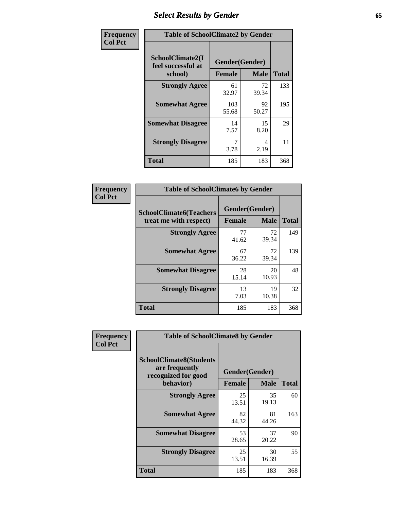# *Select Results by Gender* **65**

| Frequency      | <b>Table of SchoolClimate2 by Gender</b>          |                                 |             |              |  |
|----------------|---------------------------------------------------|---------------------------------|-------------|--------------|--|
| <b>Col Pct</b> | SchoolClimate2(I<br>feel successful at<br>school) | Gender(Gender)<br><b>Female</b> | <b>Male</b> | <b>Total</b> |  |
|                | <b>Strongly Agree</b>                             | 61<br>32.97                     | 72<br>39.34 | 133          |  |
|                | <b>Somewhat Agree</b>                             | 103<br>55.68                    | 92<br>50.27 | 195          |  |
|                | <b>Somewhat Disagree</b>                          | 14<br>7.57                      | 15<br>8.20  | 29           |  |
|                | <b>Strongly Disagree</b>                          | 3.78                            | 4<br>2.19   | 11           |  |
|                | <b>Total</b>                                      | 185                             | 183         | 368          |  |

| Frequency      | <b>Table of SchoolClimate6 by Gender</b>                 |                                 |             |              |
|----------------|----------------------------------------------------------|---------------------------------|-------------|--------------|
| <b>Col Pct</b> | <b>SchoolClimate6(Teachers</b><br>treat me with respect) | Gender(Gender)<br><b>Female</b> | <b>Male</b> | <b>Total</b> |
|                | <b>Strongly Agree</b>                                    | 77<br>41.62                     | 72<br>39.34 | 149          |
|                | <b>Somewhat Agree</b>                                    | 67<br>36.22                     | 72<br>39.34 | 139          |
|                | <b>Somewhat Disagree</b>                                 | 28<br>15.14                     | 20<br>10.93 | 48           |
|                | <b>Strongly Disagree</b>                                 | 13<br>7.03                      | 19<br>10.38 | 32           |
|                | <b>Total</b>                                             | 185                             | 183         | 368          |

| <b>Frequency</b> | <b>Table of SchoolClimate8 by Gender</b>                                             |               |                               |              |
|------------------|--------------------------------------------------------------------------------------|---------------|-------------------------------|--------------|
| <b>Col Pct</b>   | <b>SchoolClimate8(Students</b><br>are frequently<br>recognized for good<br>behavior) | <b>Female</b> | Gender(Gender)<br><b>Male</b> | <b>Total</b> |
|                  | <b>Strongly Agree</b>                                                                | 25<br>13.51   | 35<br>19.13                   | 60           |
|                  | <b>Somewhat Agree</b>                                                                | 82<br>44.32   | 81<br>44.26                   | 163          |
|                  | <b>Somewhat Disagree</b>                                                             | 53<br>28.65   | 37<br>20.22                   | 90           |
|                  | <b>Strongly Disagree</b>                                                             | 25<br>13.51   | 30<br>16.39                   | 55           |
|                  | Total                                                                                | 185           | 183                           | 368          |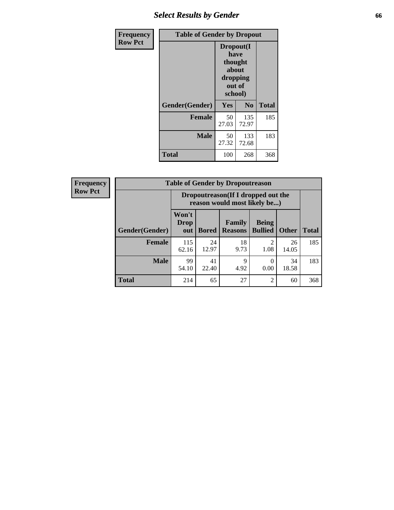## *Select Results by Gender* **66**

| Frequency      |                | <b>Table of Gender by Dropout</b>                                      |                |              |
|----------------|----------------|------------------------------------------------------------------------|----------------|--------------|
| <b>Row Pct</b> |                | Dropout(I<br>have<br>thought<br>about<br>dropping<br>out of<br>school) |                |              |
|                | Gender(Gender) | <b>Yes</b>                                                             | N <sub>0</sub> | <b>Total</b> |
|                | <b>Female</b>  | 50<br>27.03                                                            | 135<br>72.97   | 185          |
|                | <b>Male</b>    | 50<br>27.32                                                            | 133<br>72.68   | 183          |
|                | <b>Total</b>   | 100                                                                    | 268            | 368          |

| <b>Frequency</b> |                        |                                                                     | <b>Table of Gender by Dropoutreason</b> |                                 |                                |              |              |
|------------------|------------------------|---------------------------------------------------------------------|-----------------------------------------|---------------------------------|--------------------------------|--------------|--------------|
| <b>Row Pct</b>   |                        | Dropoutreason (If I dropped out the<br>reason would most likely be) |                                         |                                 |                                |              |              |
|                  | <b>Gender</b> (Gender) | Won't<br><b>Drop</b><br>out                                         | <b>Bored</b>                            | <b>Family</b><br><b>Reasons</b> | <b>Being</b><br><b>Bullied</b> | <b>Other</b> | <b>Total</b> |
|                  | <b>Female</b>          | 115<br>62.16                                                        | 24<br>12.97                             | 18<br>9.73                      | ↑<br>1.08                      | 26<br>14.05  | 185          |
|                  | <b>Male</b>            | 99<br>54.10                                                         | 41<br>22.40                             | $\mathbf Q$<br>4.92             | 0.00                           | 34<br>18.58  | 183          |
|                  | <b>Total</b>           | 214                                                                 | 65                                      | 27                              | $\mathfrak{D}$                 | 60           | 368          |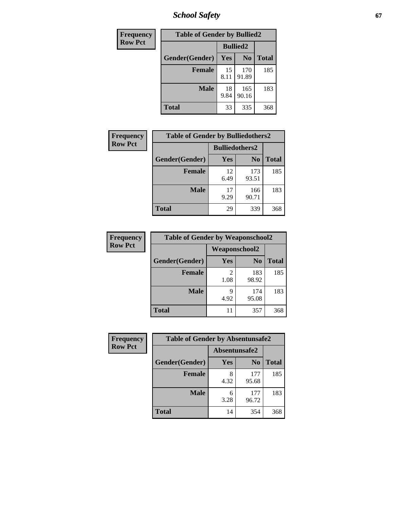*School Safety* **67**

| Frequency      | <b>Table of Gender by Bullied2</b> |                 |                |              |
|----------------|------------------------------------|-----------------|----------------|--------------|
| <b>Row Pct</b> |                                    | <b>Bullied2</b> |                |              |
|                | Gender(Gender)                     | <b>Yes</b>      | N <sub>0</sub> | <b>Total</b> |
|                | <b>Female</b>                      | 15<br>8.11      | 170<br>91.89   | 185          |
|                | <b>Male</b>                        | 18<br>9.84      | 165<br>90.16   | 183          |
|                | <b>Total</b>                       | 33              | 335            | 368          |

| Frequency      | <b>Table of Gender by Bulliedothers2</b> |                       |                |              |
|----------------|------------------------------------------|-----------------------|----------------|--------------|
| <b>Row Pct</b> |                                          | <b>Bulliedothers2</b> |                |              |
|                | Gender(Gender)                           | Yes                   | N <sub>0</sub> | <b>Total</b> |
|                | <b>Female</b>                            | 12<br>6.49            | 173<br>93.51   | 185          |
|                | <b>Male</b>                              | 17<br>9.29            | 166<br>90.71   | 183          |
|                | <b>Total</b>                             | 29                    | 339            | 368          |

| <b>Frequency</b> | <b>Table of Gender by Weaponschool2</b> |               |                |              |
|------------------|-----------------------------------------|---------------|----------------|--------------|
| <b>Row Pct</b>   |                                         | Weaponschool2 |                |              |
|                  | Gender(Gender)                          | <b>Yes</b>    | N <sub>0</sub> | <b>Total</b> |
|                  | <b>Female</b>                           | 2<br>1.08     | 183<br>98.92   | 185          |
|                  | <b>Male</b>                             | 9<br>4.92     | 174<br>95.08   | 183          |
|                  | <b>Total</b>                            | 11            | 357            | 368          |

| Frequency      | <b>Table of Gender by Absentunsafe2</b> |               |                |              |  |
|----------------|-----------------------------------------|---------------|----------------|--------------|--|
| <b>Row Pct</b> |                                         | Absentunsafe2 |                |              |  |
|                | Gender(Gender)                          | Yes           | N <sub>0</sub> | <b>Total</b> |  |
|                | <b>Female</b>                           | 4.32          | 177<br>95.68   | 185          |  |
|                | <b>Male</b>                             | 6<br>3.28     | 177<br>96.72   | 183          |  |
|                | <b>Total</b>                            | 14            | 354            | 368          |  |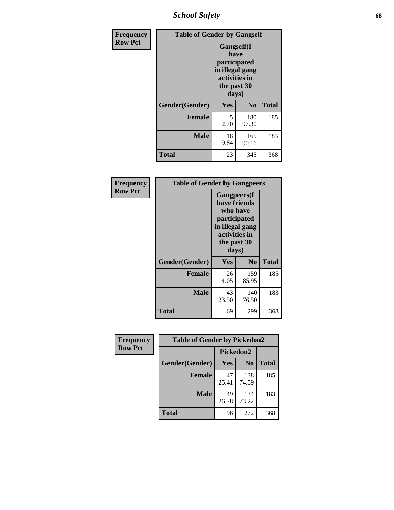*School Safety* **68**

| Frequency      | <b>Table of Gender by Gangself</b> |                                                                                                        |                |              |
|----------------|------------------------------------|--------------------------------------------------------------------------------------------------------|----------------|--------------|
| <b>Row Pct</b> |                                    | <b>Gangself</b> (I<br>have<br>participated<br>in illegal gang<br>activities in<br>the past 30<br>days) |                |              |
|                | Gender(Gender)                     | Yes                                                                                                    | N <sub>0</sub> | <b>Total</b> |
|                | <b>Female</b>                      | 5<br>2.70                                                                                              | 180<br>97.30   | 185          |
|                | <b>Male</b>                        | 18<br>9.84                                                                                             | 165<br>90.16   | 183          |
|                | <b>Total</b>                       | 23                                                                                                     | 345            | 368          |

| <b>Frequency</b> | <b>Table of Gender by Gangpeers</b> |                                                                                                                             |                |              |
|------------------|-------------------------------------|-----------------------------------------------------------------------------------------------------------------------------|----------------|--------------|
| <b>Row Pct</b>   |                                     | <b>Gangpeers</b> (I<br>have friends<br>who have<br>participated<br>in illegal gang<br>activities in<br>the past 30<br>days) |                |              |
|                  | Gender(Gender)                      | Yes                                                                                                                         | N <sub>0</sub> | <b>Total</b> |
|                  | <b>Female</b>                       | 26<br>14.05                                                                                                                 | 159<br>85.95   | 185          |
|                  | <b>Male</b>                         | 43<br>23.50                                                                                                                 | 140<br>76.50   | 183          |
|                  | Total                               | 69                                                                                                                          | 299            | 368          |

| Frequency      | <b>Table of Gender by Pickedon2</b> |             |                |              |
|----------------|-------------------------------------|-------------|----------------|--------------|
| <b>Row Pct</b> |                                     | Pickedon2   |                |              |
|                | Gender(Gender)                      | <b>Yes</b>  | N <sub>0</sub> | <b>Total</b> |
|                | <b>Female</b>                       | 47<br>25.41 | 138<br>74.59   | 185          |
|                | <b>Male</b>                         | 49<br>26.78 | 134<br>73.22   | 183          |
|                | <b>Total</b>                        | 96          | 272            | 368          |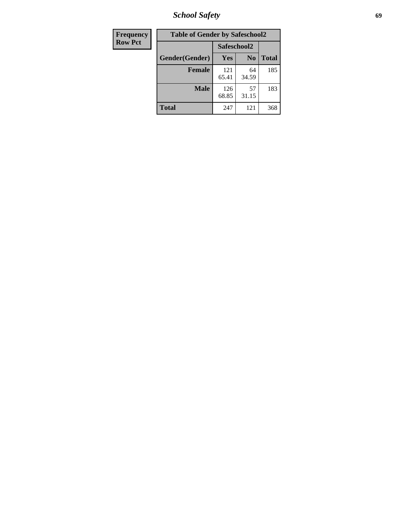*School Safety* **69**

| Frequency      | <b>Table of Gender by Safeschool2</b> |              |                |              |  |
|----------------|---------------------------------------|--------------|----------------|--------------|--|
| <b>Row Pct</b> |                                       | Safeschool2  |                |              |  |
|                | Gender(Gender)                        | Yes          | N <sub>0</sub> | <b>Total</b> |  |
|                | <b>Female</b>                         | 121<br>65.41 | 64<br>34.59    | 185          |  |
|                | <b>Male</b>                           | 126<br>68.85 | 57<br>31.15    | 183          |  |
|                | <b>Total</b>                          | 247          | 121            | 368          |  |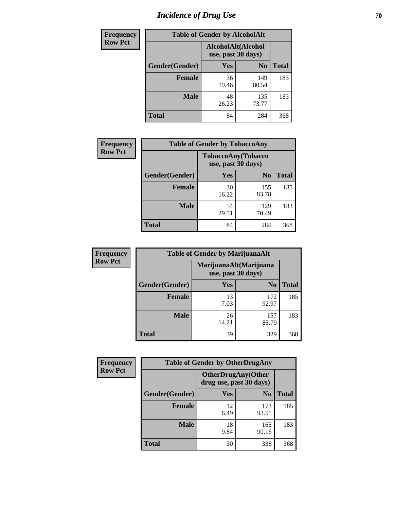# *Incidence of Drug Use* **70**

| <b>Frequency</b> | <b>Table of Gender by AlcoholAlt</b> |                                          |                |              |  |
|------------------|--------------------------------------|------------------------------------------|----------------|--------------|--|
| <b>Row Pct</b>   |                                      | AlcoholAlt(Alcohol<br>use, past 30 days) |                |              |  |
|                  | Gender(Gender)                       | <b>Yes</b>                               | N <sub>0</sub> | <b>Total</b> |  |
|                  | <b>Female</b>                        | 36<br>19.46                              | 149<br>80.54   | 185          |  |
|                  | <b>Male</b>                          | 48<br>26.23                              | 135<br>73.77   | 183          |  |
|                  | <b>Total</b>                         | 84                                       | 284            | 368          |  |

| Frequency      | <b>Table of Gender by TobaccoAny</b> |                                          |                |              |  |
|----------------|--------------------------------------|------------------------------------------|----------------|--------------|--|
| <b>Row Pct</b> |                                      | TobaccoAny(Tobacco<br>use, past 30 days) |                |              |  |
|                | Gender(Gender)                       | Yes                                      | N <sub>0</sub> | <b>Total</b> |  |
|                | <b>Female</b>                        | 30<br>16.22                              | 155<br>83.78   | 185          |  |
|                | <b>Male</b>                          | 54<br>29.51                              | 129<br>70.49   | 183          |  |
|                | Total                                | 84                                       | 284            | 368          |  |

| <b>Frequency</b> | <b>Table of Gender by MarijuanaAlt</b> |                                              |                |              |  |
|------------------|----------------------------------------|----------------------------------------------|----------------|--------------|--|
| <b>Row Pct</b>   |                                        | MarijuanaAlt(Marijuana<br>use, past 30 days) |                |              |  |
|                  | Gender(Gender)                         | <b>Yes</b>                                   | N <sub>0</sub> | <b>Total</b> |  |
|                  | <b>Female</b>                          | 13<br>7.03                                   | 172<br>92.97   | 185          |  |
|                  | <b>Male</b>                            | 26<br>14.21                                  | 157<br>85.79   | 183          |  |
|                  | <b>Total</b>                           | 39                                           | 329            | 368          |  |

| <b>Frequency</b> | <b>Table of Gender by OtherDrugAny</b> |                         |                            |              |  |
|------------------|----------------------------------------|-------------------------|----------------------------|--------------|--|
| <b>Row Pct</b>   |                                        | drug use, past 30 days) | <b>OtherDrugAny</b> (Other |              |  |
|                  | Gender(Gender)                         | <b>Yes</b>              | N <sub>0</sub>             | <b>Total</b> |  |
|                  | <b>Female</b>                          | 12<br>6.49              | 173<br>93.51               | 185          |  |
|                  | <b>Male</b>                            | 18<br>9.84              | 165<br>90.16               | 183          |  |
|                  | <b>Total</b>                           | 30                      | 338                        | 368          |  |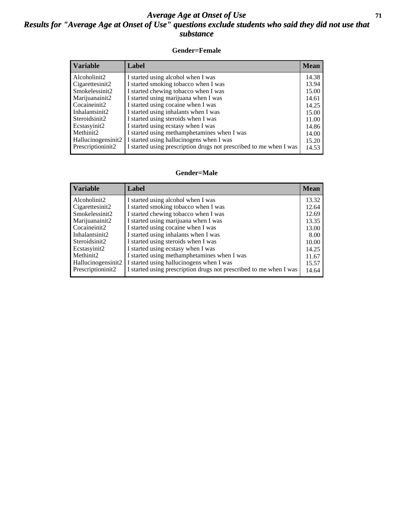### *Average Age at Onset of Use* **71** *Results for "Average Age at Onset of Use" questions exclude students who said they did not use that substance*

#### **Gender=Female**

| <b>Variable</b>                 | Label                                                              | <b>Mean</b> |
|---------------------------------|--------------------------------------------------------------------|-------------|
| Alcoholinit2                    | I started using alcohol when I was                                 | 14.38       |
| Cigarettesinit2                 | I started smoking tobacco when I was                               | 13.94       |
| Smokelessinit2                  | I started chewing tobacco when I was                               | 15.00       |
| Marijuanainit2                  | I started using marijuana when I was                               | 14.61       |
| Cocaineinit2                    | I started using cocaine when I was                                 | 14.25       |
| Inhalantsinit2                  | I started using inhalants when I was                               | 15.00       |
| Steroidsinit2                   | I started using steroids when I was                                | 11.00       |
| Ecstasyinit2                    | I started using ecstasy when I was                                 | 14.86       |
| Methinit2                       | I started using methamphetamines when I was                        | 14.00       |
| Hallucinogensinit2              | I started using hallucinogens when I was                           | 15.20       |
| Prescription in it <sub>2</sub> | I started using prescription drugs not prescribed to me when I was | 14.53       |

#### **Gender=Male**

| <b>Variable</b>    | Label                                                              | <b>Mean</b> |
|--------------------|--------------------------------------------------------------------|-------------|
| Alcoholinit2       | I started using alcohol when I was                                 | 13.32       |
| Cigarettesinit2    | I started smoking tobacco when I was                               | 12.64       |
| Smokelessinit2     | I started chewing tobacco when I was                               | 12.69       |
| Marijuanainit2     | I started using marijuana when I was                               | 13.35       |
| Cocaineinit2       | I started using cocaine when I was                                 | 13.00       |
| Inhalantsinit2     | I started using inhalants when I was                               | 8.00        |
| Steroidsinit2      | I started using steroids when I was                                | 10.00       |
| Ecstasyinit2       | I started using ecstasy when I was                                 | 14.25       |
| Methinit2          | I started using methamphetamines when I was                        | 11.67       |
| Hallucinogensinit2 | I started using hallucinogens when I was                           | 15.57       |
| Prescriptioninit2  | I started using prescription drugs not prescribed to me when I was | 14.64       |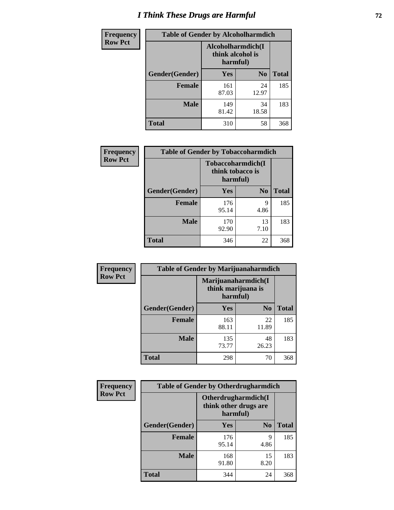# *I Think These Drugs are Harmful* **72**

| <b>Frequency</b> | <b>Table of Gender by Alcoholharmdich</b> |                  |                               |              |
|------------------|-------------------------------------------|------------------|-------------------------------|--------------|
| <b>Row Pct</b>   |                                           | think alcohol is | Alcoholharmdich(I<br>harmful) |              |
|                  | Gender(Gender)                            | <b>Yes</b>       | N <sub>0</sub>                | <b>Total</b> |
|                  | <b>Female</b>                             | 161<br>87.03     | 24<br>12.97                   | 185          |
|                  | <b>Male</b>                               | 149<br>81.42     | 34<br>18.58                   | 183          |
|                  | Total                                     | 310              | 58                            | 368          |

| Frequency      | <b>Table of Gender by Tobaccoharmdich</b> |                                                   |                |              |  |
|----------------|-------------------------------------------|---------------------------------------------------|----------------|--------------|--|
| <b>Row Pct</b> |                                           | Tobaccoharmdich(I<br>think tobacco is<br>harmful) |                |              |  |
|                | Gender(Gender)                            | Yes                                               | N <sub>0</sub> | <b>Total</b> |  |
|                | <b>Female</b>                             | 176<br>95.14                                      | 9<br>4.86      | 185          |  |
|                | <b>Male</b>                               | 170<br>92.90                                      | 13<br>7.10     | 183          |  |
|                | <b>Total</b>                              | 346                                               | 22             | 368          |  |

| Frequency      | <b>Table of Gender by Marijuanaharmdich</b> |                                                       |                |              |  |
|----------------|---------------------------------------------|-------------------------------------------------------|----------------|--------------|--|
| <b>Row Pct</b> |                                             | Marijuanaharmdich(I<br>think marijuana is<br>harmful) |                |              |  |
|                | Gender(Gender)                              | <b>Yes</b>                                            | N <sub>0</sub> | <b>Total</b> |  |
|                | <b>Female</b>                               | 163<br>88.11                                          | 22<br>11.89    | 185          |  |
|                | <b>Male</b>                                 | 135<br>73.77                                          | 48<br>26.23    | 183          |  |
|                | <b>Total</b>                                | 298                                                   | 70             | 368          |  |

| Frequency      | <b>Table of Gender by Otherdrugharmdich</b> |                                                          |                |              |  |
|----------------|---------------------------------------------|----------------------------------------------------------|----------------|--------------|--|
| <b>Row Pct</b> |                                             | Otherdrugharmdich(I<br>think other drugs are<br>harmful) |                |              |  |
|                | Gender(Gender)                              | <b>Yes</b>                                               | N <sub>0</sub> | <b>Total</b> |  |
|                | <b>Female</b>                               | 176<br>95.14                                             | 9<br>4.86      | 185          |  |
|                | <b>Male</b>                                 | 168<br>91.80                                             | 15<br>8.20     | 183          |  |
|                | <b>Total</b>                                | 344                                                      | 24             | 368          |  |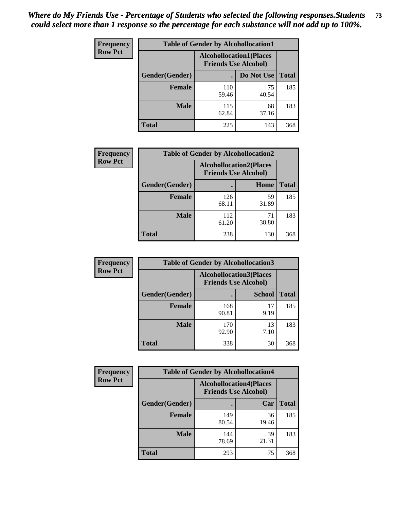| <b>Frequency</b> | <b>Table of Gender by Alcohollocation1</b> |                                                               |             |              |
|------------------|--------------------------------------------|---------------------------------------------------------------|-------------|--------------|
| <b>Row Pct</b>   |                                            | <b>Alcohollocation1(Places</b><br><b>Friends Use Alcohol)</b> |             |              |
|                  | Gender(Gender)                             |                                                               | Do Not Use  | <b>Total</b> |
|                  | <b>Female</b>                              | 110<br>59.46                                                  | 75<br>40.54 | 185          |
|                  | <b>Male</b>                                | 115<br>62.84                                                  | 68<br>37.16 | 183          |
|                  | <b>Total</b>                               | 225                                                           | 143         | 368          |

| <b>Frequency</b> | <b>Table of Gender by Alcohollocation2</b> |              |                                                               |              |
|------------------|--------------------------------------------|--------------|---------------------------------------------------------------|--------------|
| <b>Row Pct</b>   |                                            |              | <b>Alcohollocation2(Places</b><br><b>Friends Use Alcohol)</b> |              |
|                  | Gender(Gender)                             |              | Home                                                          | <b>Total</b> |
|                  | <b>Female</b>                              | 126<br>68.11 | 59<br>31.89                                                   | 185          |
|                  | <b>Male</b>                                | 112<br>61.20 | 71<br>38.80                                                   | 183          |
|                  | <b>Total</b>                               | 238          | 130                                                           | 368          |

| Frequency      | <b>Table of Gender by Alcohollocation3</b> |                                                               |               |              |
|----------------|--------------------------------------------|---------------------------------------------------------------|---------------|--------------|
| <b>Row Pct</b> |                                            | <b>Alcohollocation3(Places</b><br><b>Friends Use Alcohol)</b> |               |              |
|                | Gender(Gender)                             |                                                               | <b>School</b> | <b>Total</b> |
|                | <b>Female</b>                              | 168<br>90.81                                                  | 17<br>9.19    | 185          |
|                | <b>Male</b>                                | 170<br>92.90                                                  | 13<br>7.10    | 183          |
|                | <b>Total</b>                               | 338                                                           | 30            | 368          |

| <b>Frequency</b> | <b>Table of Gender by Alcohollocation4</b> |                                                               |             |              |
|------------------|--------------------------------------------|---------------------------------------------------------------|-------------|--------------|
| <b>Row Pct</b>   |                                            | <b>Alcohollocation4(Places</b><br><b>Friends Use Alcohol)</b> |             |              |
|                  | Gender(Gender)                             |                                                               | Car         | <b>Total</b> |
|                  | <b>Female</b>                              | 149<br>80.54                                                  | 36<br>19.46 | 185          |
|                  | <b>Male</b>                                | 144<br>78.69                                                  | 39<br>21.31 | 183          |
|                  | <b>Total</b>                               | 293                                                           | 75          | 368          |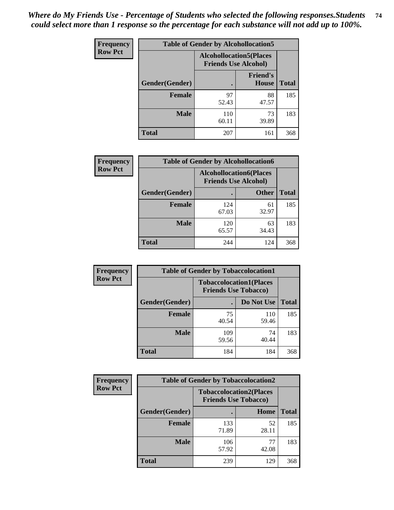| <b>Frequency</b> | <b>Table of Gender by Alcohollocation5</b> |                                                                |                          |              |
|------------------|--------------------------------------------|----------------------------------------------------------------|--------------------------|--------------|
| <b>Row Pct</b>   |                                            | <b>Alcohollocation5</b> (Places<br><b>Friends Use Alcohol)</b> |                          |              |
|                  | Gender(Gender)                             |                                                                | <b>Friend's</b><br>House | <b>Total</b> |
|                  | <b>Female</b>                              | 97<br>52.43                                                    | 88<br>47.57              | 185          |
|                  | <b>Male</b>                                | 110<br>60.11                                                   | 73<br>39.89              | 183          |
|                  | <b>Total</b>                               | 207                                                            | 161                      | 368          |

| <b>Frequency</b> | <b>Table of Gender by Alcohollocation6</b> |                                                               |              |              |
|------------------|--------------------------------------------|---------------------------------------------------------------|--------------|--------------|
| <b>Row Pct</b>   |                                            | <b>Alcohollocation6(Places</b><br><b>Friends Use Alcohol)</b> |              |              |
|                  | <b>Gender</b> (Gender)                     |                                                               | <b>Other</b> | <b>Total</b> |
|                  | <b>Female</b>                              | 124<br>67.03                                                  | 61<br>32.97  | 185          |
|                  | <b>Male</b>                                | 120<br>65.57                                                  | 63<br>34.43  | 183          |
|                  | <b>Total</b>                               | 244                                                           | 124          | 368          |

| Frequency      | <b>Table of Gender by Tobaccolocation1</b> |                                                               |              |              |  |
|----------------|--------------------------------------------|---------------------------------------------------------------|--------------|--------------|--|
| <b>Row Pct</b> |                                            | <b>Tobaccolocation1(Places</b><br><b>Friends Use Tobacco)</b> |              |              |  |
|                | Gender(Gender)                             |                                                               | Do Not Use   | <b>Total</b> |  |
|                | Female                                     | 75<br>40.54                                                   | 110<br>59.46 | 185          |  |
|                | <b>Male</b>                                | 109<br>59.56                                                  | 74<br>40.44  | 183          |  |
|                | <b>Total</b>                               | 184                                                           | 184          | 368          |  |

| <b>Frequency</b> | <b>Table of Gender by Tobaccolocation2</b> |                             |                                |              |
|------------------|--------------------------------------------|-----------------------------|--------------------------------|--------------|
| <b>Row Pct</b>   |                                            | <b>Friends Use Tobacco)</b> | <b>Tobaccolocation2(Places</b> |              |
|                  | Gender(Gender)                             |                             | Home                           | <b>Total</b> |
|                  | Female                                     | 133<br>71.89                | 52<br>28.11                    | 185          |
|                  | <b>Male</b>                                | 106<br>57.92                | 77<br>42.08                    | 183          |
|                  | <b>Total</b>                               | 239                         | 129                            | 368          |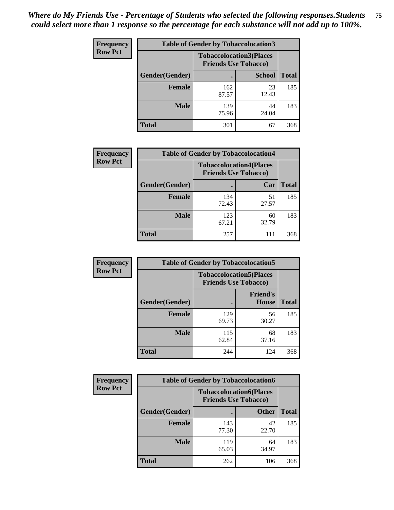| <b>Frequency</b> | <b>Table of Gender by Tobaccolocation3</b> |                                                               |               |              |
|------------------|--------------------------------------------|---------------------------------------------------------------|---------------|--------------|
| <b>Row Pct</b>   |                                            | <b>Tobaccolocation3(Places</b><br><b>Friends Use Tobacco)</b> |               |              |
|                  | Gender(Gender)                             |                                                               | <b>School</b> | <b>Total</b> |
|                  | <b>Female</b>                              | 162<br>87.57                                                  | 23<br>12.43   | 185          |
|                  | <b>Male</b>                                | 139<br>75.96                                                  | 44<br>24.04   | 183          |
|                  | <b>Total</b>                               | 301                                                           | 67            | 368          |

| <b>Frequency</b> | <b>Table of Gender by Tobaccolocation4</b> |                                                               |             |              |
|------------------|--------------------------------------------|---------------------------------------------------------------|-------------|--------------|
| <b>Row Pct</b>   |                                            | <b>Tobaccolocation4(Places</b><br><b>Friends Use Tobacco)</b> |             |              |
|                  | Gender(Gender)                             |                                                               | Car         | <b>Total</b> |
|                  | <b>Female</b>                              | 134<br>72.43                                                  | 51<br>27.57 | 185          |
|                  | <b>Male</b>                                | 123<br>67.21                                                  | 60<br>32.79 | 183          |
|                  | <b>Total</b>                               | 257                                                           | 111         | 368          |

| <b>Frequency</b> | <b>Table of Gender by Tobaccolocation5</b> |                                                               |                                 |              |
|------------------|--------------------------------------------|---------------------------------------------------------------|---------------------------------|--------------|
| <b>Row Pct</b>   |                                            | <b>Tobaccolocation5(Places</b><br><b>Friends Use Tobacco)</b> |                                 |              |
|                  | Gender(Gender)                             |                                                               | <b>Friend's</b><br><b>House</b> | <b>Total</b> |
|                  | <b>Female</b>                              | 129<br>69.73                                                  | 56<br>30.27                     | 185          |
|                  | <b>Male</b>                                | 115<br>62.84                                                  | 68<br>37.16                     | 183          |
|                  | <b>Total</b>                               | 244                                                           | 124                             | 368          |

| <b>Frequency</b> | <b>Table of Gender by Tobaccolocation6</b> |                                                               |              |              |  |
|------------------|--------------------------------------------|---------------------------------------------------------------|--------------|--------------|--|
| <b>Row Pct</b>   |                                            | <b>Tobaccolocation6(Places</b><br><b>Friends Use Tobacco)</b> |              |              |  |
|                  | Gender(Gender)                             |                                                               | <b>Other</b> | <b>Total</b> |  |
|                  | Female                                     | 143<br>77.30                                                  | 42<br>22.70  | 185          |  |
|                  | <b>Male</b>                                | 119<br>65.03                                                  | 64<br>34.97  | 183          |  |
|                  | <b>Total</b>                               | 262                                                           | 106          | 368          |  |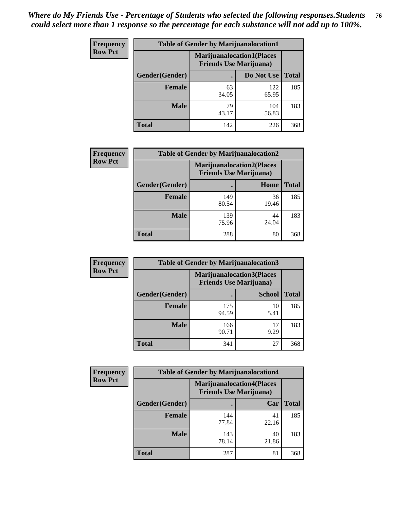| <b>Frequency</b> | <b>Table of Gender by Marijuanalocation1</b> |                                                                    |              |              |
|------------------|----------------------------------------------|--------------------------------------------------------------------|--------------|--------------|
| <b>Row Pct</b>   |                                              | <b>Marijuanalocation1(Places</b><br><b>Friends Use Marijuana</b> ) |              |              |
|                  | Gender(Gender)                               |                                                                    | Do Not Use   | <b>Total</b> |
|                  | <b>Female</b>                                | 63<br>34.05                                                        | 122<br>65.95 | 185          |
|                  | <b>Male</b>                                  | 79<br>43.17                                                        | 104<br>56.83 | 183          |
|                  | <b>Total</b>                                 | 142                                                                | 226          | 368          |

| <b>Frequency</b> | <b>Table of Gender by Marijuanalocation2</b> |                                                                    |             |              |
|------------------|----------------------------------------------|--------------------------------------------------------------------|-------------|--------------|
| <b>Row Pct</b>   |                                              | <b>Marijuanalocation2(Places</b><br><b>Friends Use Marijuana</b> ) |             |              |
|                  | Gender(Gender)                               |                                                                    | Home        | <b>Total</b> |
|                  | Female                                       | 149<br>80.54                                                       | 36<br>19.46 | 185          |
|                  | <b>Male</b>                                  | 139<br>75.96                                                       | 44<br>24.04 | 183          |
|                  | <b>Total</b>                                 | 288                                                                | 80          | 368          |

| Frequency      | <b>Table of Gender by Marijuanalocation3</b> |              |                                                                    |              |  |
|----------------|----------------------------------------------|--------------|--------------------------------------------------------------------|--------------|--|
| <b>Row Pct</b> |                                              |              | <b>Marijuanalocation3(Places</b><br><b>Friends Use Marijuana</b> ) |              |  |
|                | Gender(Gender)                               |              | <b>School</b>                                                      | <b>Total</b> |  |
|                | Female                                       | 175<br>94.59 | 10<br>5.41                                                         | 185          |  |
|                | <b>Male</b>                                  | 166<br>90.71 | 17<br>9.29                                                         | 183          |  |
|                | <b>Total</b>                                 | 341          | 27                                                                 | 368          |  |

| Frequency      | <b>Table of Gender by Marijuanalocation4</b> |                                |                                  |              |  |
|----------------|----------------------------------------------|--------------------------------|----------------------------------|--------------|--|
| <b>Row Pct</b> |                                              | <b>Friends Use Marijuana</b> ) | <b>Marijuanalocation4(Places</b> |              |  |
|                | <b>Gender</b> (Gender)                       |                                | Car                              | <b>Total</b> |  |
|                | <b>Female</b>                                | 144<br>77.84                   | 41<br>22.16                      | 185          |  |
|                | <b>Male</b>                                  | 143<br>78.14                   | 40<br>21.86                      | 183          |  |
|                | <b>Total</b>                                 | 287                            | 81                               | 368          |  |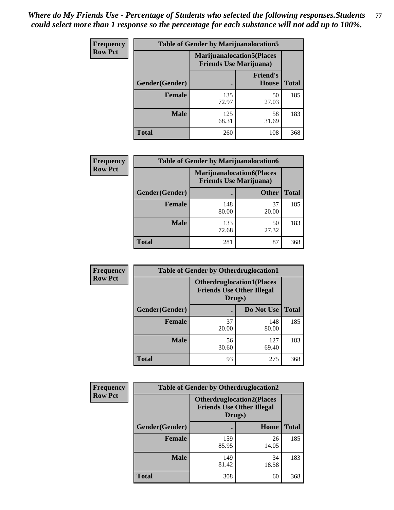| Frequency      | <b>Table of Gender by Marijuanalocation5</b> |                                                                     |                          |              |
|----------------|----------------------------------------------|---------------------------------------------------------------------|--------------------------|--------------|
| <b>Row Pct</b> |                                              | <b>Marijuanalocation5</b> (Places<br><b>Friends Use Marijuana</b> ) |                          |              |
|                | Gender(Gender)                               |                                                                     | <b>Friend's</b><br>House | <b>Total</b> |
|                | <b>Female</b>                                | 135<br>72.97                                                        | 50<br>27.03              | 185          |
|                | <b>Male</b>                                  | 125<br>68.31                                                        | 58<br>31.69              | 183          |
|                | <b>Total</b>                                 | 260                                                                 | 108                      | 368          |

| <b>Frequency</b> | <b>Table of Gender by Marijuanalocation6</b> |                                                                     |              |              |
|------------------|----------------------------------------------|---------------------------------------------------------------------|--------------|--------------|
| <b>Row Pct</b>   |                                              | <b>Marijuanalocation6(Places)</b><br><b>Friends Use Marijuana</b> ) |              |              |
|                  | Gender(Gender)                               |                                                                     | <b>Other</b> | <b>Total</b> |
|                  | <b>Female</b>                                | 148<br>80.00                                                        | 37<br>20.00  | 185          |
|                  | <b>Male</b>                                  | 133<br>72.68                                                        | 50<br>27.32  | 183          |
|                  | <b>Total</b>                                 | 281                                                                 | 87           | 368          |

| <b>Frequency</b> | <b>Table of Gender by Otherdruglocation1</b> |                                                                                |              |              |
|------------------|----------------------------------------------|--------------------------------------------------------------------------------|--------------|--------------|
| <b>Row Pct</b>   |                                              | <b>Otherdruglocation1(Places</b><br><b>Friends Use Other Illegal</b><br>Drugs) |              |              |
|                  | Gender(Gender)                               |                                                                                | Do Not Use   | <b>Total</b> |
|                  | Female                                       | 37<br>20.00                                                                    | 148<br>80.00 | 185          |
|                  | <b>Male</b>                                  | 56<br>30.60                                                                    | 127<br>69.40 | 183          |
|                  | <b>Total</b>                                 | 93                                                                             | 275          | 368          |

| Frequency      | <b>Table of Gender by Otherdruglocation2</b> |                                                                                |             |              |
|----------------|----------------------------------------------|--------------------------------------------------------------------------------|-------------|--------------|
| <b>Row Pct</b> |                                              | <b>Otherdruglocation2(Places</b><br><b>Friends Use Other Illegal</b><br>Drugs) |             |              |
|                | Gender(Gender)                               |                                                                                | Home        | <b>Total</b> |
|                | <b>Female</b>                                | 159<br>85.95                                                                   | 26<br>14.05 | 185          |
|                | <b>Male</b>                                  | 149<br>81.42                                                                   | 34<br>18.58 | 183          |
|                | <b>Total</b>                                 | 308                                                                            | 60          | 368          |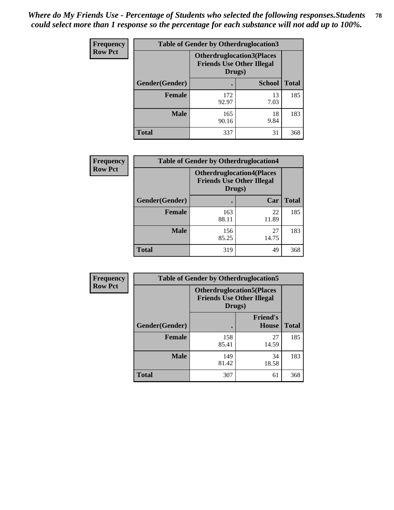| <b>Frequency</b> | <b>Table of Gender by Otherdruglocation3</b> |                                                                                |               |              |
|------------------|----------------------------------------------|--------------------------------------------------------------------------------|---------------|--------------|
| <b>Row Pct</b>   |                                              | <b>Otherdruglocation3(Places</b><br><b>Friends Use Other Illegal</b><br>Drugs) |               |              |
|                  | Gender(Gender)                               |                                                                                | <b>School</b> | <b>Total</b> |
|                  | <b>Female</b>                                | 172<br>92.97                                                                   | 13<br>7.03    | 185          |
|                  | <b>Male</b>                                  | 165<br>90.16                                                                   | 18<br>9.84    | 183          |
|                  | <b>Total</b>                                 | 337                                                                            | 31            | 368          |

| <b>Frequency</b> | <b>Table of Gender by Otherdruglocation4</b> |                                                                                |             |              |
|------------------|----------------------------------------------|--------------------------------------------------------------------------------|-------------|--------------|
| <b>Row Pct</b>   |                                              | <b>Otherdruglocation4(Places</b><br><b>Friends Use Other Illegal</b><br>Drugs) |             |              |
|                  | Gender(Gender)                               |                                                                                | Car         | <b>Total</b> |
|                  | <b>Female</b>                                | 163<br>88.11                                                                   | 22<br>11.89 | 185          |
|                  | <b>Male</b>                                  | 156<br>85.25                                                                   | 27<br>14.75 | 183          |
|                  | <b>Total</b>                                 | 319                                                                            | 49          | 368          |

| Frequency      | <b>Table of Gender by Otherdruglocation5</b>                                   |              |                                 |              |
|----------------|--------------------------------------------------------------------------------|--------------|---------------------------------|--------------|
| <b>Row Pct</b> | <b>Otherdruglocation5(Places</b><br><b>Friends Use Other Illegal</b><br>Drugs) |              |                                 |              |
|                | Gender(Gender)                                                                 |              | <b>Friend's</b><br><b>House</b> | <b>Total</b> |
|                | <b>Female</b>                                                                  | 158<br>85.41 | 27<br>14.59                     | 185          |
|                | <b>Male</b>                                                                    | 149<br>81.42 | 34<br>18.58                     | 183          |
|                | <b>Total</b>                                                                   | 307          | 61                              | 368          |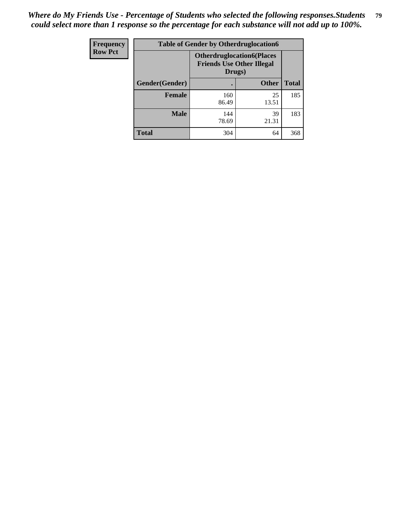| <b>Frequency</b> | <b>Table of Gender by Otherdruglocation6</b> |                                                                                |              |              |
|------------------|----------------------------------------------|--------------------------------------------------------------------------------|--------------|--------------|
| <b>Row Pct</b>   |                                              | <b>Otherdruglocation6(Places</b><br><b>Friends Use Other Illegal</b><br>Drugs) |              |              |
|                  | Gender(Gender)                               |                                                                                | <b>Other</b> | <b>Total</b> |
|                  | <b>Female</b>                                | 160<br>86.49                                                                   | 25<br>13.51  | 185          |
|                  | <b>Male</b>                                  | 144<br>78.69                                                                   | 39<br>21.31  | 183          |
|                  | <b>Total</b>                                 | 304                                                                            | 64           | 368          |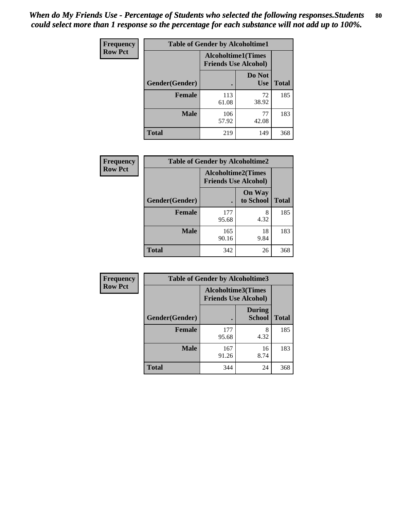| <b>Frequency</b> | <b>Table of Gender by Alcoholtime1</b> |                                                          |                      |              |
|------------------|----------------------------------------|----------------------------------------------------------|----------------------|--------------|
| <b>Row Pct</b>   |                                        | <b>Alcoholtime1(Times</b><br><b>Friends Use Alcohol)</b> |                      |              |
|                  | Gender(Gender)                         | ٠                                                        | Do Not<br><b>Use</b> | <b>Total</b> |
|                  | <b>Female</b>                          | 113<br>61.08                                             | 72<br>38.92          | 185          |
|                  | <b>Male</b>                            | 106<br>57.92                                             | 77<br>42.08          | 183          |
|                  | <b>Total</b>                           | 219                                                      | 149                  | 368          |

| <b>Frequency</b> | <b>Table of Gender by Alcoholtime2</b> |                                                          |                            |              |
|------------------|----------------------------------------|----------------------------------------------------------|----------------------------|--------------|
| <b>Row Pct</b>   |                                        | <b>Alcoholtime2(Times</b><br><b>Friends Use Alcohol)</b> |                            |              |
|                  | Gender(Gender)                         |                                                          | <b>On Way</b><br>to School | <b>Total</b> |
|                  | <b>Female</b>                          | 177<br>95.68                                             | 8<br>4.32                  | 185          |
|                  | <b>Male</b>                            | 165<br>90.16                                             | 18<br>9.84                 | 183          |
|                  | <b>Total</b>                           | 342                                                      | 26                         | 368          |

| <b>Frequency</b> | <b>Table of Gender by Alcoholtime3</b> |                                                          |                                |              |
|------------------|----------------------------------------|----------------------------------------------------------|--------------------------------|--------------|
| <b>Row Pct</b>   |                                        | <b>Alcoholtime3(Times</b><br><b>Friends Use Alcohol)</b> |                                |              |
|                  | Gender(Gender)                         |                                                          | <b>During</b><br><b>School</b> | <b>Total</b> |
|                  | Female                                 | 177<br>95.68                                             | 8<br>4.32                      | 185          |
|                  | <b>Male</b>                            | 167<br>91.26                                             | 16<br>8.74                     | 183          |
|                  | <b>Total</b>                           | 344                                                      | 24                             | 368          |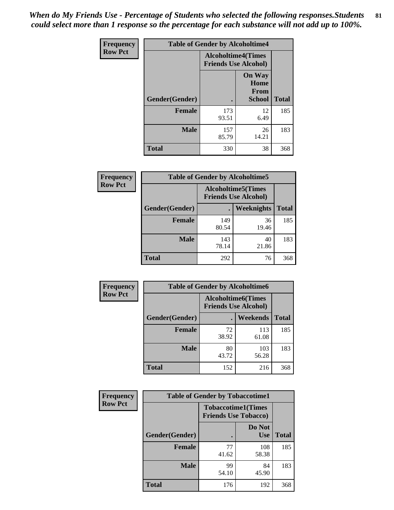*When do My Friends Use - Percentage of Students who selected the following responses.Students could select more than 1 response so the percentage for each substance will not add up to 100%.* **81**

| <b>Frequency</b> | <b>Table of Gender by Alcoholtime4</b> |                                                          |                                                |              |
|------------------|----------------------------------------|----------------------------------------------------------|------------------------------------------------|--------------|
| <b>Row Pct</b>   |                                        | <b>Alcoholtime4(Times</b><br><b>Friends Use Alcohol)</b> |                                                |              |
|                  | Gender(Gender)                         |                                                          | <b>On Way</b><br>Home<br>From<br><b>School</b> | <b>Total</b> |
|                  | <b>Female</b>                          | 173<br>93.51                                             | 12<br>6.49                                     | 185          |
|                  | <b>Male</b>                            | 157<br>85.79                                             | 26<br>14.21                                    | 183          |
|                  | <b>Total</b>                           | 330                                                      | 38                                             | 368          |

| <b>Frequency</b> | <b>Table of Gender by Alcoholtime5</b> |                                                           |             |              |
|------------------|----------------------------------------|-----------------------------------------------------------|-------------|--------------|
| <b>Row Pct</b>   |                                        | <b>Alcoholtime5</b> (Times<br><b>Friends Use Alcohol)</b> |             |              |
|                  | Gender(Gender)                         |                                                           | Weeknights  | <b>Total</b> |
|                  | <b>Female</b>                          | 149<br>80.54                                              | 36<br>19.46 | 185          |
|                  | <b>Male</b>                            | 143<br>78.14                                              | 40<br>21.86 | 183          |
|                  | <b>Total</b>                           | 292                                                       | 76          | 368          |

| <b>Frequency</b> | <b>Table of Gender by Alcoholtime6</b> |             |                                                           |              |
|------------------|----------------------------------------|-------------|-----------------------------------------------------------|--------------|
| <b>Row Pct</b>   |                                        |             | <b>Alcoholtime6</b> (Times<br><b>Friends Use Alcohol)</b> |              |
|                  | Gender(Gender)                         |             | <b>Weekends</b>                                           | <b>Total</b> |
|                  | <b>Female</b>                          | 72<br>38.92 | 113<br>61.08                                              | 185          |
|                  | <b>Male</b>                            | 80<br>43.72 | 103<br>56.28                                              | 183          |
|                  | <b>Total</b>                           | 152         | 216                                                       | 368          |

| Frequency      | <b>Table of Gender by Tobaccotime1</b> |                                                          |                      |              |
|----------------|----------------------------------------|----------------------------------------------------------|----------------------|--------------|
| <b>Row Pct</b> |                                        | <b>Tobaccotime1(Times</b><br><b>Friends Use Tobacco)</b> |                      |              |
|                | Gender(Gender)                         |                                                          | Do Not<br><b>Use</b> | <b>Total</b> |
|                | <b>Female</b>                          | 77<br>41.62                                              | 108<br>58.38         | 185          |
|                | <b>Male</b>                            | 99<br>54.10                                              | 84<br>45.90          | 183          |
|                | <b>Total</b>                           | 176                                                      | 192                  | 368          |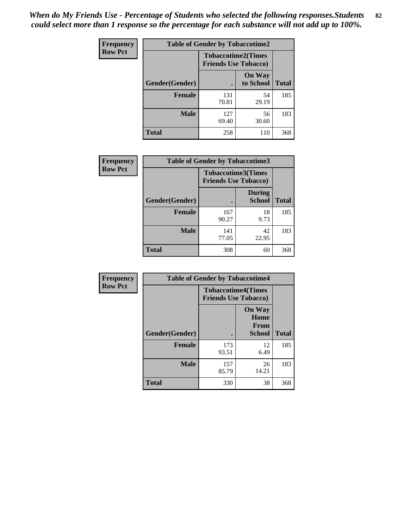*When do My Friends Use - Percentage of Students who selected the following responses.Students could select more than 1 response so the percentage for each substance will not add up to 100%.* **82**

| Frequency      | <b>Table of Gender by Tobaccotime2</b> |                                                          |                            |              |
|----------------|----------------------------------------|----------------------------------------------------------|----------------------------|--------------|
| <b>Row Pct</b> |                                        | <b>Tobaccotime2(Times</b><br><b>Friends Use Tobacco)</b> |                            |              |
|                | Gender(Gender)                         | $\bullet$                                                | <b>On Way</b><br>to School | <b>Total</b> |
|                | <b>Female</b>                          | 131<br>70.81                                             | 54<br>29.19                | 185          |
|                | <b>Male</b>                            | 127<br>69.40                                             | 56<br>30.60                | 183          |
|                | <b>Total</b>                           | 258                                                      | 110                        | 368          |

| Frequency      | <b>Table of Gender by Tobaccotime3</b> |                                                          |                                |              |
|----------------|----------------------------------------|----------------------------------------------------------|--------------------------------|--------------|
| <b>Row Pct</b> |                                        | <b>Tobaccotime3(Times</b><br><b>Friends Use Tobacco)</b> |                                |              |
|                | Gender(Gender)                         |                                                          | <b>During</b><br><b>School</b> | <b>Total</b> |
|                | Female                                 | 167<br>90.27                                             | 18<br>9.73                     | 185          |
|                | <b>Male</b>                            | 141<br>77.05                                             | 42<br>22.95                    | 183          |
|                | <b>Total</b>                           | 308                                                      | 60                             | 368          |

| <b>Frequency</b> | <b>Table of Gender by Tobaccotime4</b> |                                                          |                                                |              |
|------------------|----------------------------------------|----------------------------------------------------------|------------------------------------------------|--------------|
| <b>Row Pct</b>   |                                        | <b>Tobaccotime4(Times</b><br><b>Friends Use Tobacco)</b> |                                                |              |
|                  | Gender(Gender)                         |                                                          | <b>On Way</b><br>Home<br>From<br><b>School</b> | <b>Total</b> |
|                  | <b>Female</b>                          | 173<br>93.51                                             | 12<br>6.49                                     | 185          |
|                  | <b>Male</b>                            | 157<br>85.79                                             | 26<br>14.21                                    | 183          |
|                  | <b>Total</b>                           | 330                                                      | 38                                             | 368          |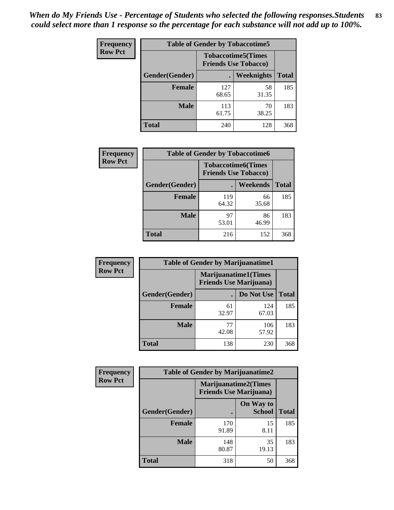| <b>Frequency</b> | <b>Table of Gender by Tobaccotime5</b> |              |                                                          |              |  |
|------------------|----------------------------------------|--------------|----------------------------------------------------------|--------------|--|
| <b>Row Pct</b>   |                                        |              | <b>Tobaccotime5(Times</b><br><b>Friends Use Tobacco)</b> |              |  |
|                  | <b>Gender</b> (Gender)                 |              | <b>Weeknights</b>                                        | <b>Total</b> |  |
|                  | <b>Female</b>                          | 127<br>68.65 | 58<br>31.35                                              | 185          |  |
|                  | <b>Male</b>                            | 113<br>61.75 | 70<br>38.25                                              | 183          |  |
|                  | <b>Total</b>                           | 240          | 128                                                      | 368          |  |

| Frequency      | <b>Table of Gender by Tobaccotime6</b> |                                                          |             |              |  |
|----------------|----------------------------------------|----------------------------------------------------------|-------------|--------------|--|
| <b>Row Pct</b> |                                        | <b>Tobaccotime6(Times</b><br><b>Friends Use Tobacco)</b> |             |              |  |
|                | Gender(Gender)                         |                                                          | Weekends    | <b>Total</b> |  |
|                | Female                                 | 119<br>64.32                                             | 66<br>35.68 | 185          |  |
|                | <b>Male</b>                            | 97<br>53.01                                              | 86<br>46.99 | 183          |  |
|                | <b>Total</b>                           | 216                                                      | 152         | 368          |  |

| <b>Frequency</b> | <b>Table of Gender by Marijuanatime1</b> |                                |                             |              |
|------------------|------------------------------------------|--------------------------------|-----------------------------|--------------|
| <b>Row Pct</b>   |                                          | <b>Friends Use Marijuana</b> ) | <b>Marijuanatime1(Times</b> |              |
|                  | Gender(Gender)                           |                                | Do Not Use                  | <b>Total</b> |
|                  | <b>Female</b>                            | 61<br>32.97                    | 124<br>67.03                | 185          |
|                  | <b>Male</b>                              | 77<br>42.08                    | 106<br>57.92                | 183          |
|                  | <b>Total</b>                             | 138                            | 230                         | 368          |

| <b>Frequency</b> | <b>Table of Gender by Marijuanatime2</b> |                                                               |                            |              |
|------------------|------------------------------------------|---------------------------------------------------------------|----------------------------|--------------|
| <b>Row Pct</b>   |                                          | <b>Marijuanatime2(Times</b><br><b>Friends Use Marijuana</b> ) |                            |              |
|                  | Gender(Gender)                           |                                                               | On Way to<br><b>School</b> | <b>Total</b> |
|                  | Female                                   | 170<br>91.89                                                  | 15<br>8.11                 | 185          |
|                  | <b>Male</b>                              | 148<br>80.87                                                  | 35<br>19.13                | 183          |
|                  | <b>Total</b>                             | 318                                                           | 50                         | 368          |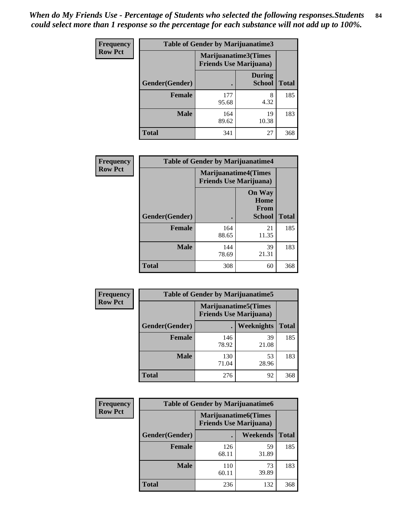| Frequency      | <b>Table of Gender by Marijuanatime3</b> |                                                        |                                |              |
|----------------|------------------------------------------|--------------------------------------------------------|--------------------------------|--------------|
| <b>Row Pct</b> |                                          | Marijuanatime3(Times<br><b>Friends Use Marijuana</b> ) |                                |              |
|                | Gender(Gender)                           |                                                        | <b>During</b><br><b>School</b> | <b>Total</b> |
|                | <b>Female</b>                            | 177<br>95.68                                           | 8<br>4.32                      | 185          |
|                | <b>Male</b>                              | 164<br>89.62                                           | 19<br>10.38                    | 183          |
|                | <b>Total</b>                             | 341                                                    | 27                             | 368          |

| Frequency      | <b>Table of Gender by Marijuanatime4</b> |                                |                                                |              |
|----------------|------------------------------------------|--------------------------------|------------------------------------------------|--------------|
| <b>Row Pct</b> |                                          | <b>Friends Use Marijuana</b> ) | <b>Marijuanatime4</b> (Times                   |              |
|                | Gender(Gender)                           |                                | <b>On Way</b><br>Home<br>From<br><b>School</b> | <b>Total</b> |
|                | <b>Female</b>                            | 164<br>88.65                   | 21<br>11.35                                    | 185          |
|                | <b>Male</b>                              | 144<br>78.69                   | 39<br>21.31                                    | 183          |
|                | <b>Total</b>                             | 308                            | 60                                             | 368          |

| Frequency      | <b>Table of Gender by Marijuanatime5</b> |              |                                                                |              |
|----------------|------------------------------------------|--------------|----------------------------------------------------------------|--------------|
| <b>Row Pct</b> |                                          |              | <b>Marijuanatime5</b> (Times<br><b>Friends Use Marijuana</b> ) |              |
|                | Gender(Gender)                           | ٠            | <b>Weeknights</b>                                              | <b>Total</b> |
|                | <b>Female</b>                            | 146<br>78.92 | 39<br>21.08                                                    | 185          |
|                | <b>Male</b>                              | 130<br>71.04 | 53<br>28.96                                                    | 183          |
|                | <b>Total</b>                             | 276          | 92                                                             | 368          |

| <b>Frequency</b> | <b>Table of Gender by Marijuanatime6</b> |                                                               |             |              |
|------------------|------------------------------------------|---------------------------------------------------------------|-------------|--------------|
| <b>Row Pct</b>   |                                          | <b>Marijuanatime6(Times</b><br><b>Friends Use Marijuana</b> ) |             |              |
|                  | Gender(Gender)                           |                                                               | Weekends    | <b>Total</b> |
|                  | <b>Female</b>                            | 126<br>68.11                                                  | 59<br>31.89 | 185          |
|                  | <b>Male</b>                              | 110<br>60.11                                                  | 73<br>39.89 | 183          |
|                  | <b>Total</b>                             | 236                                                           | 132         | 368          |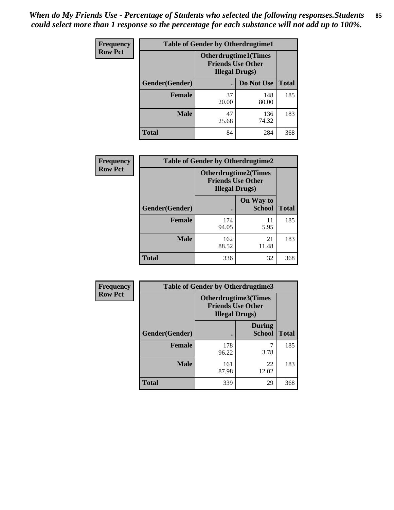| <b>Frequency</b> | <b>Table of Gender by Otherdrugtime1</b> |                        |                                                         |     |
|------------------|------------------------------------------|------------------------|---------------------------------------------------------|-----|
| <b>Row Pct</b>   |                                          | <b>Illegal Drugs</b> ) | <b>Otherdrugtime1(Times</b><br><b>Friends Use Other</b> |     |
|                  | Gender(Gender)                           |                        | Do Not Use   Total                                      |     |
|                  | <b>Female</b>                            | 37<br>20.00            | 148<br>80.00                                            | 185 |
|                  | <b>Male</b>                              | 47<br>25.68            | 136<br>74.32                                            | 183 |
|                  | Total                                    | 84                     | 284                                                     | 368 |

| Frequency      | <b>Table of Gender by Otherdrugtime2</b> |                        |                                                         |              |
|----------------|------------------------------------------|------------------------|---------------------------------------------------------|--------------|
| <b>Row Pct</b> |                                          | <b>Illegal Drugs</b> ) | <b>Otherdrugtime2(Times</b><br><b>Friends Use Other</b> |              |
|                | <b>Gender</b> (Gender)                   |                        | On Way to<br><b>School</b>                              | <b>Total</b> |
|                | <b>Female</b>                            | 174<br>94.05           | 11<br>5.95                                              | 185          |
|                | <b>Male</b>                              | 162<br>88.52           | 21<br>11.48                                             | 183          |
|                | <b>Total</b>                             | 336                    | 32                                                      | 368          |

| <b>Frequency</b> | <b>Table of Gender by Otherdrugtime3</b> |                        |                                                  |              |
|------------------|------------------------------------------|------------------------|--------------------------------------------------|--------------|
| <b>Row Pct</b>   |                                          | <b>Illegal Drugs</b> ) | Otherdrugtime3(Times<br><b>Friends Use Other</b> |              |
|                  | Gender(Gender)                           |                        | <b>During</b><br><b>School</b>                   | <b>Total</b> |
|                  | <b>Female</b>                            | 178<br>96.22           | 7<br>3.78                                        | 185          |
|                  | <b>Male</b>                              | 161<br>87.98           | 22<br>12.02                                      | 183          |
|                  | <b>Total</b>                             | 339                    | 29                                               | 368          |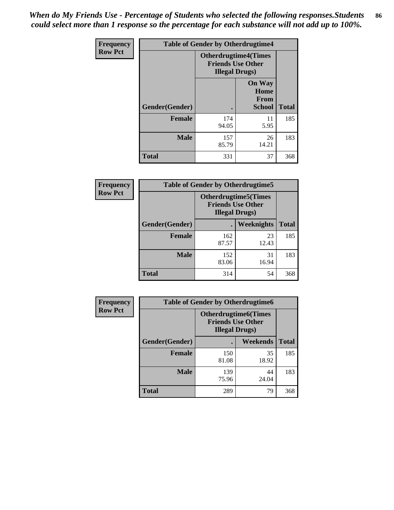*When do My Friends Use - Percentage of Students who selected the following responses.Students could select more than 1 response so the percentage for each substance will not add up to 100%.* **86**

| <b>Frequency</b> | <b>Table of Gender by Otherdrugtime4</b> |                                                    |                                                |              |
|------------------|------------------------------------------|----------------------------------------------------|------------------------------------------------|--------------|
| <b>Row Pct</b>   |                                          | <b>Friends Use Other</b><br><b>Illegal Drugs</b> ) | <b>Otherdrugtime4(Times</b>                    |              |
|                  | Gender(Gender)                           |                                                    | <b>On Way</b><br>Home<br><b>From</b><br>School | <b>Total</b> |
|                  | <b>Female</b>                            | 174<br>94.05                                       | 11<br>5.95                                     | 185          |
|                  | <b>Male</b>                              | 157<br>85.79                                       | 26<br>14.21                                    | 183          |
|                  | <b>Total</b>                             | 331                                                | 37                                             | 368          |

| Frequency      | <b>Table of Gender by Otherdrugtime5</b> |                                                                                    |             |              |
|----------------|------------------------------------------|------------------------------------------------------------------------------------|-------------|--------------|
| <b>Row Pct</b> |                                          | <b>Otherdrugtime5</b> (Times<br><b>Friends Use Other</b><br><b>Illegal Drugs</b> ) |             |              |
|                | Gender(Gender)                           |                                                                                    | Weeknights  | <b>Total</b> |
|                | <b>Female</b>                            | 162<br>87.57                                                                       | 23<br>12.43 | 185          |
|                | <b>Male</b>                              | 152<br>83.06                                                                       | 31<br>16.94 | 183          |
|                | <b>Total</b>                             | 314                                                                                | 54          | 368          |

| Frequency      | <b>Table of Gender by Otherdrugtime6</b> |                                                                                   |             |              |
|----------------|------------------------------------------|-----------------------------------------------------------------------------------|-------------|--------------|
| <b>Row Pct</b> |                                          | <b>Otherdrugtime6(Times</b><br><b>Friends Use Other</b><br><b>Illegal Drugs</b> ) |             |              |
|                | Gender(Gender)                           |                                                                                   | Weekends    | <b>Total</b> |
|                | <b>Female</b>                            | 150<br>81.08                                                                      | 35<br>18.92 | 185          |
|                | <b>Male</b>                              | 139<br>75.96                                                                      | 44<br>24.04 | 183          |
|                | <b>Total</b>                             | 289                                                                               | 79          | 368          |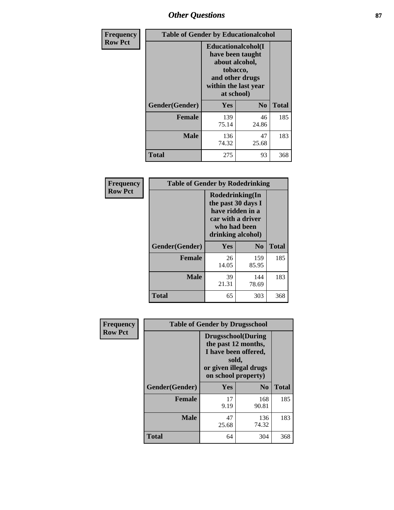# *Other Questions* **87**

| <b>Frequency</b> | <b>Table of Gender by Educationalcohol</b> |                                                                                                                                       |                |              |  |
|------------------|--------------------------------------------|---------------------------------------------------------------------------------------------------------------------------------------|----------------|--------------|--|
| <b>Row Pct</b>   |                                            | <b>Educationalcohol</b> (I<br>have been taught<br>about alcohol,<br>tobacco,<br>and other drugs<br>within the last year<br>at school) |                |              |  |
|                  | Gender(Gender)                             | <b>Yes</b>                                                                                                                            | N <sub>0</sub> | <b>Total</b> |  |
|                  | <b>Female</b>                              | 139<br>75.14                                                                                                                          | 46<br>24.86    | 185          |  |
|                  | <b>Male</b>                                | 136<br>74.32                                                                                                                          | 47<br>25.68    | 183          |  |
|                  | <b>Total</b>                               | 275                                                                                                                                   | 93             | 368          |  |

| Frequency      | <b>Table of Gender by Rodedrinking</b> |                                                                                                                     |                |              |  |
|----------------|----------------------------------------|---------------------------------------------------------------------------------------------------------------------|----------------|--------------|--|
| <b>Row Pct</b> |                                        | Rodedrinking(In<br>the past 30 days I<br>have ridden in a<br>car with a driver<br>who had been<br>drinking alcohol) |                |              |  |
|                | Gender(Gender)                         | Yes                                                                                                                 | N <sub>0</sub> | <b>Total</b> |  |
|                | <b>Female</b>                          | 26<br>14.05                                                                                                         | 159<br>85.95   | 185          |  |
|                | <b>Male</b>                            | 39<br>21.31                                                                                                         | 144<br>78.69   | 183          |  |
|                | <b>Total</b>                           | 65                                                                                                                  | 303            | 368          |  |

| Frequency      | <b>Table of Gender by Drugsschool</b> |                                                                                                                                     |                |              |  |
|----------------|---------------------------------------|-------------------------------------------------------------------------------------------------------------------------------------|----------------|--------------|--|
| <b>Row Pct</b> |                                       | <b>Drugsschool</b> (During<br>the past 12 months,<br>I have been offered,<br>sold,<br>or given illegal drugs<br>on school property) |                |              |  |
|                | Gender(Gender)                        | Yes                                                                                                                                 | N <sub>0</sub> | <b>Total</b> |  |
|                | <b>Female</b>                         | 17<br>9.19                                                                                                                          | 168<br>90.81   | 185          |  |
|                | <b>Male</b>                           | 47<br>25.68                                                                                                                         | 136<br>74.32   | 183          |  |
|                | <b>Total</b>                          | 64                                                                                                                                  | 304            | 368          |  |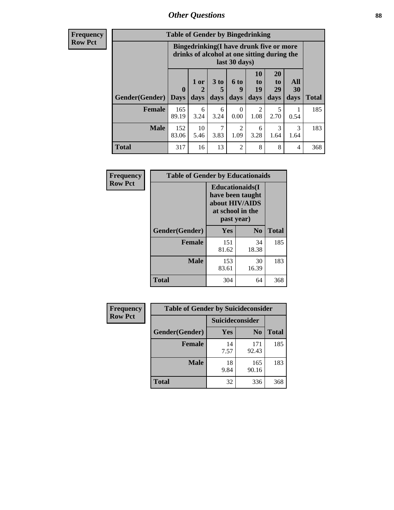# *Other Questions* **88**

**Frequency Row Pct**

| <b>Table of Gender by Bingedrinking</b> |                         |                                                                                                         |                   |                        |                               |                               |                   |              |
|-----------------------------------------|-------------------------|---------------------------------------------------------------------------------------------------------|-------------------|------------------------|-------------------------------|-------------------------------|-------------------|--------------|
|                                         |                         | Bingedrinking(I have drunk five or more<br>drinks of alcohol at one sitting during the<br>last 30 days) |                   |                        |                               |                               |                   |              |
| <b>Gender</b> (Gender)                  | $\bf{0}$<br><b>Days</b> | 1 or<br>days                                                                                            | 3 to<br>5<br>days | 6 to<br>9<br>days      | <b>10</b><br>to<br>19<br>days | <b>20</b><br>to<br>29<br>days | All<br>30<br>days | <b>Total</b> |
| <b>Female</b>                           | 165<br>89.19            | 6<br>3.24                                                                                               | 6<br>3.24         | 0<br>0.00              | $\mathfrak{D}$<br>1.08        | 5<br>2.70                     | 0.54              | 185          |
| <b>Male</b>                             | 152<br>83.06            | 10<br>5.46                                                                                              | 7<br>3.83         | $\mathfrak{D}$<br>1.09 | 6<br>3.28                     | 3<br>1.64                     | 3<br>1.64         | 183          |
| <b>Total</b>                            | 317                     | 16                                                                                                      | 13                | $\mathfrak{D}$         | 8                             | 8                             | 4                 | 368          |

| Frequency      | <b>Table of Gender by Educationaids</b> |                                                                                                 |                |              |  |
|----------------|-----------------------------------------|-------------------------------------------------------------------------------------------------|----------------|--------------|--|
| <b>Row Pct</b> |                                         | <b>Educationaids</b> (I<br>have been taught<br>about HIV/AIDS<br>at school in the<br>past year) |                |              |  |
|                | Gender(Gender)                          | Yes                                                                                             | $\mathbf{N_0}$ | <b>Total</b> |  |
|                | <b>Female</b>                           | 151<br>81.62                                                                                    | 34<br>18.38    | 185          |  |
|                | <b>Male</b>                             | 153<br>83.61                                                                                    | 30<br>16.39    | 183          |  |
|                | <b>Total</b>                            | 304                                                                                             | 64             | 368          |  |

| <b>Frequency</b> | <b>Table of Gender by Suicideconsider</b> |                 |                |              |  |
|------------------|-------------------------------------------|-----------------|----------------|--------------|--|
| <b>Row Pct</b>   |                                           | Suicideconsider |                |              |  |
|                  | Gender(Gender)                            | Yes             | N <sub>0</sub> | <b>Total</b> |  |
|                  | <b>Female</b>                             | 14<br>7.57      | 171<br>92.43   | 185          |  |
|                  | <b>Male</b>                               | 18<br>9.84      | 165<br>90.16   | 183          |  |
|                  | Total                                     | 32              | 336            | 368          |  |